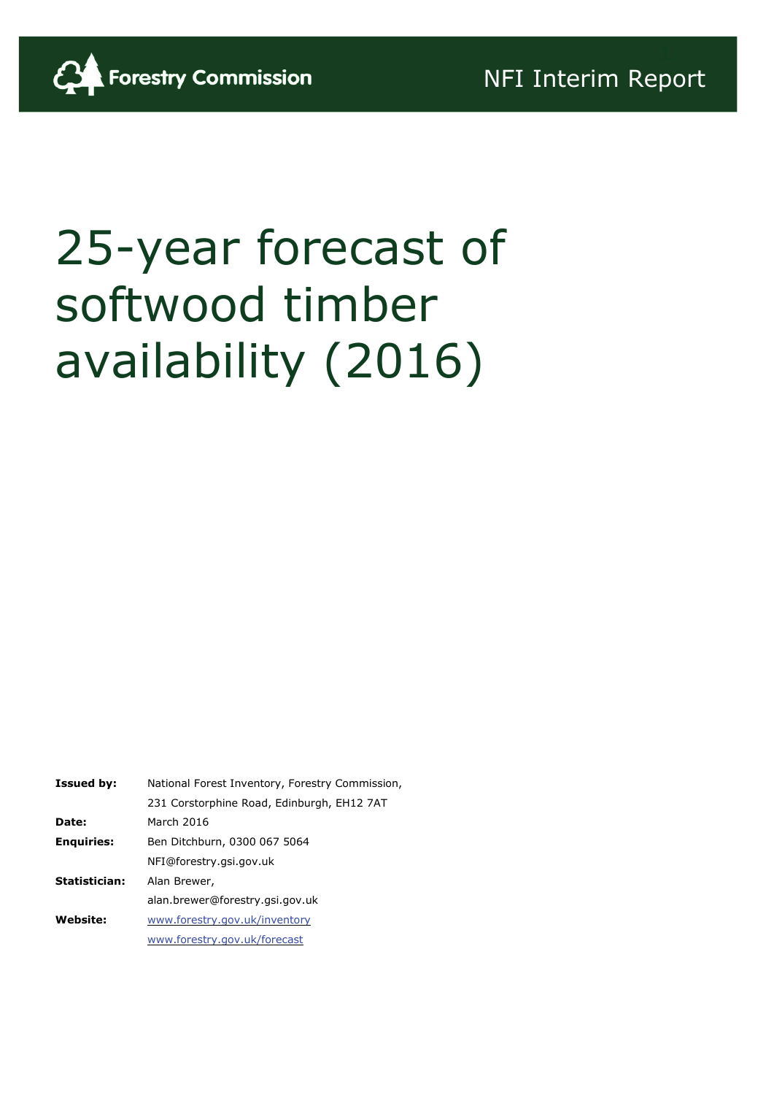

# 25-year forecast of softwood timber availability (2016)

| <b>Issued by:</b> | National Forest Inventory, Forestry Commission, |
|-------------------|-------------------------------------------------|
|                   | 231 Corstorphine Road, Edinburgh, EH12 7AT      |
| Date:             | March 2016                                      |
| <b>Enguiries:</b> | Ben Ditchburn, 0300 067 5064                    |
|                   | NFI@forestry.gsi.gov.uk                         |
| Statistician:     | Alan Brewer,                                    |
|                   | alan.brewer@forestry.gsi.gov.uk                 |
| <b>Website:</b>   | www.forestry.gov.uk/inventory                   |
|                   | www.forestry.gov.uk/forecast                    |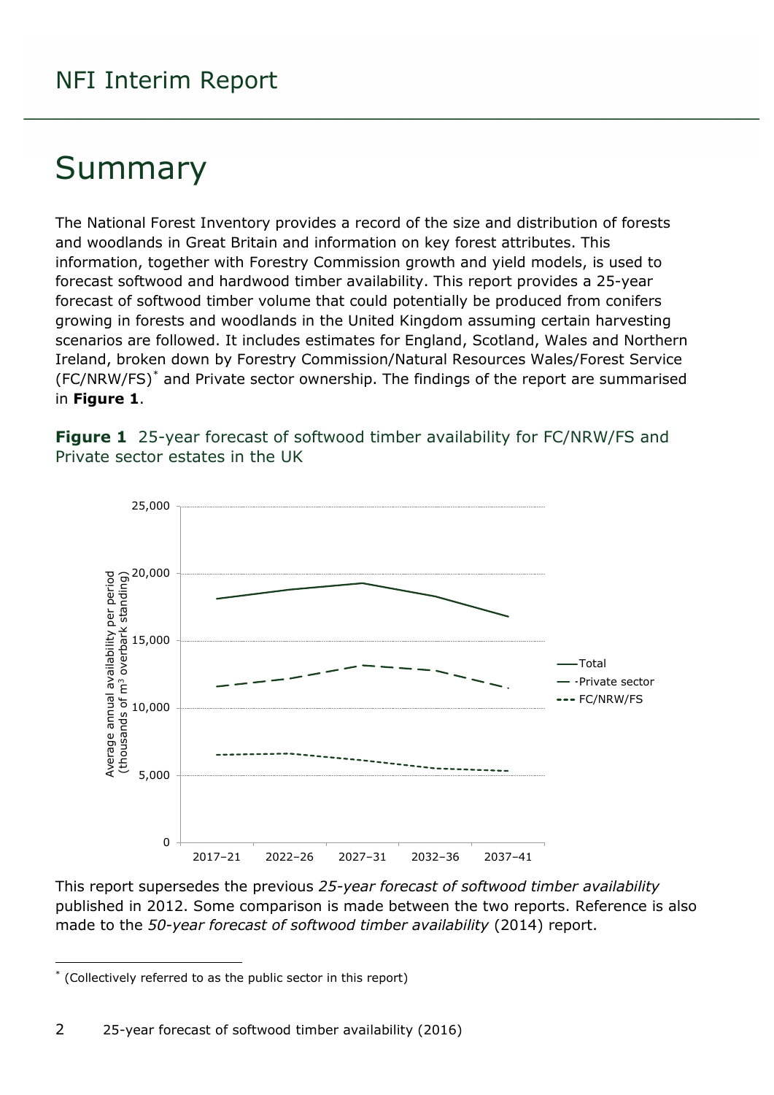## Summary

The National Forest Inventory provides a record of the size and distribution of forests and woodlands in Great Britain and information on key forest attributes. This information, together with Forestry Commission growth and yield models, is used to forecast softwood and hardwood timber availability. This report provides a 25-year forecast of softwood timber volume that could potentially be produced from conifers growing in forests and woodlands in the United Kingdom assuming certain harvesting scenarios are followed. It includes estimates for England, Scotland, Wales and Northern Ireland, broken down by Forestry Commission/Natural Resources Wales/Forest Service (FC/NRW/FS)[\\*](#page-1-0) and Private sector ownership. The findings of the report are summarised in **Figure 1**.

<span id="page-1-1"></span>



This report supersedes the previous *25-year forecast of softwood timber availability* published in 2012. Some comparison is made between the two reports. Reference is also made to the *50-year forecast of softwood timber availability* (2014) report.

-

<span id="page-1-0"></span><sup>\*</sup> (Collectively referred to as the public sector in this report)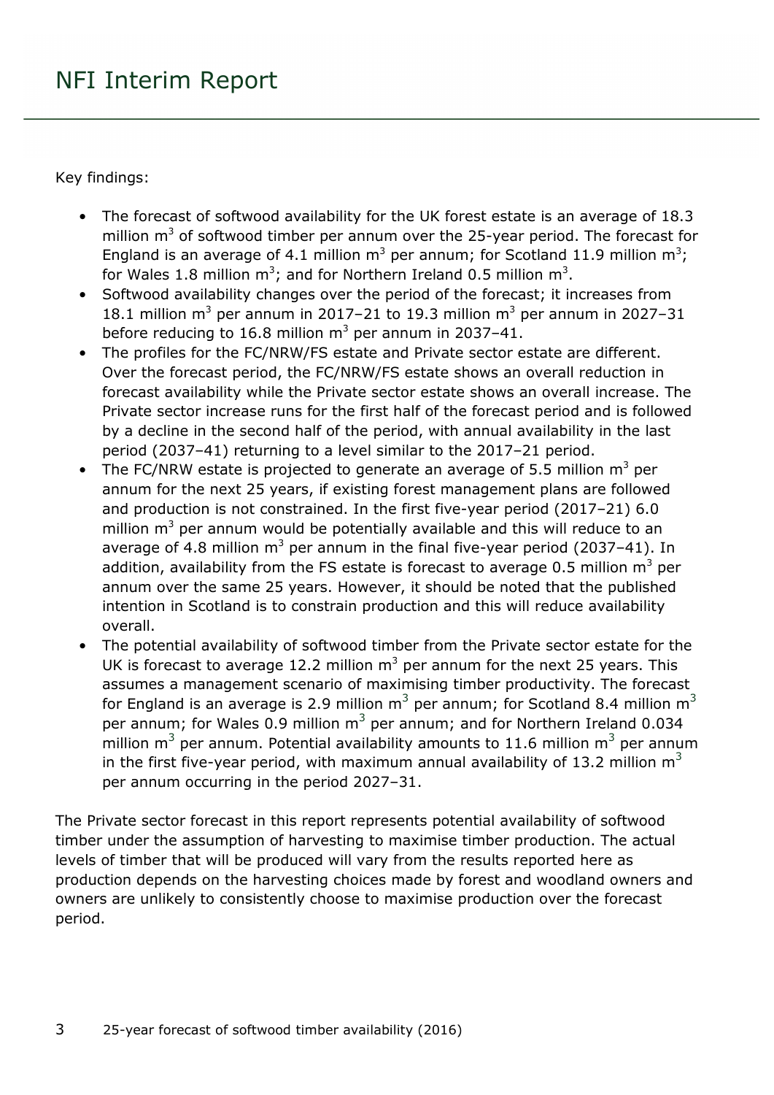Key findings:

- The forecast of softwood availability for the UK forest estate is an average of 18.3 million  $m<sup>3</sup>$  of softwood timber per annum over the 25-year period. The forecast for England is an average of 4.1 million  $m^3$  per annum; for Scotland 11.9 million  $m^3$ ; for Wales 1.8 million  $m^3$ ; and for Northern Ireland 0.5 million  $m^3$ .
- Softwood availability changes over the period of the forecast; it increases from 18.1 million  $m^3$  per annum in 2017–21 to 19.3 million  $m^3$  per annum in 2027–31 before reducing to 16.8 million  $m^3$  per annum in 2037–41.
- The profiles for the FC/NRW/FS estate and Private sector estate are different. Over the forecast period, the FC/NRW/FS estate shows an overall reduction in forecast availability while the Private sector estate shows an overall increase. The Private sector increase runs for the first half of the forecast period and is followed by a decline in the second half of the period, with annual availability in the last period (2037–41) returning to a level similar to the 2017–21 period.
- The FC/NRW estate is projected to generate an average of 5.5 million  $m^3$  per annum for the next 25 years, if existing forest management plans are followed and production is not constrained. In the first five-year period (2017–21) 6.0 million  $m<sup>3</sup>$  per annum would be potentially available and this will reduce to an average of 4.8 million  $m^3$  per annum in the final five-year period (2037–41). In addition, availability from the FS estate is forecast to average 0.5 million  $m^3$  per annum over the same 25 years. However, it should be noted that the published intention in Scotland is to constrain production and this will reduce availability overall.
- The potential availability of softwood timber from the Private sector estate for the UK is forecast to average 12.2 million  $m^3$  per annum for the next 25 years. This assumes a management scenario of maximising timber productivity. The forecast for England is an average is 2.9 million  $m<sup>3</sup>$  per annum; for Scotland 8.4 million  $m<sup>3</sup>$ per annum; for Wales 0.9 million  $m^3$  per annum; and for Northern Ireland 0.034 million  $m<sup>3</sup>$  per annum. Potential availability amounts to 11.6 million  $m<sup>3</sup>$  per annum in the first five-year period, with maximum annual availability of 13.2 million  $m^3$ per annum occurring in the period 2027–31.

The Private sector forecast in this report represents potential availability of softwood timber under the assumption of harvesting to maximise timber production. The actual levels of timber that will be produced will vary from the results reported here as production depends on the harvesting choices made by forest and woodland owners and owners are unlikely to consistently choose to maximise production over the forecast period.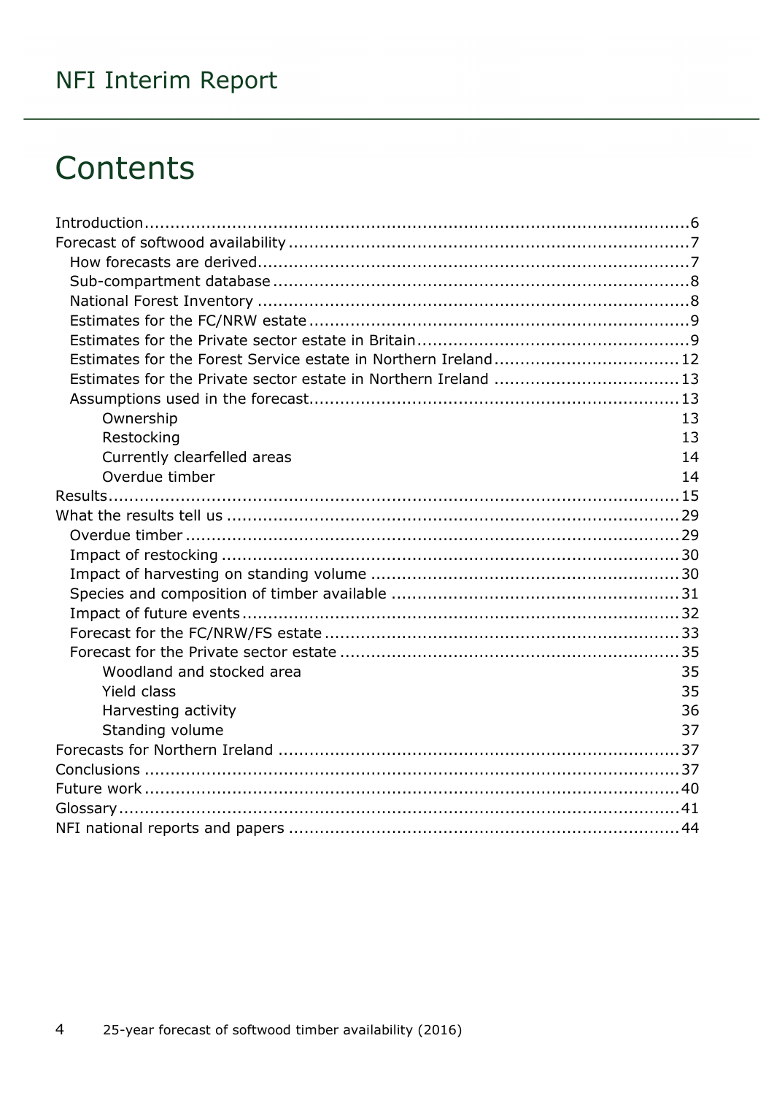## **Contents**

| Estimates for the Forest Service estate in Northern Ireland 12  |    |
|-----------------------------------------------------------------|----|
| Estimates for the Private sector estate in Northern Ireland  13 |    |
|                                                                 |    |
| Ownership                                                       | 13 |
| Restocking                                                      | 13 |
| Currently clearfelled areas                                     | 14 |
| Overdue timber                                                  | 14 |
|                                                                 |    |
|                                                                 |    |
|                                                                 |    |
|                                                                 |    |
|                                                                 |    |
|                                                                 |    |
|                                                                 |    |
|                                                                 |    |
|                                                                 |    |
| Woodland and stocked area                                       | 35 |
| <b>Yield class</b>                                              | 35 |
| Harvesting activity                                             | 36 |
| Standing volume                                                 | 37 |
|                                                                 |    |
|                                                                 |    |
|                                                                 |    |
|                                                                 |    |
|                                                                 |    |
|                                                                 |    |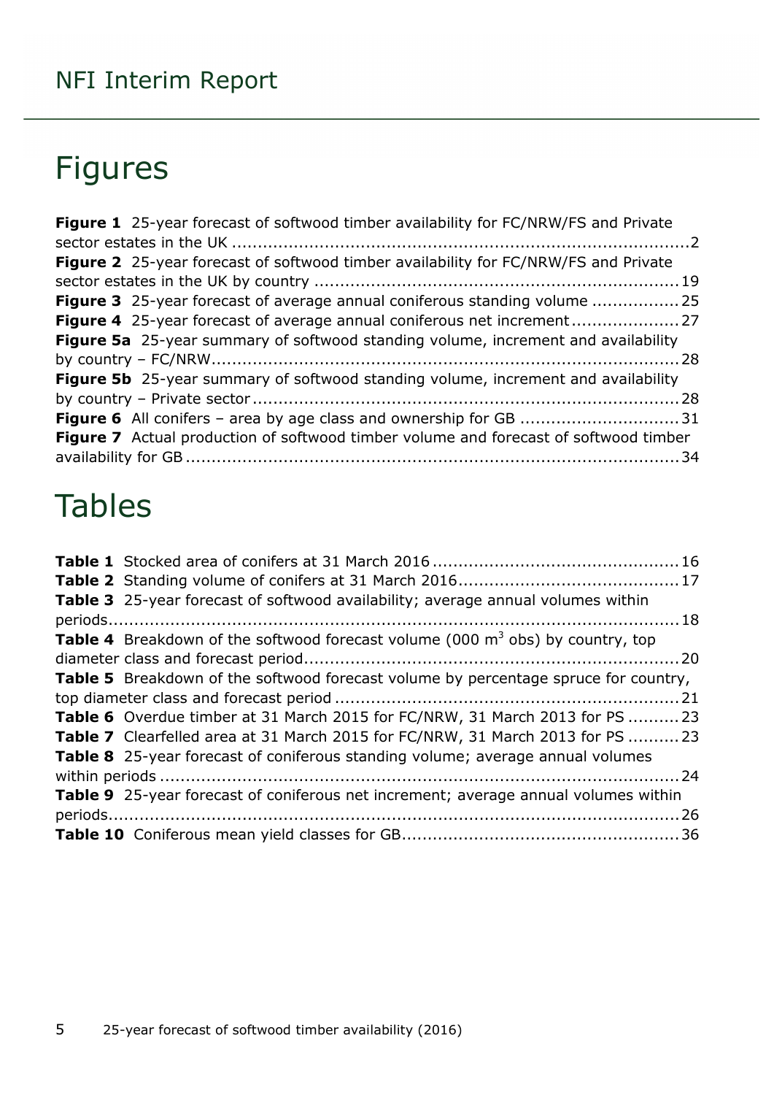## Figures

| <b>Figure 1</b> 25-year forecast of softwood timber availability for FC/NRW/FS and Private  |  |
|---------------------------------------------------------------------------------------------|--|
|                                                                                             |  |
| <b>Figure 2</b> 25-year forecast of softwood timber availability for FC/NRW/FS and Private  |  |
|                                                                                             |  |
| <b>Figure 3</b> 25-year forecast of average annual coniferous standing volume 25            |  |
|                                                                                             |  |
| Figure 5a 25-year summary of softwood standing volume, increment and availability           |  |
|                                                                                             |  |
| <b>Figure 5b</b> 25-year summary of softwood standing volume, increment and availability    |  |
|                                                                                             |  |
|                                                                                             |  |
| <b>Figure 7</b> Actual production of softwood timber volume and forecast of softwood timber |  |
|                                                                                             |  |

## Tables

| Table 3 25-year forecast of softwood availability; average annual volumes within           |  |
|--------------------------------------------------------------------------------------------|--|
|                                                                                            |  |
| <b>Table 4</b> Breakdown of the softwood forecast volume (000 $m3$ obs) by country, top    |  |
|                                                                                            |  |
| <b>Table 5</b> Breakdown of the softwood forecast volume by percentage spruce for country, |  |
|                                                                                            |  |
| <b>Table 6</b> Overdue timber at 31 March 2015 for FC/NRW, 31 March 2013 for PS 23         |  |
| Table 7 Clearfelled area at 31 March 2015 for FC/NRW, 31 March 2013 for PS  23             |  |
| <b>Table 8</b> 25-year forecast of coniferous standing volume; average annual volumes      |  |
|                                                                                            |  |
| <b>Table 9</b> 25-year forecast of coniferous net increment; average annual volumes within |  |
|                                                                                            |  |
|                                                                                            |  |
|                                                                                            |  |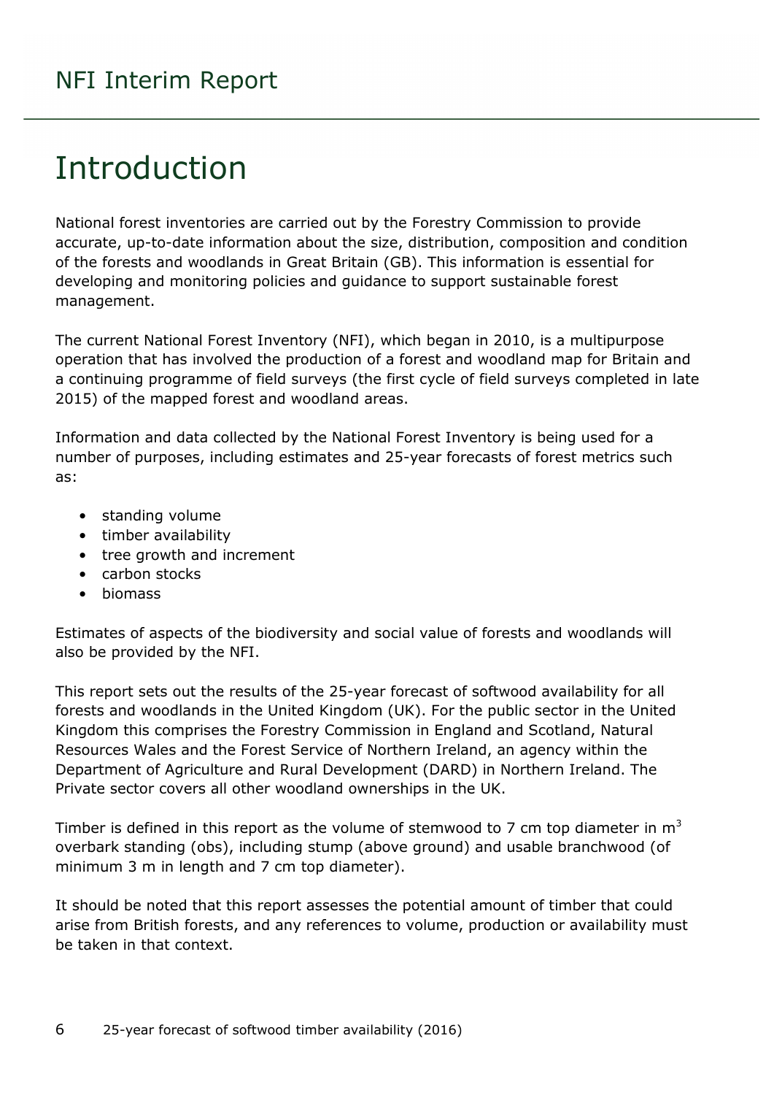## <span id="page-5-0"></span>Introduction

National forest inventories are carried out by the Forestry Commission to provide accurate, up-to-date information about the size, distribution, composition and condition of the forests and woodlands in Great Britain (GB). This information is essential for developing and monitoring policies and guidance to support sustainable forest management.

The current National Forest Inventory (NFI), which began in 2010, is a multipurpose operation that has involved the production of a forest and woodland map for Britain and a continuing programme of field surveys (the first cycle of field surveys completed in late 2015) of the mapped forest and woodland areas.

Information and data collected by the National Forest Inventory is being used for a number of purposes, including estimates and 25-year forecasts of forest metrics such as:

- standing volume
- timber availability
- tree growth and increment
- carbon stocks
- biomass

Estimates of aspects of the biodiversity and social value of forests and woodlands will also be provided by the NFI.

This report sets out the results of the 25-year forecast of softwood availability for all forests and woodlands in the United Kingdom (UK). For the public sector in the United Kingdom this comprises the Forestry Commission in England and Scotland, Natural Resources Wales and the Forest Service of Northern Ireland, an agency within the Department of Agriculture and Rural Development (DARD) in Northern Ireland. The Private sector covers all other woodland ownerships in the UK.

Timber is defined in this report as the volume of stemwood to 7 cm top diameter in  $m<sup>3</sup>$ overbark standing (obs), including stump (above ground) and usable branchwood (of minimum 3 m in length and 7 cm top diameter).

It should be noted that this report assesses the potential amount of timber that could arise from British forests, and any references to volume, production or availability must be taken in that context.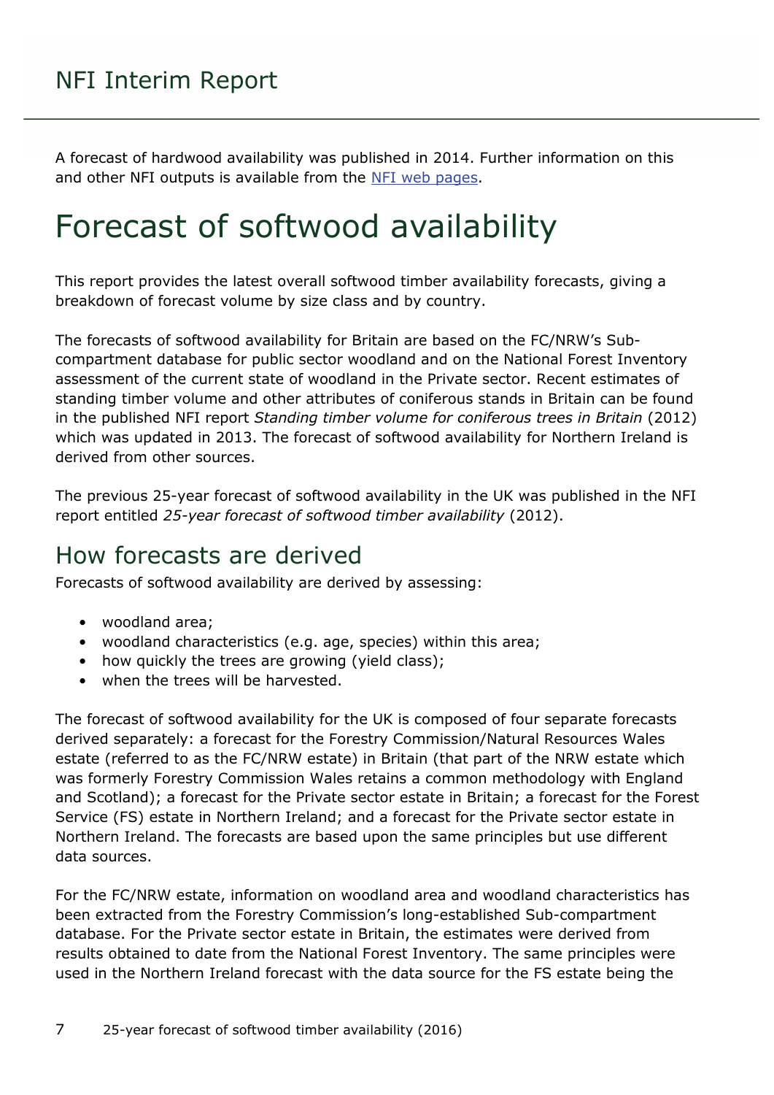A forecast of hardwood availability was published in 2014. Further information on this and other NFI outputs is available from the [NFI web pages.](http://www.forestry.gov.uk/inventory)

## <span id="page-6-0"></span>Forecast of softwood availability

This report provides the latest overall softwood timber availability forecasts, giving a breakdown of forecast volume by size class and by country.

The forecasts of softwood availability for Britain are based on the FC/NRW's Subcompartment database for public sector woodland and on the National Forest Inventory assessment of the current state of woodland in the Private sector. Recent estimates of standing timber volume and other attributes of coniferous stands in Britain can be found in the published NFI report *Standing timber volume for coniferous trees in Britain* (2012) which was updated in 2013. The forecast of softwood availability for Northern Ireland is derived from other sources.

The previous 25-year forecast of softwood availability in the UK was published in the NFI report entitled *25-year forecast of softwood timber availability* (2012).

### <span id="page-6-1"></span>How forecasts are derived

Forecasts of softwood availability are derived by assessing:

- woodland area;
- woodland characteristics (e.g. age, species) within this area;
- how quickly the trees are growing (yield class);
- when the trees will be harvested.

The forecast of softwood availability for the UK is composed of four separate forecasts derived separately: a forecast for the Forestry Commission/Natural Resources Wales estate (referred to as the FC/NRW estate) in Britain (that part of the NRW estate which was formerly Forestry Commission Wales retains a common methodology with England and Scotland); a forecast for the Private sector estate in Britain; a forecast for the Forest Service (FS) estate in Northern Ireland; and a forecast for the Private sector estate in Northern Ireland. The forecasts are based upon the same principles but use different data sources.

For the FC/NRW estate, information on woodland area and woodland characteristics has been extracted from the Forestry Commission's long-established Sub-compartment database. For the Private sector estate in Britain, the estimates were derived from results obtained to date from the National Forest Inventory. The same principles were used in the Northern Ireland forecast with the data source for the FS estate being the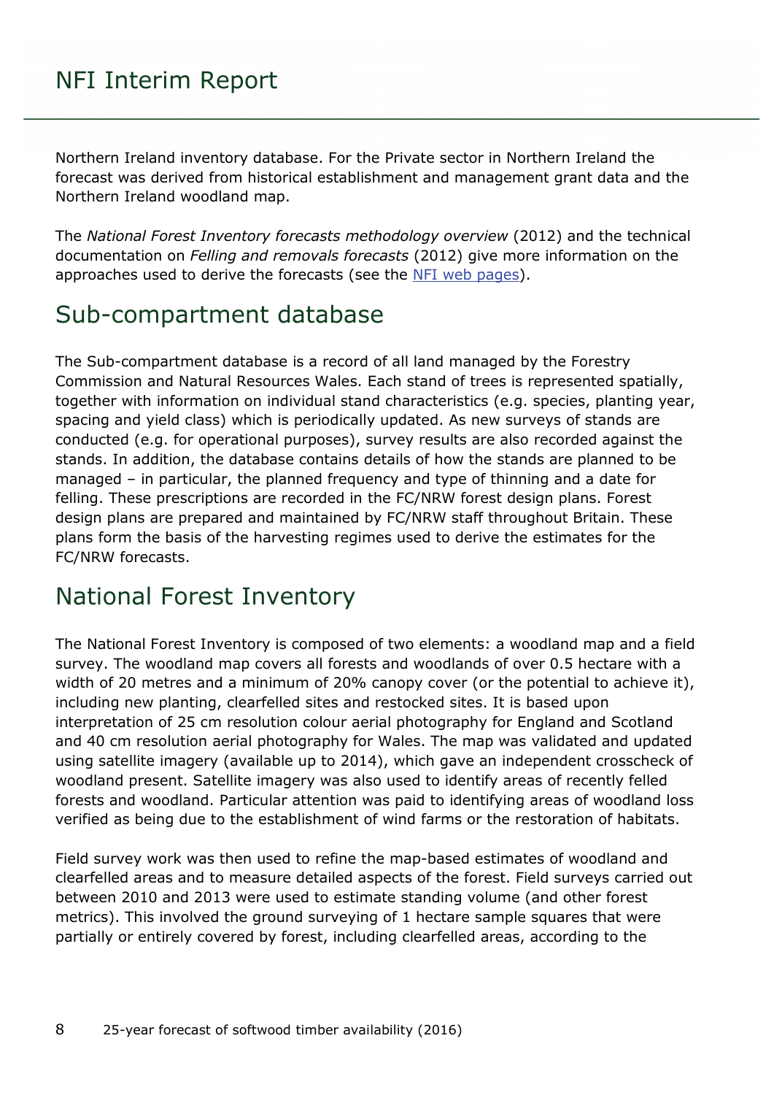Northern Ireland inventory database. For the Private sector in Northern Ireland the forecast was derived from historical establishment and management grant data and the Northern Ireland woodland map.

The *National Forest Inventory forecasts methodology overview* (2012) and the technical documentation on *Felling and removals forecasts* (2012) give more information on the approaches used to derive the forecasts (see the [NFI web pages\)](http://www.forestry.gov.uk/inventory).

### <span id="page-7-0"></span>Sub-compartment database

The Sub-compartment database is a record of all land managed by the Forestry Commission and Natural Resources Wales. Each stand of trees is represented spatially, together with information on individual stand characteristics (e.g. species, planting year, spacing and yield class) which is periodically updated. As new surveys of stands are conducted (e.g. for operational purposes), survey results are also recorded against the stands. In addition, the database contains details of how the stands are planned to be managed – in particular, the planned frequency and type of thinning and a date for felling. These prescriptions are recorded in the FC/NRW forest design plans. Forest design plans are prepared and maintained by FC/NRW staff throughout Britain. These plans form the basis of the harvesting regimes used to derive the estimates for the FC/NRW forecasts.

### <span id="page-7-1"></span>National Forest Inventory

The National Forest Inventory is composed of two elements: a woodland map and a field survey. The woodland map covers all forests and woodlands of over 0.5 hectare with a width of 20 metres and a minimum of 20% canopy cover (or the potential to achieve it), including new planting, clearfelled sites and restocked sites. It is based upon interpretation of 25 cm resolution colour aerial photography for England and Scotland and 40 cm resolution aerial photography for Wales. The map was validated and updated using satellite imagery (available up to 2014), which gave an independent crosscheck of woodland present. Satellite imagery was also used to identify areas of recently felled forests and woodland. Particular attention was paid to identifying areas of woodland loss verified as being due to the establishment of wind farms or the restoration of habitats.

Field survey work was then used to refine the map-based estimates of woodland and clearfelled areas and to measure detailed aspects of the forest. Field surveys carried out between 2010 and 2013 were used to estimate standing volume (and other forest metrics). This involved the ground surveying of 1 hectare sample squares that were partially or entirely covered by forest, including clearfelled areas, according to the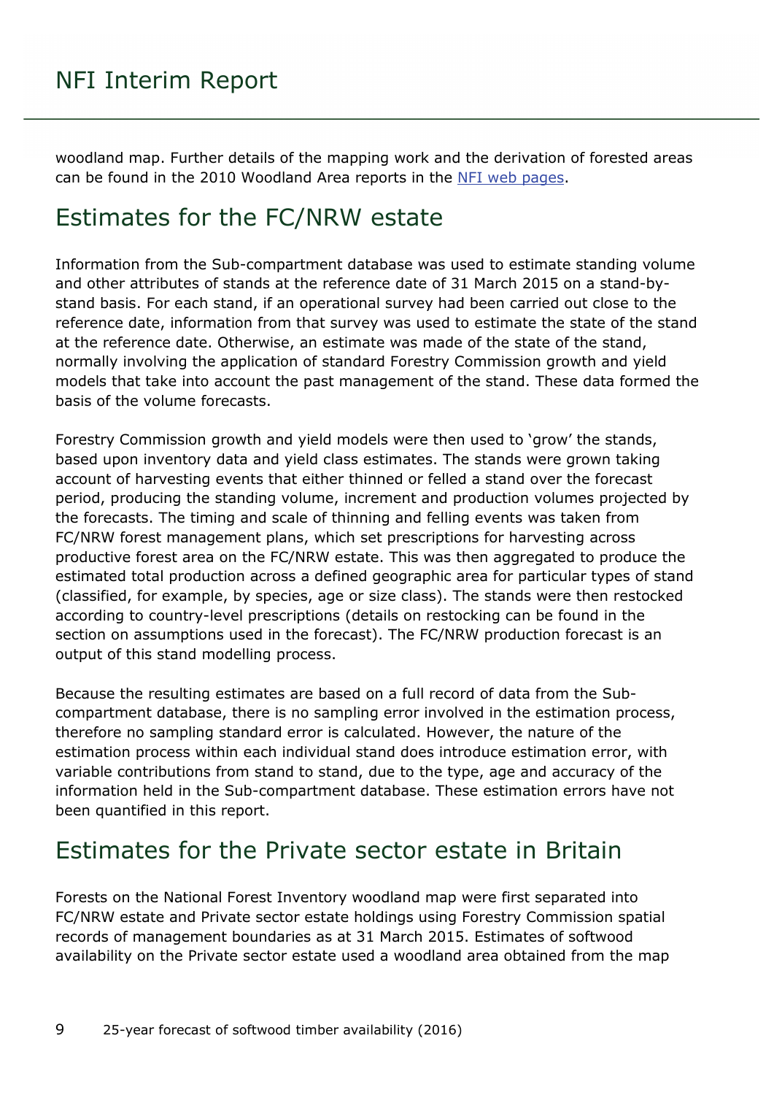woodland map. Further details of the mapping work and the derivation of forested areas can be found in the 2010 Woodland Area reports in the [NFI web pages.](http://www.forestry.gov.uk/inventory)

### <span id="page-8-0"></span>Estimates for the FC/NRW estate

Information from the Sub-compartment database was used to estimate standing volume and other attributes of stands at the reference date of 31 March 2015 on a stand-bystand basis. For each stand, if an operational survey had been carried out close to the reference date, information from that survey was used to estimate the state of the stand at the reference date. Otherwise, an estimate was made of the state of the stand, normally involving the application of standard Forestry Commission growth and yield models that take into account the past management of the stand. These data formed the basis of the volume forecasts.

Forestry Commission growth and yield models were then used to 'grow' the stands, based upon inventory data and yield class estimates. The stands were grown taking account of harvesting events that either thinned or felled a stand over the forecast period, producing the standing volume, increment and production volumes projected by the forecasts. The timing and scale of thinning and felling events was taken from FC/NRW forest management plans, which set prescriptions for harvesting across productive forest area on the FC/NRW estate. This was then aggregated to produce the estimated total production across a defined geographic area for particular types of stand (classified, for example, by species, age or size class). The stands were then restocked according to country-level prescriptions (details on restocking can be found in the section on assumptions used in the forecast). The FC/NRW production forecast is an output of this stand modelling process.

Because the resulting estimates are based on a full record of data from the Subcompartment database, there is no sampling error involved in the estimation process, therefore no sampling standard error is calculated. However, the nature of the estimation process within each individual stand does introduce estimation error, with variable contributions from stand to stand, due to the type, age and accuracy of the information held in the Sub-compartment database. These estimation errors have not been quantified in this report.

### <span id="page-8-1"></span>Estimates for the Private sector estate in Britain

Forests on the National Forest Inventory woodland map were first separated into FC/NRW estate and Private sector estate holdings using Forestry Commission spatial records of management boundaries as at 31 March 2015. Estimates of softwood availability on the Private sector estate used a woodland area obtained from the map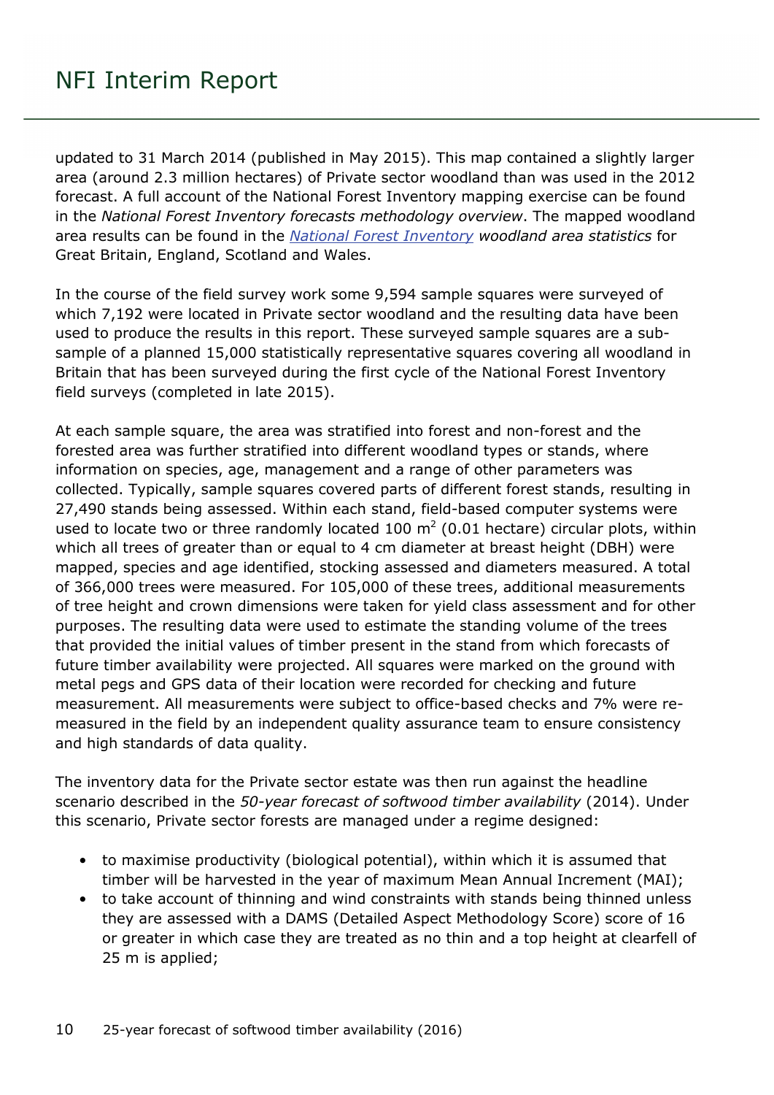updated to 31 March 2014 (published in May 2015). This map contained a slightly larger area (around 2.3 million hectares) of Private sector woodland than was used in the 2012 forecast. A full account of the National Forest Inventory mapping exercise can be found in the *National Forest Inventory forecasts methodology overview*. The mapped woodland area results can be found in the *[National Forest Inventory](http://www.forestry.gov.uk/inventory) woodland area statistics* for Great Britain, England, Scotland and Wales.

In the course of the field survey work some 9,594 sample squares were surveyed of which 7,192 were located in Private sector woodland and the resulting data have been used to produce the results in this report. These surveyed sample squares are a subsample of a planned 15,000 statistically representative squares covering all woodland in Britain that has been surveyed during the first cycle of the National Forest Inventory field surveys (completed in late 2015).

At each sample square, the area was stratified into forest and non-forest and the forested area was further stratified into different woodland types or stands, where information on species, age, management and a range of other parameters was collected. Typically, sample squares covered parts of different forest stands, resulting in 27,490 stands being assessed. Within each stand, field-based computer systems were used to locate two or three randomly located 100  $m<sup>2</sup>$  (0.01 hectare) circular plots, within which all trees of greater than or equal to 4 cm diameter at breast height (DBH) were mapped, species and age identified, stocking assessed and diameters measured. A total of 366,000 trees were measured. For 105,000 of these trees, additional measurements of tree height and crown dimensions were taken for yield class assessment and for other purposes. The resulting data were used to estimate the standing volume of the trees that provided the initial values of timber present in the stand from which forecasts of future timber availability were projected. All squares were marked on the ground with metal pegs and GPS data of their location were recorded for checking and future measurement. All measurements were subject to office-based checks and 7% were remeasured in the field by an independent quality assurance team to ensure consistency and high standards of data quality.

The inventory data for the Private sector estate was then run against the headline scenario described in the *50-year forecast of softwood timber availability* (2014). Under this scenario, Private sector forests are managed under a regime designed:

- to maximise productivity (biological potential), within which it is assumed that timber will be harvested in the year of maximum Mean Annual Increment (MAI);
- to take account of thinning and wind constraints with stands being thinned unless they are assessed with a DAMS (Detailed Aspect Methodology Score) score of 16 or greater in which case they are treated as no thin and a top height at clearfell of 25 m is applied;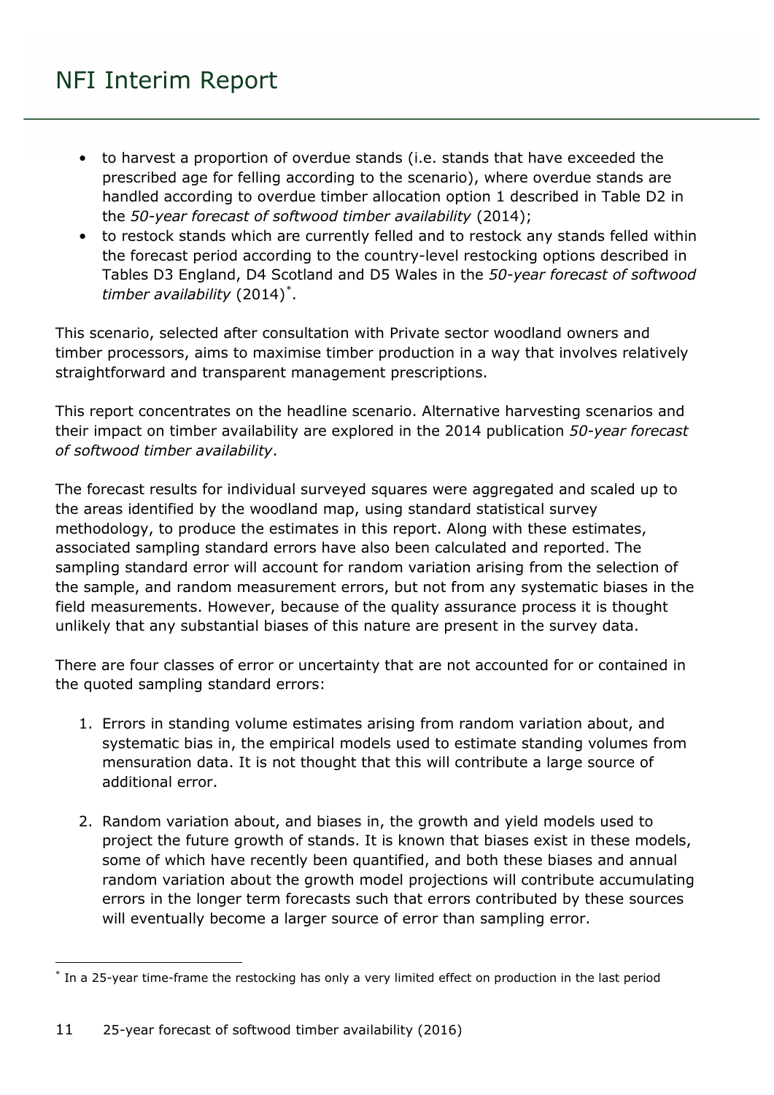- to harvest a proportion of overdue stands (i.e. stands that have exceeded the prescribed age for felling according to the scenario), where overdue stands are handled according to overdue timber allocation option 1 described in Table D2 in the *50-year forecast of softwood timber availability* (2014);
- to restock stands which are currently felled and to restock any stands felled within the forecast period according to the country-level restocking options described in Tables D3 England, D4 Scotland and D5 Wales in the *50-year forecast of softwood timber availability* (2014)[\\*](#page-10-0) .

This scenario, selected after consultation with Private sector woodland owners and timber processors, aims to maximise timber production in a way that involves relatively straightforward and transparent management prescriptions.

This report concentrates on the headline scenario. Alternative harvesting scenarios and their impact on timber availability are explored in the 2014 publication *50-year forecast of softwood timber availability*.

The forecast results for individual surveyed squares were aggregated and scaled up to the areas identified by the woodland map, using standard statistical survey methodology, to produce the estimates in this report. Along with these estimates, associated sampling standard errors have also been calculated and reported. The sampling standard error will account for random variation arising from the selection of the sample, and random measurement errors, but not from any systematic biases in the field measurements. However, because of the quality assurance process it is thought unlikely that any substantial biases of this nature are present in the survey data.

There are four classes of error or uncertainty that are not accounted for or contained in the quoted sampling standard errors:

- 1. Errors in standing volume estimates arising from random variation about, and systematic bias in, the empirical models used to estimate standing volumes from mensuration data. It is not thought that this will contribute a large source of additional error.
- 2. Random variation about, and biases in, the growth and yield models used to project the future growth of stands. It is known that biases exist in these models, some of which have recently been quantified, and both these biases and annual random variation about the growth model projections will contribute accumulating errors in the longer term forecasts such that errors contributed by these sources will eventually become a larger source of error than sampling error.

<span id="page-10-0"></span><sup>-</sup>\* In a 25-year time-frame the restocking has only a very limited effect on production in the last period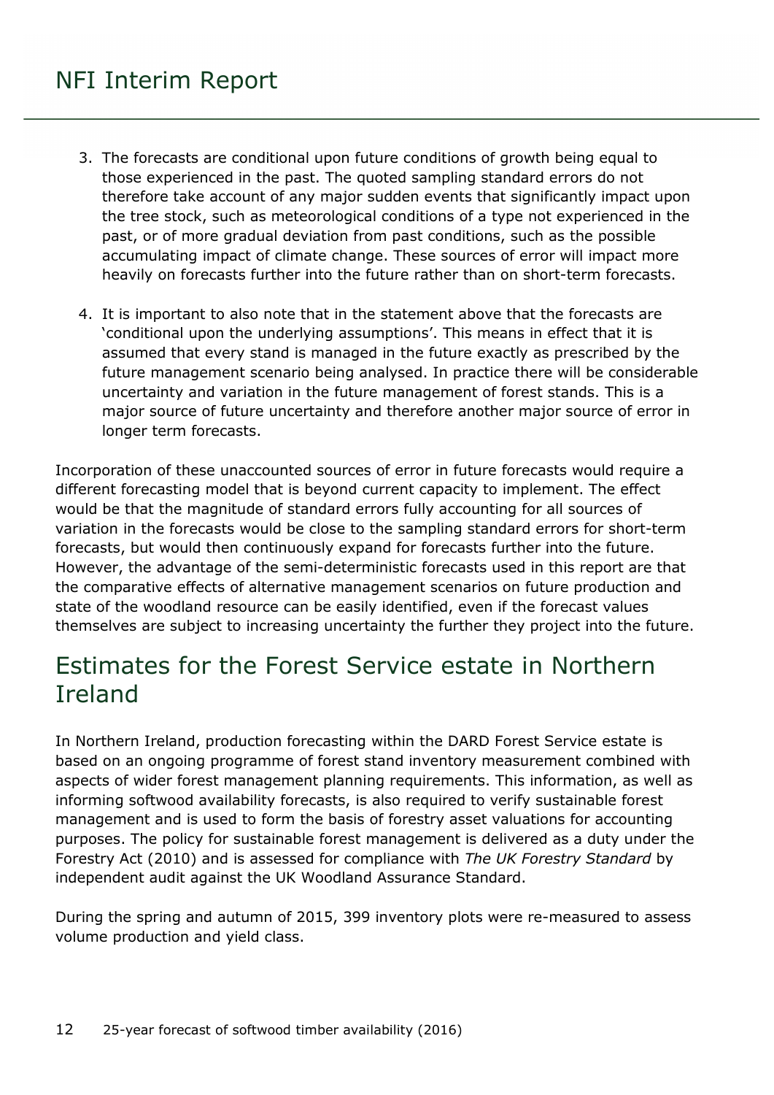- 3. The forecasts are conditional upon future conditions of growth being equal to those experienced in the past. The quoted sampling standard errors do not therefore take account of any major sudden events that significantly impact upon the tree stock, such as meteorological conditions of a type not experienced in the past, or of more gradual deviation from past conditions, such as the possible accumulating impact of climate change. These sources of error will impact more heavily on forecasts further into the future rather than on short-term forecasts.
- 4. It is important to also note that in the statement above that the forecasts are 'conditional upon the underlying assumptions'. This means in effect that it is assumed that every stand is managed in the future exactly as prescribed by the future management scenario being analysed. In practice there will be considerable uncertainty and variation in the future management of forest stands. This is a major source of future uncertainty and therefore another major source of error in longer term forecasts.

Incorporation of these unaccounted sources of error in future forecasts would require a different forecasting model that is beyond current capacity to implement. The effect would be that the magnitude of standard errors fully accounting for all sources of variation in the forecasts would be close to the sampling standard errors for short-term forecasts, but would then continuously expand for forecasts further into the future. However, the advantage of the semi-deterministic forecasts used in this report are that the comparative effects of alternative management scenarios on future production and state of the woodland resource can be easily identified, even if the forecast values themselves are subject to increasing uncertainty the further they project into the future.

### <span id="page-11-0"></span>Estimates for the Forest Service estate in Northern Ireland

In Northern Ireland, production forecasting within the DARD Forest Service estate is based on an ongoing programme of forest stand inventory measurement combined with aspects of wider forest management planning requirements. This information, as well as informing softwood availability forecasts, is also required to verify sustainable forest management and is used to form the basis of forestry asset valuations for accounting purposes. The policy for sustainable forest management is delivered as a duty under the Forestry Act (2010) and is assessed for compliance with *The UK Forestry Standard* by independent audit against the UK Woodland Assurance Standard.

During the spring and autumn of 2015, 399 inventory plots were re-measured to assess volume production and yield class.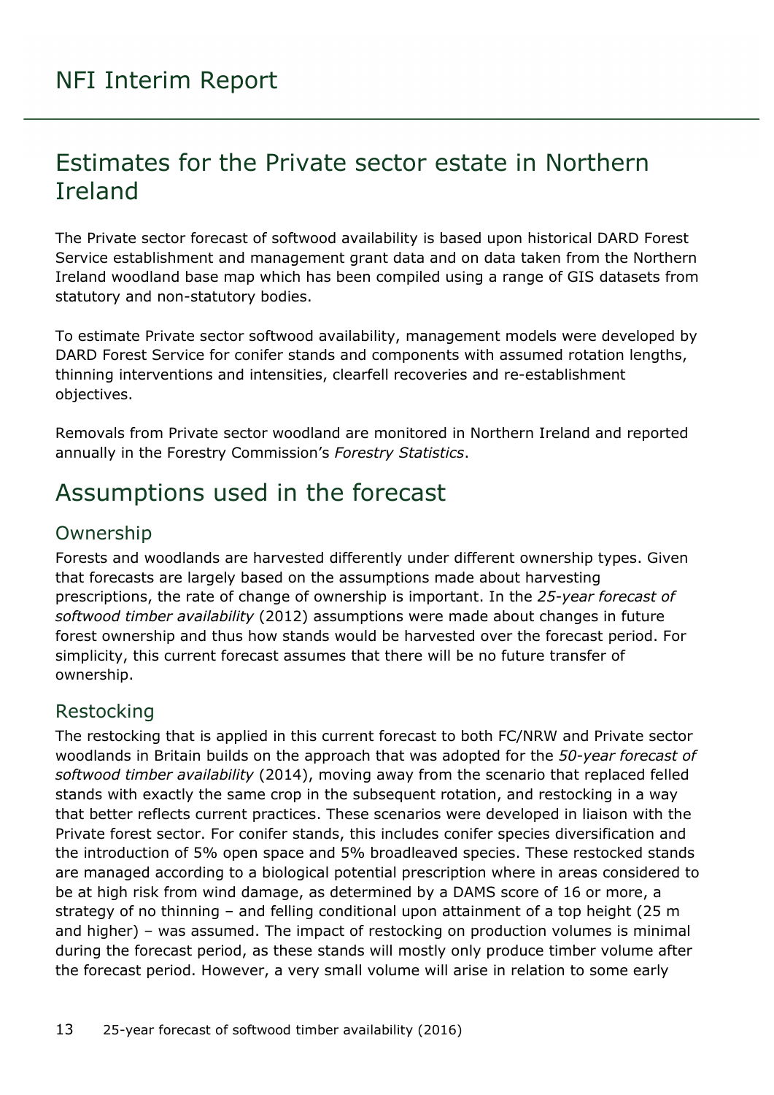### <span id="page-12-0"></span>Estimates for the Private sector estate in Northern Ireland

The Private sector forecast of softwood availability is based upon historical DARD Forest Service establishment and management grant data and on data taken from the Northern Ireland woodland base map which has been compiled using a range of GIS datasets from statutory and non-statutory bodies.

To estimate Private sector softwood availability, management models were developed by DARD Forest Service for conifer stands and components with assumed rotation lengths, thinning interventions and intensities, clearfell recoveries and re-establishment objectives.

Removals from Private sector woodland are monitored in Northern Ireland and reported annually in the Forestry Commission's *Forestry Statistics*.

### <span id="page-12-1"></span>Assumptions used in the forecast

#### <span id="page-12-2"></span>Ownership

Forests and woodlands are harvested differently under different ownership types. Given that forecasts are largely based on the assumptions made about harvesting prescriptions, the rate of change of ownership is important. In the *25-year forecast of softwood timber availability* (2012) assumptions were made about changes in future forest ownership and thus how stands would be harvested over the forecast period. For simplicity, this current forecast assumes that there will be no future transfer of ownership.

#### <span id="page-12-3"></span>Restocking

The restocking that is applied in this current forecast to both FC/NRW and Private sector woodlands in Britain builds on the approach that was adopted for the *50-year forecast of softwood timber availability* (2014), moving away from the scenario that replaced felled stands with exactly the same crop in the subsequent rotation, and restocking in a way that better reflects current practices. These scenarios were developed in liaison with the Private forest sector. For conifer stands, this includes conifer species diversification and the introduction of 5% open space and 5% broadleaved species. These restocked stands are managed according to a biological potential prescription where in areas considered to be at high risk from wind damage, as determined by a DAMS score of 16 or more, a strategy of no thinning – and felling conditional upon attainment of a top height (25 m and higher) – was assumed. The impact of restocking on production volumes is minimal during the forecast period, as these stands will mostly only produce timber volume after the forecast period. However, a very small volume will arise in relation to some early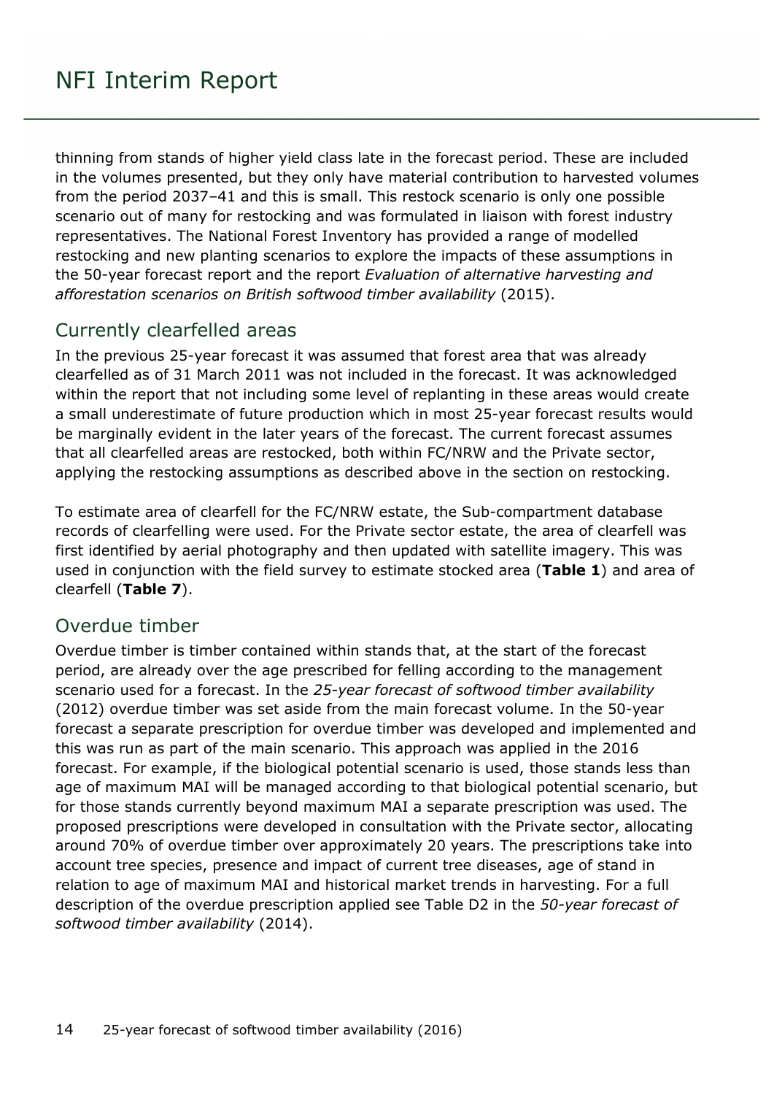thinning from stands of higher yield class late in the forecast period. These are included in the volumes presented, but they only have material contribution to harvested volumes from the period 2037–41 and this is small. This restock scenario is only one possible scenario out of many for restocking and was formulated in liaison with forest industry representatives. The National Forest Inventory has provided a range of modelled restocking and new planting scenarios to explore the impacts of these assumptions in the 50-year forecast report and the report *Evaluation of alternative harvesting and afforestation scenarios on British softwood timber availability* (2015).

#### <span id="page-13-0"></span>Currently clearfelled areas

In the previous 25-year forecast it was assumed that forest area that was already clearfelled as of 31 March 2011 was not included in the forecast. It was acknowledged within the report that not including some level of replanting in these areas would create a small underestimate of future production which in most 25-year forecast results would be marginally evident in the later years of the forecast. The current forecast assumes that all clearfelled areas are restocked, both within FC/NRW and the Private sector, applying the restocking assumptions as described above in the section on restocking.

To estimate area of clearfell for the FC/NRW estate, the Sub-compartment database records of clearfelling were used. For the Private sector estate, the area of clearfell was first identified by aerial photography and then updated with satellite imagery. This was used in conjunction with the field survey to estimate stocked area (**Table 1**) and area of clearfell (**Table 7**).

#### <span id="page-13-1"></span>Overdue timber

Overdue timber is timber contained within stands that, at the start of the forecast period, are already over the age prescribed for felling according to the management scenario used for a forecast. In the *25-year forecast of softwood timber availability* (2012) overdue timber was set aside from the main forecast volume. In the 50-year forecast a separate prescription for overdue timber was developed and implemented and this was run as part of the main scenario. This approach was applied in the 2016 forecast. For example, if the biological potential scenario is used, those stands less than age of maximum MAI will be managed according to that biological potential scenario, but for those stands currently beyond maximum MAI a separate prescription was used. The proposed prescriptions were developed in consultation with the Private sector, allocating around 70% of overdue timber over approximately 20 years. The prescriptions take into account tree species, presence and impact of current tree diseases, age of stand in relation to age of maximum MAI and historical market trends in harvesting. For a full description of the overdue prescription applied see Table D2 in the *50-year forecast of softwood timber availability* (2014).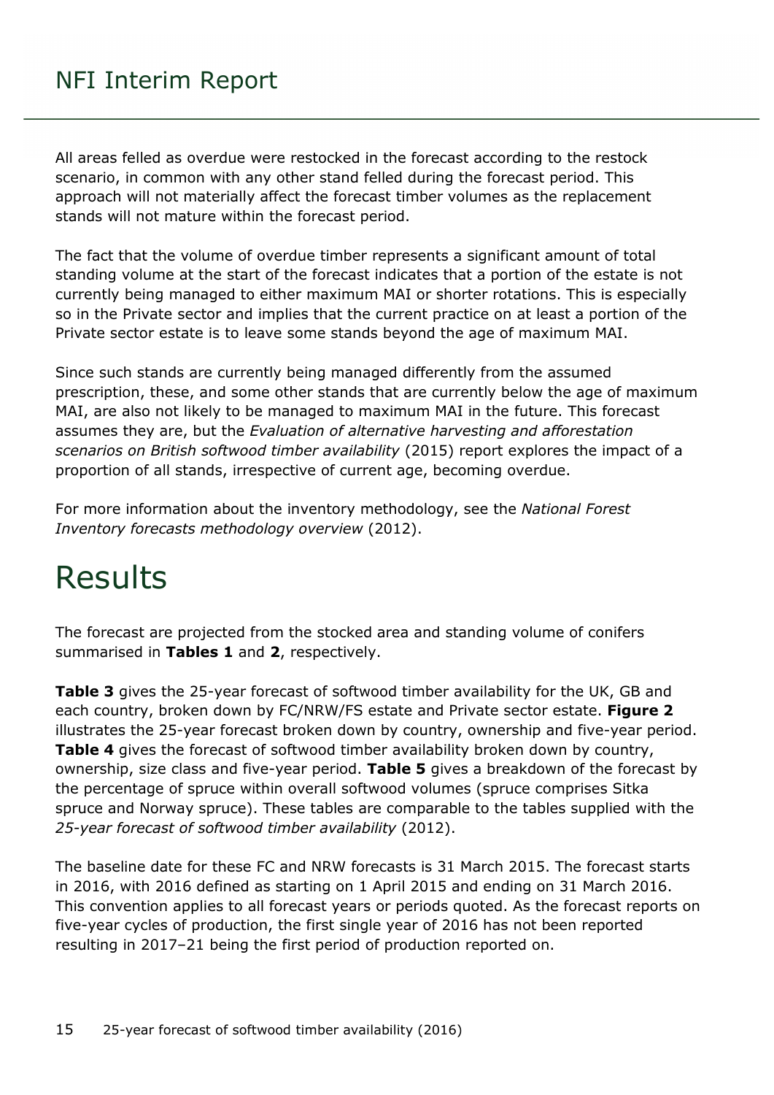All areas felled as overdue were restocked in the forecast according to the restock scenario, in common with any other stand felled during the forecast period. This approach will not materially affect the forecast timber volumes as the replacement stands will not mature within the forecast period.

The fact that the volume of overdue timber represents a significant amount of total standing volume at the start of the forecast indicates that a portion of the estate is not currently being managed to either maximum MAI or shorter rotations. This is especially so in the Private sector and implies that the current practice on at least a portion of the Private sector estate is to leave some stands beyond the age of maximum MAI.

Since such stands are currently being managed differently from the assumed prescription, these, and some other stands that are currently below the age of maximum MAI, are also not likely to be managed to maximum MAI in the future. This forecast assumes they are, but the *Evaluation of alternative harvesting and afforestation scenarios on British softwood timber availability* (2015) report explores the impact of a proportion of all stands, irrespective of current age, becoming overdue.

For more information about the inventory methodology, see the *National Forest Inventory forecasts methodology overview* (2012).

## <span id="page-14-0"></span>Results

The forecast are projected from the stocked area and standing volume of conifers summarised in **Tables 1** and **2**, respectively.

**Table 3** gives the 25-year forecast of softwood timber availability for the UK, GB and each country, broken down by FC/NRW/FS estate and Private sector estate. **Figure 2** illustrates the 25-year forecast broken down by country, ownership and five-year period. **Table 4** gives the forecast of softwood timber availability broken down by country, ownership, size class and five-year period. **Table 5** gives a breakdown of the forecast by the percentage of spruce within overall softwood volumes (spruce comprises Sitka spruce and Norway spruce). These tables are comparable to the tables supplied with the *25-year forecast of softwood timber availability* (2012).

The baseline date for these FC and NRW forecasts is 31 March 2015. The forecast starts in 2016, with 2016 defined as starting on 1 April 2015 and ending on 31 March 2016. This convention applies to all forecast years or periods quoted. As the forecast reports on five-year cycles of production, the first single year of 2016 has not been reported resulting in 2017–21 being the first period of production reported on.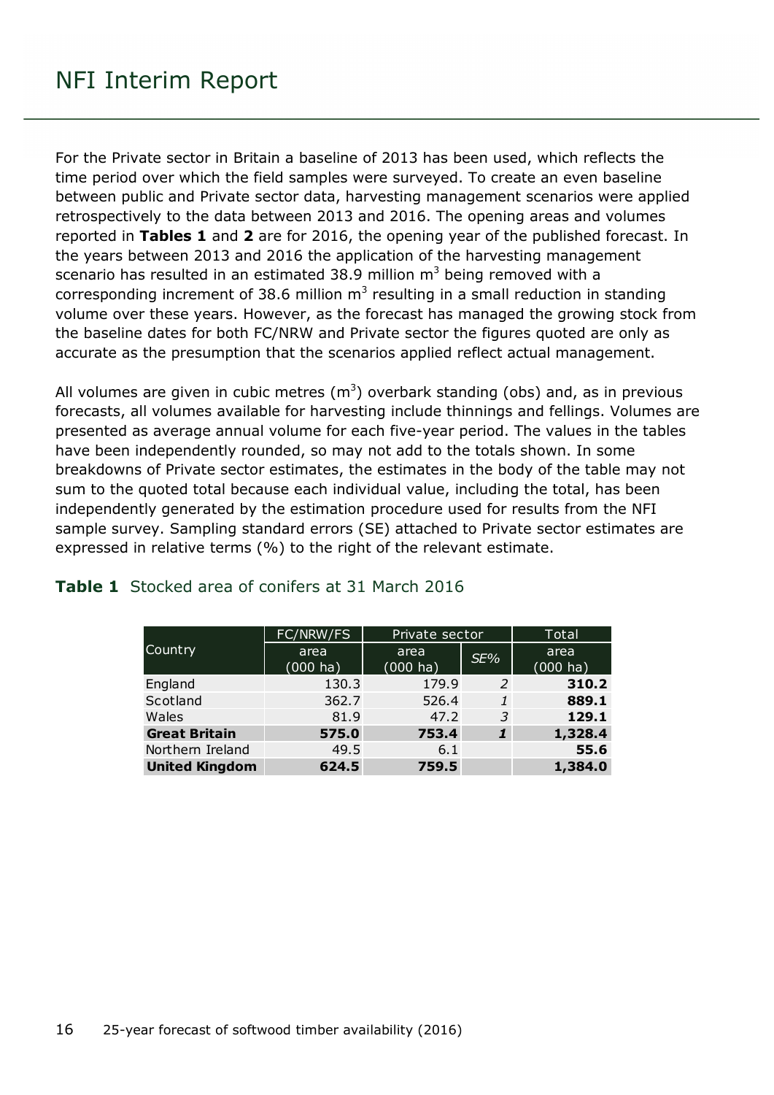For the Private sector in Britain a baseline of 2013 has been used, which reflects the time period over which the field samples were surveyed. To create an even baseline between public and Private sector data, harvesting management scenarios were applied retrospectively to the data between 2013 and 2016. The opening areas and volumes reported in **Tables 1** and **2** are for 2016, the opening year of the published forecast. In the years between 2013 and 2016 the application of the harvesting management scenario has resulted in an estimated 38.9 million  $m<sup>3</sup>$  being removed with a corresponding increment of 38.6 million  $m<sup>3</sup>$  resulting in a small reduction in standing volume over these years. However, as the forecast has managed the growing stock from the baseline dates for both FC/NRW and Private sector the figures quoted are only as accurate as the presumption that the scenarios applied reflect actual management.

All volumes are given in cubic metres  $(m^3)$  overbark standing (obs) and, as in previous forecasts, all volumes available for harvesting include thinnings and fellings. Volumes are presented as average annual volume for each five-year period. The values in the tables have been independently rounded, so may not add to the totals shown. In some breakdowns of Private sector estimates, the estimates in the body of the table may not sum to the quoted total because each individual value, including the total, has been independently generated by the estimation procedure used for results from the NFI sample survey. Sampling standard errors (SE) attached to Private sector estimates are expressed in relative terms (%) to the right of the relevant estimate.

|                       | FC/NRW/FS           | Private sector             |              | Total               |  |  |  |
|-----------------------|---------------------|----------------------------|--------------|---------------------|--|--|--|
| Country               | area<br>$(000)$ ha) | area<br>$(000 \text{ ha})$ | SE%          | area<br>$(000)$ ha) |  |  |  |
| England               | 130.3               | 179.9                      | 2            | 310.2               |  |  |  |
| Scotland              | 362.7               | 526.4                      | $\mathbf{1}$ | 889.1               |  |  |  |
| Wales                 | 81.9                | 47.2                       | 3            | 129.1               |  |  |  |
| <b>Great Britain</b>  | 575.0               | 753.4                      | 1            | 1,328.4             |  |  |  |
| Northern Ireland      | 49.5                | 6.1                        |              | 55.6                |  |  |  |
| <b>United Kingdom</b> | 624.5               | 759.5                      |              | 1,384.0             |  |  |  |

#### <span id="page-15-0"></span>**Table 1** Stocked area of conifers at 31 March 2016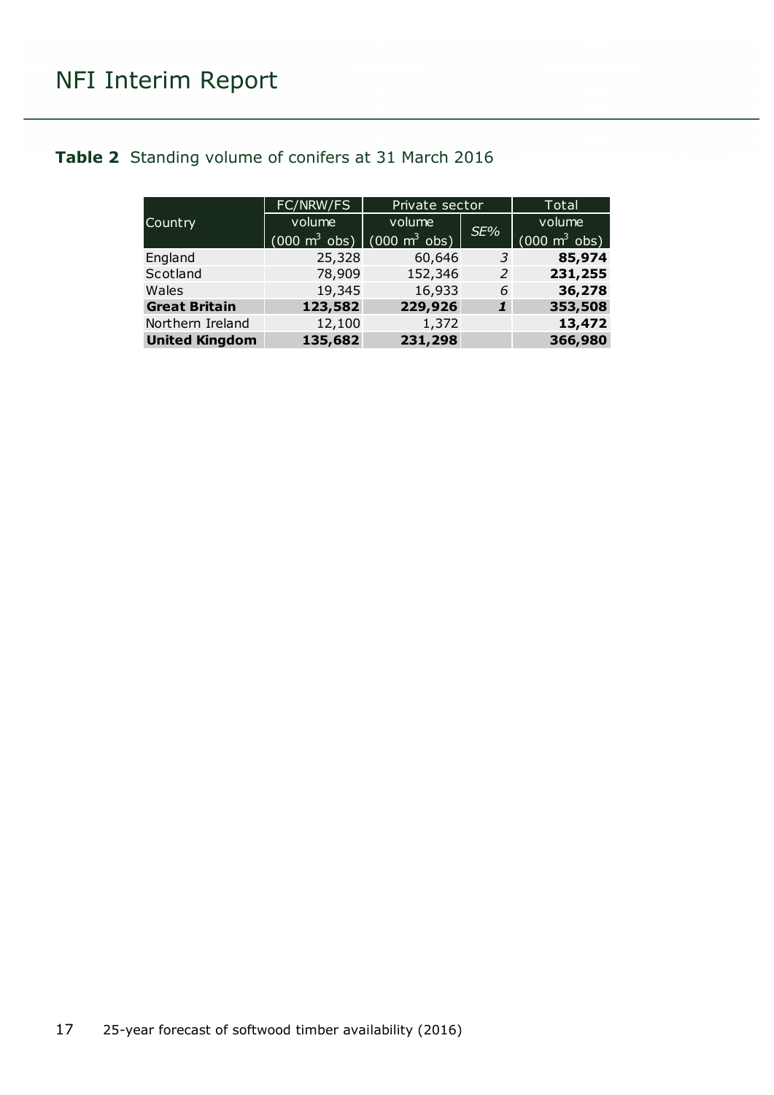#### <span id="page-16-0"></span>**Table 2** Standing volume of conifers at 31 March 2016

|                       | FC/NRW/FS                       | Private sector                  |     | Total                           |
|-----------------------|---------------------------------|---------------------------------|-----|---------------------------------|
| Country               | volume                          | volume                          | SE% | volume                          |
|                       | $(000 \text{ m}^3 \text{ obs})$ | $(000 \text{ m}^3 \text{ obs})$ |     | $(000 \text{ m}^3 \text{ obs})$ |
| England               | 25,328                          | 60,646                          | 3   | 85,974                          |
| Scotland              | 78,909                          | 152,346                         | 2   | 231,255                         |
| Wales                 | 19,345                          | 16,933                          | 6   | 36,278                          |
| <b>Great Britain</b>  | 123,582                         | 229,926                         | 1   | 353,508                         |
| Northern Ireland      | 12,100                          | 1,372                           |     | 13,472                          |
| <b>United Kingdom</b> | 135,682                         | 231,298                         |     | 366,980                         |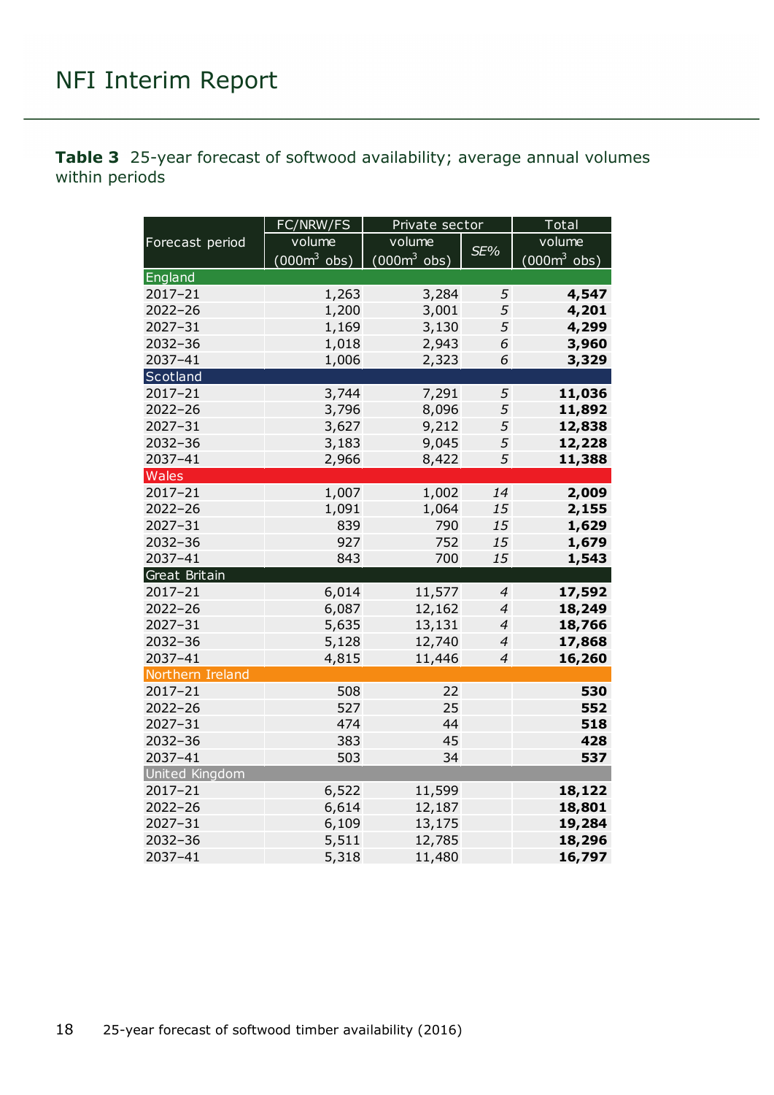<span id="page-17-0"></span>**Table 3** 25-year forecast of softwood availability; average annual volumes within periods

|                       | FC/NRW/FS              | Private sector |                | Total          |
|-----------------------|------------------------|----------------|----------------|----------------|
| Forecast period       | volume                 | volume         |                | volume         |
|                       | $(000m^3 \text{ obs})$ | $(0003$ obs)   | SE%            | $(000m^3$ obs) |
| England               |                        |                |                |                |
| 2017-21               | 1,263                  | 3,284          | 5              | 4,547          |
| $2022 - 26$           | 1,200                  | 3,001          | 5              | 4,201          |
| 2027-31               | 1,169                  | 3,130          | 5              | 4,299          |
| 2032-36               | 1,018                  | 2,943          | 6              | 3,960          |
| 2037-41               | 1,006                  | 2,323          | 6              | 3,329          |
| Scotland              |                        |                |                |                |
| $2017 - 21$           | 3,744                  | 7,291          | 5              | 11,036         |
| $2022 - 26$           | 3,796                  | 8,096          | 5              | 11,892         |
| $2027 - 31$           | 3,627                  | 9,212          | 5              | 12,838         |
| 2032-36               | 3,183                  | 9,045          | 5              | 12,228         |
| 2037-41               | 2,966                  | 8,422          | 5              | 11,388         |
| Wales                 |                        |                |                |                |
| $2017 - 21$           | 1,007                  | 1,002          | 14             | 2,009          |
| 2022-26               | 1,091                  | 1,064          | 15             | 2,155          |
| 2027-31               | 839                    | 790            | 15             | 1,629          |
| 2032-36               | 927                    | 752            | 15             | 1,679          |
| 2037-41               | 843                    | 700            | 15             | 1,543          |
| Great Britain         |                        |                |                |                |
| 2017-21               | 6,014                  | 11,577         | 4              | 17,592         |
| 2022-26               | 6,087                  | 12,162         | $\overline{4}$ | 18,249         |
| 2027-31               | 5,635                  | 13,131         | $\overline{4}$ | 18,766         |
| 2032-36               | 5,128                  | 12,740         | $\overline{4}$ | 17,868         |
| 2037-41               | 4,815                  | 11,446         | 4              | 16,260         |
| Northern Ireland      |                        |                |                |                |
| 2017-21               | 508                    | 22             |                | 530            |
| 2022-26               | 527                    | 25             |                | 552            |
| 2027-31               | 474                    | 44             |                | 518            |
| 2032-36               | 383                    | 45             |                | 428            |
| 2037-41               | 503                    | 34             |                | 537            |
| <b>United Kingdom</b> |                        |                |                |                |
| 2017-21               | 6,522                  | 11,599         |                | 18,122         |
| $2022 - 26$           | 6,614                  | 12,187         |                | 18,801         |
| 2027-31               | 6,109                  | 13,175         |                | 19,284         |
| 2032-36               | 5,511                  | 12,785         |                | 18,296         |
| 2037-41               | 5,318                  | 11,480         |                | 16,797         |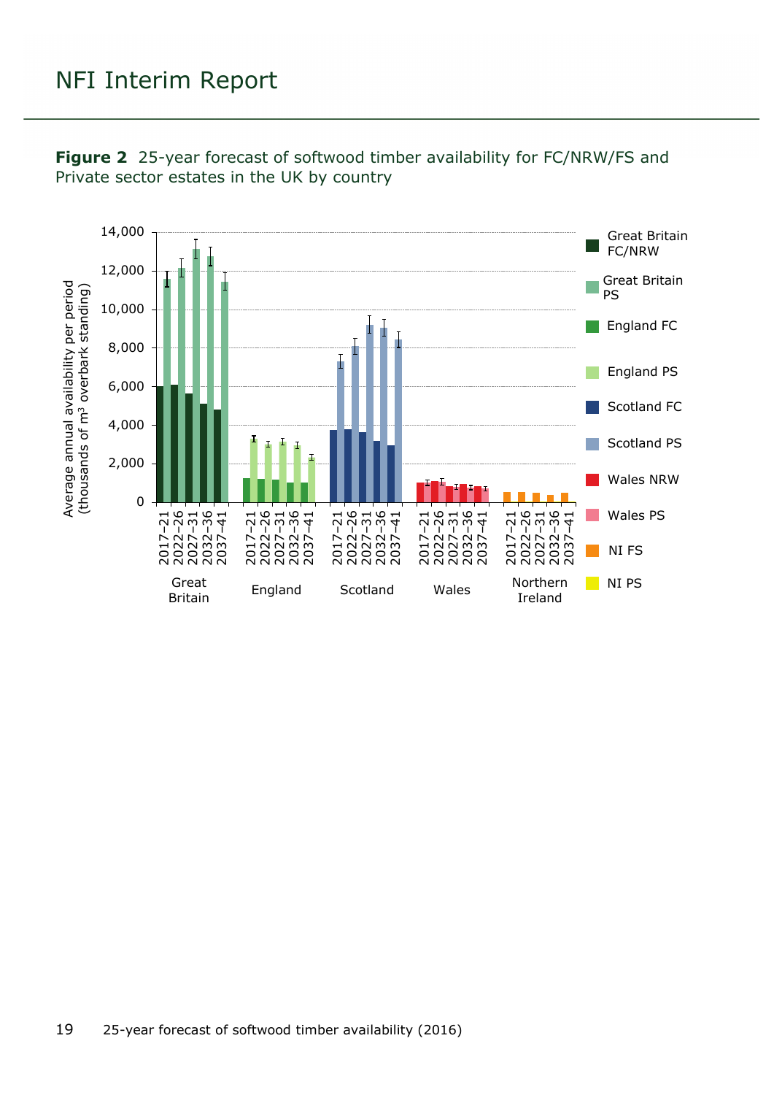

<span id="page-18-0"></span>**Figure 2** 25-year forecast of softwood timber availability for FC/NRW/FS and Private sector estates in the UK by country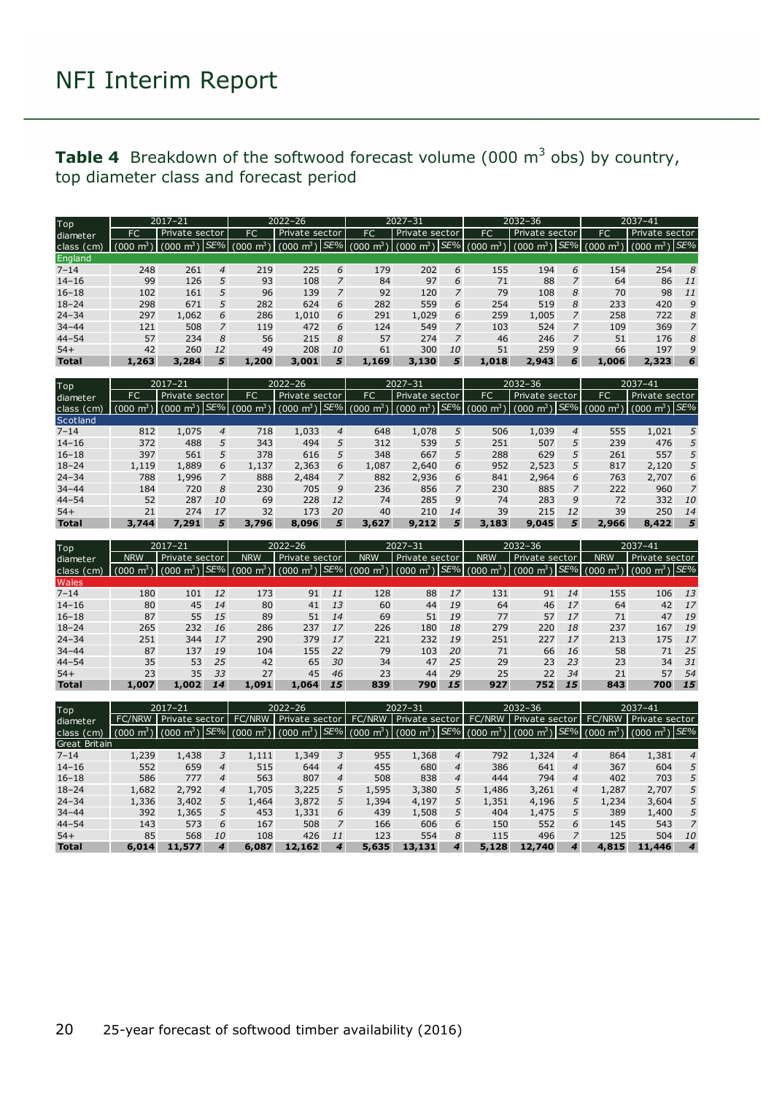#### <span id="page-19-0"></span>**Table 4** Breakdown of the softwood forecast volume (000 m<sup>3</sup> obs) by country, top diameter class and forecast period

| Top          | $2017 - 21$ |                |     |                         | 2022-26                                         |           |           | $2027 - 31$                                          |           |       | $2032 - 36$                     |                | $2037 - 41$                         |                           |                |
|--------------|-------------|----------------|-----|-------------------------|-------------------------------------------------|-----------|-----------|------------------------------------------------------|-----------|-------|---------------------------------|----------------|-------------------------------------|---------------------------|----------------|
| diameter     | FC.         | Private sector |     | FC                      | Private sector                                  |           | <b>FC</b> | Private sector                                       |           | FC    | Private sector                  |                | FC                                  | Private sector            |                |
| class (cm)   |             | (000 m $^3$ )  | SE% | $\mathbf{m}^3$<br>(000) | (000 m <sup>3</sup> ) SE% (000 m <sup>3</sup> ) |           |           | $\frac{1}{1}$ (000 m $^3$ ) <i>SE%</i> (000 m $^3$ ) |           |       | $(000 \text{ m}^3)$ $SE\%$ (000 |                | $\mu$ m <sup>3</sup> $\overline{Y}$ | (000 m <sup>3</sup> ) SE% |                |
| England      |             |                |     |                         |                                                 |           |           |                                                      |           |       |                                 |                |                                     |                           |                |
| $7 - 14$     | 248         | 261            | 4   | 219                     | 225                                             | 6         | 179       | 202                                                  | 6         | 155   | 194                             | 6              | 154                                 | 254                       | 8              |
| $14 - 16$    | 99          | 126            | 5   | 93                      | 108                                             |           | 84        | 97                                                   | 6         | 71    | 88                              |                | 64                                  | 86                        | 11             |
| $16 - 18$    | 102         | 161            | 5   | 96                      | 139                                             |           | 92        | 120                                                  |           | 79    | 108                             | 8              | 70                                  | 98                        | -11            |
| $18 - 24$    | 298         | 671            | 5   | 282                     | 624                                             | 6         | 282       | 559                                                  | 6         | 254   | 519                             | 8              | 233                                 | 420                       | 9              |
| $24 - 34$    | 297         | 1,062          | 6   | 286                     | 1,010                                           | 6         | 291       | 1,029                                                | 6         | 259   | 1,005                           |                | 258                                 | 722                       | 8              |
| $34 - 44$    | 121         | 508            |     | 119                     | 472                                             | 6         | 124       | 549                                                  |           | 103   | 524                             | 7              | 109                                 | 369                       | $\overline{7}$ |
| $44 - 54$    | 57          | 234            | 8   | 56                      | 215                                             | 8         | 57        | 274                                                  |           | 46    | 246                             | $\overline{z}$ | 51                                  | 176                       | 8              |
| $54+$        | 42          | 260            | 12  | 49                      | 208                                             | <i>10</i> | 61        | 300                                                  | <i>10</i> | 51    | 259                             | 9              | 66                                  | 197                       | 9              |
| <b>Total</b> | 1,263       | 3,284          | 5   | 1,200                   | 3,001                                           | 5.        | 1,169     | 3,130                                                | 5.        | 1,018 | 2,943                           | 6              | 1,006                               | 2,323                     | 6              |

| Top          | $2017 - 21$ |                              |    |                       | $2022 - 26$    |                |           | $2027 - 31$    |          |                       | $2032 - 36$               |                |                 | $2037 - 41$             |    |
|--------------|-------------|------------------------------|----|-----------------------|----------------|----------------|-----------|----------------|----------|-----------------------|---------------------------|----------------|-----------------|-------------------------|----|
| diameter     | FC          | Private sector               |    | FC.                   | Private sector |                | <b>FC</b> | Private sector |          | FC                    | Private sector            |                | <b>FC</b>       | Private sector          |    |
| class (cm)   | (000)       | (000 m <sup>3</sup> ) $SE\%$ |    | (000 $\mathsf{m}^3$ ) |                |                |           |                | $SE\%$ ( | $(000 \; \text{m}^3)$ | $(000 \; \text{m}^3)$ SE% |                | $m3$ )<br>(000) | $(000 \text{ m}^3)$ SE% |    |
| Scotland     |             |                              |    |                       |                |                |           |                |          |                       |                           |                |                 |                         |    |
| $7 - 14$     | 812         | 1,075                        | 4  | 718                   | 1,033          | $\overline{4}$ | 648       | 1,078          | 5        | 506                   | 1,039                     | $\overline{4}$ | 555             | 1,021                   | 5  |
| $14 - 16$    | 372         | 488                          | 5  | 343                   | 494            | 5              | 312       | 539            | 5        | 251                   | 507                       | 5              | 239             | 476                     | 5  |
| $16 - 18$    | 397         | 561                          | 5  | 378                   | 616            | 5              | 348       | 667            | 5        | 288                   | 629                       | 5              | 261             | 557                     | 5  |
| $18 - 24$    | 1,119       | 1,889                        | 6  | 1,137                 | 2,363          | 6              | 1,087     | 2,640          | 6        | 952                   | 2,523                     | 5              | 817             | 2,120                   | 5  |
| $24 - 34$    | 788         | 1,996                        |    | 888                   | 2,484          |                | 882       | 2,936          | 6        | 841                   | 2,964                     | 6              | 763             | 2,707                   | 6  |
| $34 - 44$    | 184         | 720                          | 8  | 230                   | 705            | 9              | 236       | 856            |          | 230                   | 885                       |                | 222             | 960                     |    |
| $44 - 54$    | 52          | 287                          | 10 | 69                    | 228            | 12             | 74        | 285            | 9        | 74                    | 283                       | 9              | 72              | 332                     | 10 |
| $54+$        | 21          | 274                          | 17 | 32                    | 173            | 20             | 40        | 210            | 14       | 39                    | 215                       | 12             | 39              | 250                     | 14 |
| <b>Total</b> | 3,744       | 7,291                        | 5  | 3,796                 | 8,096          | 5.             | 3,627     | 9.212          | 5        | 3,183                 | 9,045                     | 5              | 2,966           | 8,422                   | 5  |

| Top          |            | $2017 - 21$                                 |     |                         | $2022 - 26$             |    |                        | $2027 - 31$                            |    |                | $2032 - 36$         |          | $2037 - 41$   |                                  |    |
|--------------|------------|---------------------------------------------|-----|-------------------------|-------------------------|----|------------------------|----------------------------------------|----|----------------|---------------------|----------|---------------|----------------------------------|----|
| diameter     | <b>NRW</b> | Private sector                              |     | <b>NRW</b>              | Private sector          |    | <b>NRW</b>             | Private sector                         |    | <b>NRW</b>     | Private sector      |          | <b>NRW</b>    | Private sector                   |    |
| class (cm)   | 000)       | $\mathbf{m}^{\text{3}}$<br>nno <sup>.</sup> | SE% | $\mathbf{m}^3$<br>(000) | $(000 \text{ m}^3)$ SE% |    | nnn'<br>m <sup>2</sup> | $\cdot$ m <sup>3</sup> $\cdot$<br>0001 |    | SE% (000)<br>m | $(000 \text{ m}^3)$ | $ SE\% $ | $m^3$<br>000( | $\lfloor m^3 \rfloor$ SE%<br>000 |    |
| Wales        |            |                                             |     |                         |                         |    |                        |                                        |    |                |                     |          |               |                                  |    |
| $7 - 14$     | 180        | 101                                         | 12  | 173                     | 91                      | 11 | 128                    | 88                                     | 17 | 131            | 91                  | 14       | 155           | 106                              | 13 |
| $14 - 16$    | 80         | 45                                          | 14  | 80                      | 41                      | 13 | 60                     | 44                                     | 19 | 64             | 46                  | 17       | 64            | 42                               | 17 |
| $16 - 18$    | 87         | 55                                          | 15  | 89                      | 51                      | 14 | 69                     | 51                                     | 19 | 77             | 57                  | 17       | 71            | 47                               | 19 |
| $18 - 24$    | 265        | 232                                         | 16  | 286                     | 237                     | 17 | 226                    | 180                                    | 18 | 279            | 220                 | 18       | 237           | 167                              | 19 |
| $24 - 34$    | 251        | 344                                         | 17  | 290                     | 379                     | 17 | 221                    | 232                                    | 19 | 251            | 227                 | 17       | 213           | 175                              | 17 |
| $34 - 44$    | 87         | 137                                         | 19  | 104                     | 155                     | 22 | 79                     | 103                                    | 20 | 71             | 66                  | 16       | 58            | 71                               | 25 |
| $44 - 54$    | 35         | 53                                          | 25  | 42                      | 65                      | 30 | 34                     | 47                                     | 25 | 29             | 23                  | 23       | 23            | 34                               | 31 |
| $54+$        | 23         | 35                                          | 33  | 27                      | 45                      | 46 | 23                     | 44                                     | 29 | 25             | 22                  | 34       | 21            | 57                               | 54 |
| <b>Total</b> | 1,007      | 1,002                                       | 14  | 1,091                   | 1,064                   | 15 | 839                    | 790                                    | 15 | 927            | 752                 | 15       | 843           | 700                              | 15 |

| Top           | 2017-21 |                       |                | $2022 - 26$                  |                         |    |                     | $2027 - 31$             |   |                     | $2032 - 36$         |   | 2037-41                                         |                         |                  |
|---------------|---------|-----------------------|----------------|------------------------------|-------------------------|----|---------------------|-------------------------|---|---------------------|---------------------|---|-------------------------------------------------|-------------------------|------------------|
| diameter.     | FC/NRW  | Private sector        |                | <b>FC/NRW</b>                | Private sector          |    | FC/NRW              | Private sector          |   | <b>FC/NRW</b>       | Private sector      |   | <b>FC/NRW</b>                                   | Private sector          |                  |
| class (cm)    | 0001    | $\mathbf{m}^3$<br>000 |                | $SE\%$ (000 m <sup>3</sup> ) | $(000 \text{ m}^3)$ SE% |    | $(000 \text{ m}^3)$ | $(000 \text{ m}^3)$ SE% |   | $(000 \text{ m}^3)$ | $(000 \text{ m}^3)$ |   | $\left  \frac{SE\%}{(000 \text{ m}^3)} \right $ | $\text{cm}^3$<br>  (000 | SE%              |
| Great Britain |         |                       |                |                              |                         |    |                     |                         |   |                     |                     |   |                                                 |                         |                  |
| $7 - 14$      | 1,239   | 1,438                 | 3              | 1,111                        | 1,349                   |    | 955                 | 1,368                   | 4 | 792                 | 1,324               | 4 | 864                                             | 1,381                   | 4                |
| $14 - 16$     | 552     | 659                   | $\overline{4}$ | 515                          | 644                     | 4  | 455                 | 680                     | 4 | 386                 | 641                 | 4 | 367                                             | 604                     | 5                |
| $16 - 18$     | 586     | 777                   | $\overline{4}$ | 563                          | 807                     | 4  | 508                 | 838                     | 4 | 444                 | 794                 | 4 | 402                                             | 703                     | 5                |
| $18 - 24$     | 1,682   | 2,792                 | $\overline{4}$ | 1,705                        | 3,225                   | 5. | 1,595               | 3,380                   | 5 | 1,486               | 3,261               | 4 | 1,287                                           | 2,707                   | 5                |
| $24 - 34$     | 1,336   | 3,402                 | 5.             | 1,464                        | 3,872                   | 5  | 1,394               | 4,197                   | 5 | 1,351               | 4,196               | 5 | 1,234                                           | 3,604                   | 5                |
| $34 - 44$     | 392     | 1,365                 | 5.             | 453                          | 1,331                   | 6  | 439                 | 1,508                   |   | 404                 | 1,475               | 5 | 389                                             | 1,400                   | 5                |
| $44 - 54$     | 143     | 573                   | 6              | 167                          | 508                     |    | 166                 | 606                     | 6 | 150                 | 552                 | 6 | 145                                             | 543                     |                  |
| $54+$         | 85      | 568                   | 10             | 108                          | 426                     | 11 | 123                 | 554                     | 8 | 115                 | 496                 |   | 125                                             | 504                     | 10               |
| <b>Total</b>  | 6,014   | 11,577                | 4              | 6,087                        | 12,162                  | 4  | 5,635               | 13,131                  | 4 | 5,128               | 12,740              | 4 | 4,815                                           | 11,446                  | $\boldsymbol{A}$ |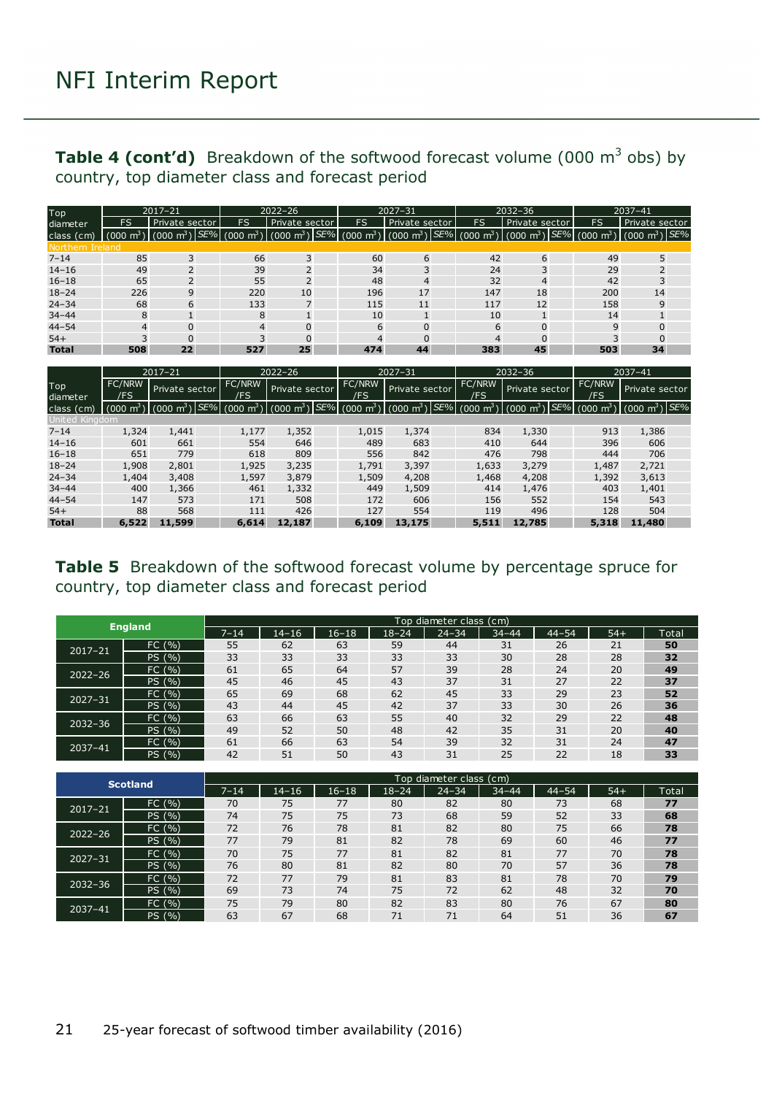#### **Table 4 (cont'd)** Breakdown of the softwood forecast volume (000 m<sup>3</sup> obs) by country, top diameter class and forecast period

| Top              |                     | $2017 - 21$             |           | $2027 - 31$                                                                                   |           | $2032 - 36$    |    |                                                                    | 2037-41 |     |                                 |  |
|------------------|---------------------|-------------------------|-----------|-----------------------------------------------------------------------------------------------|-----------|----------------|----|--------------------------------------------------------------------|---------|-----|---------------------------------|--|
| diameter         | FS                  | Private sector          | <b>FS</b> | Private sector                                                                                | <b>FS</b> | Private sector | FS | Private sector                                                     |         | FS  | Private sector                  |  |
| class (cm)       | $(000 \text{ m}^3)$ | $(000 \text{ m}^3)$ SE% |           | $(000 \text{ m}^3)$ (000 m <sup>3</sup> ) SE% (000 m <sup>3</sup> ) (000 m <sup>3</sup> ) SE% |           |                |    | $(000 \text{ m}^3)$ $(000 \text{ m}^3)$ $SE\%$ $(000 \text{ m}^3)$ |         |     | $\sqrt{(000 \text{ m}^3)/SE\%}$ |  |
| Northern Ireland |                     |                         |           |                                                                                               |           |                |    |                                                                    |         |     |                                 |  |
| $7 - 14$         | 85                  | 3                       | 66        | 3                                                                                             | 60        | 6              |    | 42<br>6                                                            |         | 49  | 5                               |  |
| $14 - 16$        | 49                  | $\overline{2}$          | 39        | $\mathcal{L}$                                                                                 | 34        | 3              |    | 24                                                                 |         | 29  |                                 |  |
| $16 - 18$        | 65                  | $\overline{2}$          | 55        | $\overline{2}$                                                                                | 48        | $\overline{4}$ |    | 32<br>4                                                            |         | 42  |                                 |  |
| $18 - 24$        | 226                 | 9                       | 220       | 10                                                                                            | 196       | 17             |    | 147<br>18                                                          |         | 200 | 14                              |  |
| $24 - 34$        | 68                  | 6                       | 133       |                                                                                               | 115       | 11             |    | 12<br>117                                                          |         | 158 | $\mathsf{Q}$                    |  |
| $34 - 44$        | 8                   |                         | 8         |                                                                                               | 10        |                |    | 10                                                                 |         | 14  |                                 |  |
| $44 - 54$        | 4                   | $\Omega$                | 4         | $\Omega$                                                                                      | 6         | $\Omega$       |    | 6<br>$\Omega$                                                      |         | 9   | U                               |  |
| $54+$            |                     | $\Omega$                |           | $\Omega$                                                                                      | 4         | $\Omega$       |    | $\Omega$<br>4                                                      |         | 3   | $\Omega$                        |  |
| <b>Total</b>     | 508                 | 22                      | 527       | 25                                                                                            | 474       | 44             |    | 383<br>45                                                          |         | 503 | 34                              |  |

|                 |                      | $2017 - 21$<br>$2022 - 26$   |                       |                                                 | $2027 - 31$          |                     |     | $2032 - 36$                   |                              | $2037 - 41$             |                         |  |
|-----------------|----------------------|------------------------------|-----------------------|-------------------------------------------------|----------------------|---------------------|-----|-------------------------------|------------------------------|-------------------------|-------------------------|--|
| Top<br>diameter | <b>FC/NRW</b><br>/FS | Private sector               | FC/NRW<br>/FS         | Private sector                                  | <b>FC/NRW</b><br>/FS | Private sector      |     | <b>FC/NRW</b><br>'FS          | Private sector               | FC/NRW<br>/FS           | Private sector          |  |
| class (cm)      | rnon                 | SE%<br>nnn<br>m <sup>3</sup> | $(000 \; \text{m}^3)$ | (000 m <sup>3</sup> ) SE% (000 m <sup>3</sup> ) |                      | $(000 \text{ m}^3)$ | SE% | m <sup>3</sup><br>$000^\circ$ | SE%<br>$(000 \; \text{m}^3)$ | $\text{m}^{3}$<br>(000) | $(000 \text{ m}^3)$ SE% |  |
| United Kinadom  |                      |                              |                       |                                                 |                      |                     |     |                               |                              |                         |                         |  |
| $7 - 14$        | 1,324                | 1,441                        | 1,177                 | 1,352                                           | 1,015                | 1,374               |     | 834                           | 1,330                        | 913                     | 1,386                   |  |
| $14 - 16$       | 601                  | 661                          | 554                   | 646                                             | 489                  | 683                 |     | 410                           | 644                          | 396                     | 606                     |  |
| $16 - 18$       | 651                  | 779                          | 618                   | 809                                             | 556                  | 842                 |     | 476                           | 798                          | 444                     | 706                     |  |
| $18 - 24$       | 1,908                | 2,801                        | 1,925                 | 3,235                                           | 1,791                | 3,397               |     | 1,633                         | 3,279                        | 1,487                   | 2,721                   |  |
| $24 - 34$       | 1,404                | 3,408                        | 1,597                 | 3,879                                           | 1,509                | 4,208               |     | 1,468                         | 4,208                        | 1,392                   | 3,613                   |  |
| $34 - 44$       | 400                  | 1,366                        | 461                   | 1,332                                           | 449                  | 1,509               |     | 414                           | 1,476                        | 403                     | 1,401                   |  |
| $44 - 54$       | 147                  | 573                          | 171                   | 508                                             | 172                  | 606                 |     | 156                           | 552                          | 154                     | 543                     |  |
| $54+$           | 88                   | 568                          | 111                   | 426                                             | 127                  | 554                 |     | 119                           | 496                          | 128                     | 504                     |  |
| <b>Total</b>    | 6,522                | 11,599                       | 6,614                 | 12,187                                          | 6,109                | 13,175              |     | 5,511                         | 12,785                       | 5,318                   | 11,480                  |  |

<span id="page-20-0"></span>**Table 5** Breakdown of the softwood forecast volume by percentage spruce for country, top diameter class and forecast period

|             | <b>England</b> |          | Top diameter class (cm) |           |           |           |           |           |       |       |  |  |
|-------------|----------------|----------|-------------------------|-----------|-----------|-----------|-----------|-----------|-------|-------|--|--|
|             |                | $7 - 14$ | $14 - 16$               | $16 - 18$ | $18 - 24$ | $24 - 34$ | $34 - 44$ | $44 - 54$ | $54+$ | Total |  |  |
| $2017 - 21$ | FC (%)         | 55       | 62                      | 63        | 59        | 44        | 31        | 26        | 21    | 50    |  |  |
|             | PS (%)         | 33       | 33                      | 33        | 33        | 33        | 30        | 28        | 28    | 32    |  |  |
| $2022 - 26$ | FC (%)         | 61       | 65                      | 64        | 57        | 39        | 28        | 24        | 20    | 49    |  |  |
|             | PS (%)         | 45       | 46                      | 45        | 43        | 37        | 31        | 27        | 22    | 37    |  |  |
| $2027 - 31$ | FC(%)          | 65       | 69                      | 68        | 62        | 45        | 33        | 29        | 23    | 52    |  |  |
|             | (9/0)<br>PS    | 43       | 44                      | 45        | 42        | 37        | 33        | 30        | 26    | 36    |  |  |
| $2032 - 36$ | FC(%)          | 63       | 66                      | 63        | 55        | 40        | 32        | 29        | 22    | 48    |  |  |
|             | PS (%)         | 49       | 52                      | 50        | 48        | 42        | 35        | 31        | 20    | 40    |  |  |
| 2037-41     | FC(%)          | 61       | 66                      | 63        | 54        | 39        | 32        | 31        | 24    | 47    |  |  |
|             | (%)<br>PS.     | 42       | 51                      | 50        | 43        | 31        | 25        | 22        | 18    | 33    |  |  |

|             | <b>Scotland</b> |          |           |           |           | Top diameter class (cm) |           |           |       |       |
|-------------|-----------------|----------|-----------|-----------|-----------|-------------------------|-----------|-----------|-------|-------|
|             |                 | $7 - 14$ | $14 - 16$ | $16 - 18$ | $18 - 24$ | $24 - 34$               | $34 - 44$ | $44 - 54$ | $54+$ | Total |
| $2017 - 21$ | FC (<br>(%)     | 70       | 75        | 77        | 80        | 82                      | 80        | 73        | 68    | 77    |
|             | PS (%)          | 74       | 75        | 75        | 73        | 68                      | 59        | 52        | 33    | 68    |
| $2022 - 26$ | FC (%)          | 72       | 76        | 78        | 81        | 82                      | 80        | 75        | 66    | 78    |
|             | PS (%)          | 77       | 79        | 81        | 82        | 78                      | 69        | 60        | 46    | 77    |
| $2027 - 31$ | (9/0)<br>FC (   | 70       | 75        | 77        | 81        | 82                      | 81        | 77        | 70    | 78    |
|             | PS (%)          | 76       | 80        | 81        | 82        | 80                      | 70        | 57        | 36    | 78    |
| $2032 - 36$ | (9/0)<br>FC (   | 72       | 77        | 79        | 81        | 83                      | 81        | 78        | 70    | 79    |
|             | PS (%)          | 69       | 73        | 74        | 75        | 72                      | 62        | 48        | 32    | 70    |
| 2037-41     | (9/0)<br>FC (   | 75       | 79        | 80        | 82        | 83                      | 80        | 76        | 67    | 80    |
|             | PS (%)          | 63       | 67        | 68        | 71        | 71                      | 64        | 51        | 36    | 67    |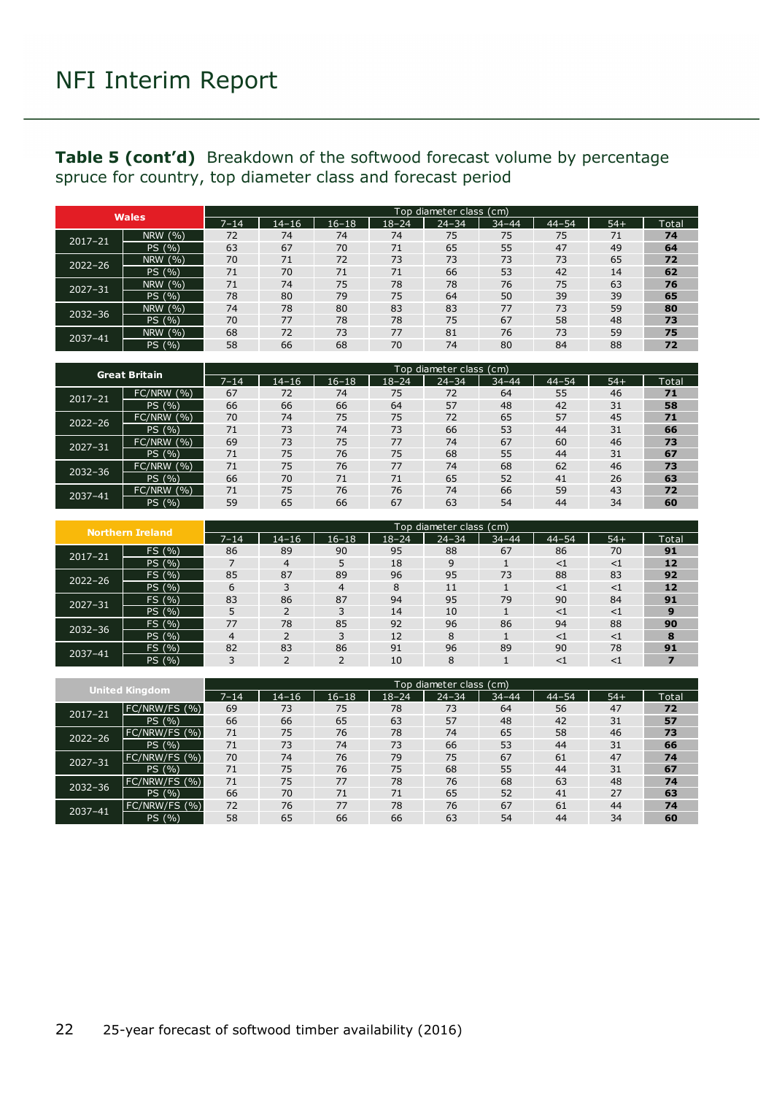#### **Table 5 (cont'd)** Breakdown of the softwood forecast volume by percentage spruce for country, top diameter class and forecast period

|             | <b>Wales</b> |          |           |           |           | Top diameter class (cm) |           |           |       |       |
|-------------|--------------|----------|-----------|-----------|-----------|-------------------------|-----------|-----------|-------|-------|
|             |              | $7 - 14$ | $14 - 16$ | $16 - 18$ | $18 - 24$ | $24 - 34$               | $34 - 44$ | $44 - 54$ | $54+$ | Total |
| $2017 - 21$ | NRW (%)      | 72       | 74        | 74        | 74        | 75                      | 75        | 75        | 71    | 74    |
|             | PS (%)       | 63       | 67        | 70        | 71        | 65                      | 55        | 47        | 49    | 64    |
| $2022 - 26$ | NRW (%)      | 70       | 71        | 72        | 73        | 73                      | 73        | 73        | 65    | 72    |
|             | PS (%)       | 71       | 70        | 71        | 71        | 66                      | 53        | 42        | 14    | 62    |
| $2027 - 31$ | NRW (%)      | 71       | 74        | 75        | 78        | 78                      | 76        | 75        | 63    | 76    |
|             | PS (%)       | 78       | 80        | 79        | 75        | 64                      | 50        | 39        | 39    | 65    |
| $2032 - 36$ | NRW (%)      | 74       | 78        | 80        | 83        | 83                      | 77        | 73        | 59    | 80    |
|             | PS (%)       | 70       | 77        | 78        | 78        | 75                      | 67        | 58        | 48    | 73    |
| 2037-41     | NRW (%)      | 68       | 72        | 73        | 77        | 81                      | 76        | 73        | 59    | 75    |
|             | PS (%)       | 58       | 66        | 68        | 70        | 74                      | 80        | 84        | 88    | 72    |

| <b>Great Britain</b> |                 |      | Top diameter class (cm) |           |           |           |           |           |       |       |  |  |
|----------------------|-----------------|------|-------------------------|-----------|-----------|-----------|-----------|-----------|-------|-------|--|--|
|                      |                 | 7–14 | $14 - 16$               | $16 - 18$ | $18 - 24$ | $24 - 34$ | $34 - 44$ | $44 - 54$ | $54+$ | Total |  |  |
| 2017-21              | (9/6)<br>FC/NRW | 67   | 72                      | 74        | 75        | 72        | 64        | 55        | 46    | 71    |  |  |
|                      | PS (%)          | 66   | 66                      | 66        | 64        | 57        | 48        | 42        | 31    | 58    |  |  |
| $2022 - 26$          | FC/NRW (%)      | 70   | 74                      | 75        | 75        | 72        | 65        | 57        | 45    | 71    |  |  |
|                      | (9/6)<br>PS '   | 71   | 73                      | 74        | 73        | 66        | 53        | 44        | 31    | 66    |  |  |
| $2027 - 31$          | (9/0)<br>FC/NRW | 69   | 73                      | 75        | 77        | 74        | 67        | 60        | 46    | 73    |  |  |
|                      | PS (%)          | 71   | 75                      | 76        | 75        | 68        | 55        | 44        | 31    | 67    |  |  |
| $2032 - 36$          | FC/NRW (%)      | 71   | 75                      | 76        | 77        | 74        | 68        | 62        | 46    | 73    |  |  |
|                      | PS (%)          | 66   | 70                      | 71        | 71        | 65        | 52        | 41        | 26    | 63    |  |  |
| 2037-41              | (9)<br>FC/NRW   | 71   | 75                      | 76        | 76        | 74        | 66        | 59        | 43    | 72    |  |  |
|                      | PS (%)          | 59   | 65                      | 66        | 67        | 63        | 54        | 44        | 34    | 60    |  |  |

|             | <b>Northern Ireland</b> |          | Top diameter class (cm) |           |           |              |           |           |          |       |  |  |
|-------------|-------------------------|----------|-------------------------|-----------|-----------|--------------|-----------|-----------|----------|-------|--|--|
|             |                         | $7 - 14$ | $14 - 16$               | $16 - 18$ | $18 - 24$ | $24 - 34$    | $34 - 44$ | $44 - 54$ | $54+$    | Total |  |  |
| $2017 - 21$ | FS (%)                  | 86       | 89                      | 90        | 95        | 88           | 67        | 86        | 70       | 91    |  |  |
|             | PS (%)                  |          | 4                       |           | 18        | $\mathsf{Q}$ |           | $<$ 1     | $<$ 1    | 12    |  |  |
| $2022 - 26$ | FS (%)                  | 85       | 87                      | 89        | 96        | 95           | 73        | 88        | 83       | 92    |  |  |
|             | PS (%)                  | 6        |                         | 4         | 8         | 11           |           | <         | $\leq$ 1 | 12    |  |  |
| $2027 - 31$ | FS (%)                  | 83       | 86                      | 87        | 94        | 95           | 79        | 90        | 84       | 91    |  |  |
|             | PS (%)                  |          | C                       |           | 14        | 10           |           | $<$ 1     | <1       | 9     |  |  |
| $2032 - 36$ | FS (%)                  | 77       | 78                      | 85        | 92        | 96           | 86        | 94        | 88       | 90    |  |  |
|             | PS (%)                  | 4        |                         |           | 12        | 8            |           | $<$ 1     | $<$ 1    | 8     |  |  |
| 2037-41     | FS (%)                  | 82       | 83                      | 86        | 91        | 96           | 89        | 90        | 78       | 91    |  |  |
|             | PS (%)                  |          |                         |           | 10        | 8            |           | <1        | <1       |       |  |  |

|             | <b>United Kingdom</b> |          | Top diameter class (cm) |       |           |           |           |           |       |       |  |  |
|-------------|-----------------------|----------|-------------------------|-------|-----------|-----------|-----------|-----------|-------|-------|--|--|
|             |                       | $7 - 14$ | 14–16                   | 16–18 | $18 - 24$ | $24 - 34$ | $34 - 44$ | $44 - 54$ | $54+$ | Total |  |  |
| $2017 - 21$ | FC/NRW/FS (%)         | 69       | 73                      | 75    | 78        | 73        | 64        | 56        | 47    | 72    |  |  |
|             | PS (%)                | 66       | 66                      | 65    | 63        | 57        | 48        | 42        | 31    | 57    |  |  |
| $2022 - 26$ | FC/NRW/FS (%)         | 71       | 75                      | 76    | 78        | 74        | 65        | 58        | 46    | 73    |  |  |
|             | PS (%)                | 71       | 73                      | 74    | 73        | 66        | 53        | 44        | 31    | 66    |  |  |
| $2027 - 31$ | FC/NRW/FS (%)         | 70       | 74                      | 76    | 79        | 75        | 67        | 61        | 47    | 74    |  |  |
|             | PS (%)                | 71       | 75                      | 76    | 75        | 68        | 55        | 44        | 31    | 67    |  |  |
| $2032 - 36$ | FC/NRW/FS (%)         | 71       | 75                      | 77    | 78        | 76        | 68        | 63        | 48    | 74    |  |  |
|             | PS (%)                | 66       | 70                      | 71    | 71        | 65        | 52        | 41        | 27    | 63    |  |  |
| 2037-41     | FC/NRW/FS (%)         | 72       | 76                      | 77    | 78        | 76        | 67        | 61        | 44    | 74    |  |  |
|             | (0/0)<br>PS l         | 58       | 65                      | 66    | 66        | 63        | 54        | 44        | 34    | 60    |  |  |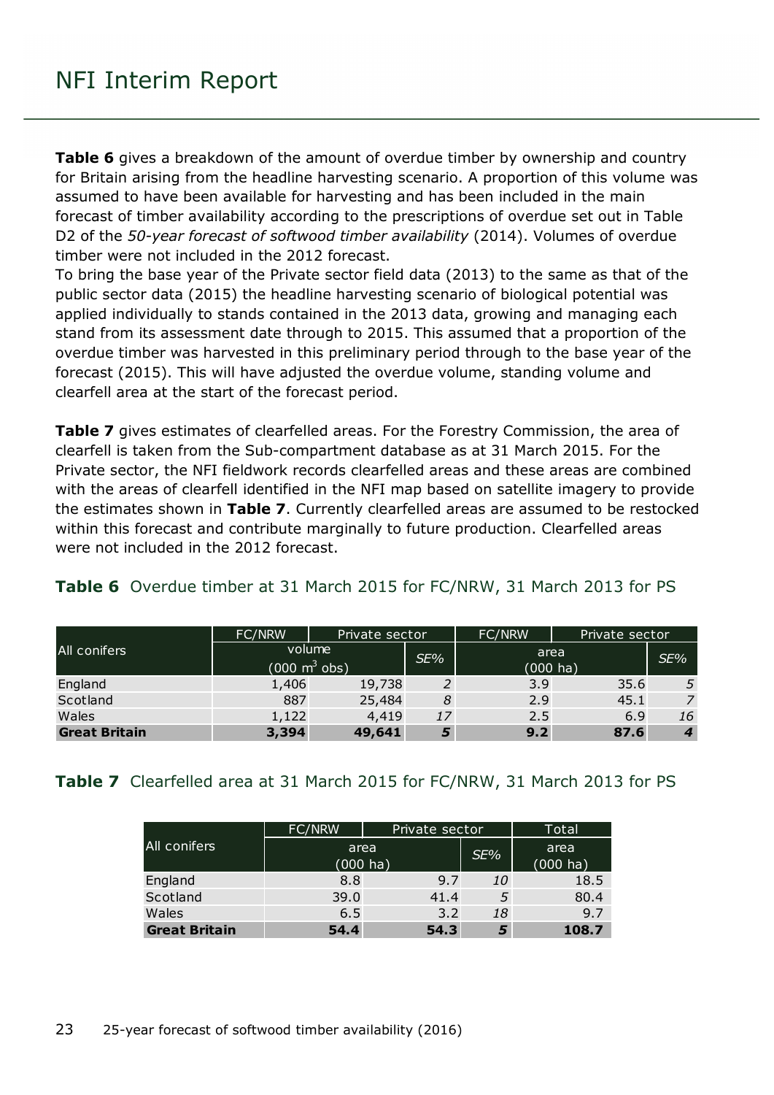**Table 6** gives a breakdown of the amount of overdue timber by ownership and country for Britain arising from the headline harvesting scenario. A proportion of this volume was assumed to have been available for harvesting and has been included in the main forecast of timber availability according to the prescriptions of overdue set out in Table D2 of the *50-year forecast of softwood timber availability* (2014). Volumes of overdue timber were not included in the 2012 forecast.

To bring the base year of the Private sector field data (2013) to the same as that of the public sector data (2015) the headline harvesting scenario of biological potential was applied individually to stands contained in the 2013 data, growing and managing each stand from its assessment date through to 2015. This assumed that a proportion of the overdue timber was harvested in this preliminary period through to the base year of the forecast (2015). This will have adjusted the overdue volume, standing volume and clearfell area at the start of the forecast period.

**Table 7** gives estimates of clearfelled areas. For the Forestry Commission, the area of clearfell is taken from the Sub-compartment database as at 31 March 2015. For the Private sector, the NFI fieldwork records clearfelled areas and these areas are combined with the areas of clearfell identified in the NFI map based on satellite imagery to provide the estimates shown in **Table 7**. Currently clearfelled areas are assumed to be restocked within this forecast and contribute marginally to future production. Clearfelled areas were not included in the 2012 forecast.

#### <span id="page-22-0"></span>**Table 6** Overdue timber at 31 March 2015 for FC/NRW, 31 March 2013 for PS

|                      | FC/NRW                          | Private sector |     | FC/NRW             | Private sector |     |  |
|----------------------|---------------------------------|----------------|-----|--------------------|----------------|-----|--|
| All conifers         | volume                          |                | SE% | area               |                | SE% |  |
|                      | $(000 \text{ m}^3 \text{ obs})$ |                |     | $(000 \text{ ha})$ |                |     |  |
| England              | 1,406                           | 19,738         |     | 3.9                | 35.6           | 5   |  |
| Scotland             | 887                             | 25,484         | 8   | 2.9                | 45.1           |     |  |
| Wales                | 1,122                           | 4,419          | 17  | 2.5                | 6.9            | 16  |  |
| <b>Great Britain</b> | 3,394                           | 49,641         |     | 9.2                | 87.6           | 4   |  |

#### <span id="page-22-1"></span>**Table 7** Clearfelled area at 31 March 2015 for FC/NRW, 31 March 2013 for PS

|                      | FC/NRW              | Private sector |     | Total                      |
|----------------------|---------------------|----------------|-----|----------------------------|
| All conifers         | area<br>$(000)$ ha) |                | SE% | area<br>$(000 \text{ ha})$ |
| England              | 8.8                 | 9.7            | 10  | 18.5                       |
| Scotland             | 39.0                | 41.4           | 5   | 80.4                       |
| Wales                | 6.5                 | 3.2            | 18  | 9.7                        |
| <b>Great Britain</b> | 54.4                | 54.3           | 5   | 108.7                      |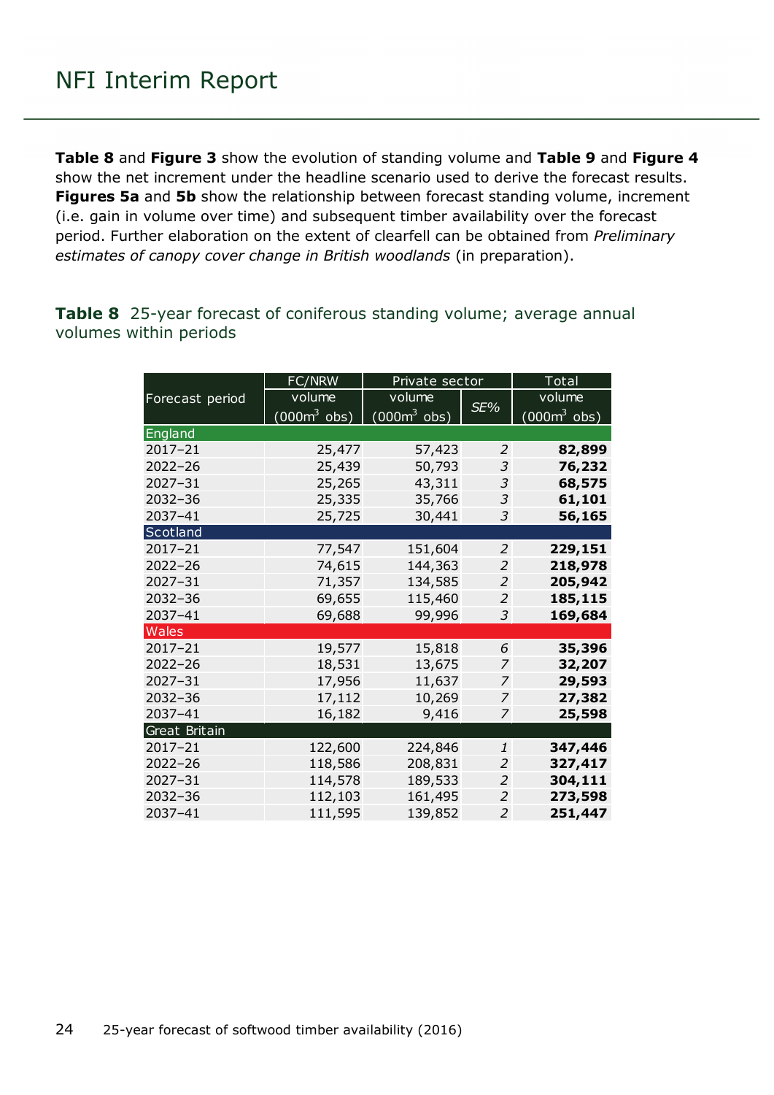**Table 8** and **Figure 3** show the evolution of standing volume and **Table 9** and **Figure 4** show the net increment under the headline scenario used to derive the forecast results. **Figures 5a** and **5b** show the relationship between forecast standing volume, increment (i.e. gain in volume over time) and subsequent timber availability over the forecast period. Further elaboration on the extent of clearfell can be obtained from *Preliminary estimates of canopy cover change in British woodlands* (in preparation).

<span id="page-23-0"></span>**Table 8** 25-year forecast of coniferous standing volume; average annual volumes within periods

|                 | FC/NRW                 | Private sector |                | Total         |  |
|-----------------|------------------------|----------------|----------------|---------------|--|
| Forecast period | volume                 | volume         |                | volume        |  |
|                 | $(000m^3 \text{ obs})$ | $(0003$ obs)   | SE%            | $(000m3$ obs) |  |
| England         |                        |                |                |               |  |
| 2017-21         | 25,477                 | 57,423         | 2              | 82,899        |  |
| 2022-26         | 25,439                 | 50,793         | 3              | 76,232        |  |
| $2027 - 31$     | 25,265                 | 43,311         | 3              | 68,575        |  |
| 2032-36         | 25,335                 | 35,766         | 3              | 61,101        |  |
| 2037-41         | 25,725                 | 30,441         | 3              | 56,165        |  |
| Scotland        |                        |                |                |               |  |
| $2017 - 21$     | 77,547                 | 151,604        | 2              | 229,151       |  |
| $2022 - 26$     | 74,615                 | 144,363        | 2              | 218,978       |  |
| $2027 - 31$     | 71,357                 | 134,585        | $\overline{2}$ | 205,942       |  |
| 2032-36         | 69,655                 | 115,460        | 2              | 185,115       |  |
| 2037-41         | 69,688                 | 99,996         | 3              | 169,684       |  |
| <b>Wales</b>    |                        |                |                |               |  |
| 2017-21         | 19,577                 | 15,818         | 6              | 35,396        |  |
| 2022-26         | 18,531                 | 13,675         | 7              | 32,207        |  |
| 2027-31         | 17,956                 | 11,637         | 7              | 29,593        |  |
| $2032 - 36$     | 17,112                 | 10,269         | 7              | 27,382        |  |
| 2037-41         | 16,182                 | 9,416          | 7              | 25,598        |  |
| Great Britain   |                        |                |                |               |  |
| 2017-21         | 122,600                | 224,846        | 1              | 347,446       |  |
| 2022-26         | 118,586                | 208,831        | 2              | 327,417       |  |
| 2027-31         | 114,578                | 189,533        | 2              | 304,111       |  |
| 2032-36         | 112,103                | 161,495        | 2              | 273,598       |  |
| 2037-41         | 111,595                | 139,852        | $\overline{2}$ | 251,447       |  |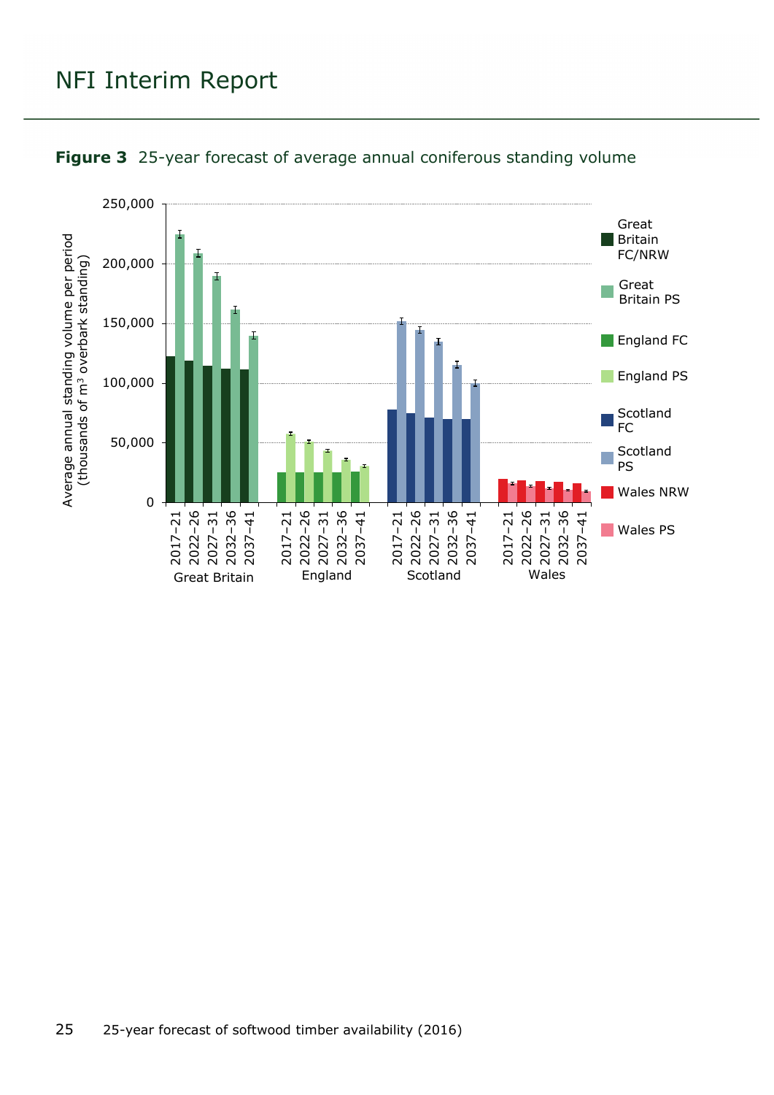

<span id="page-24-0"></span>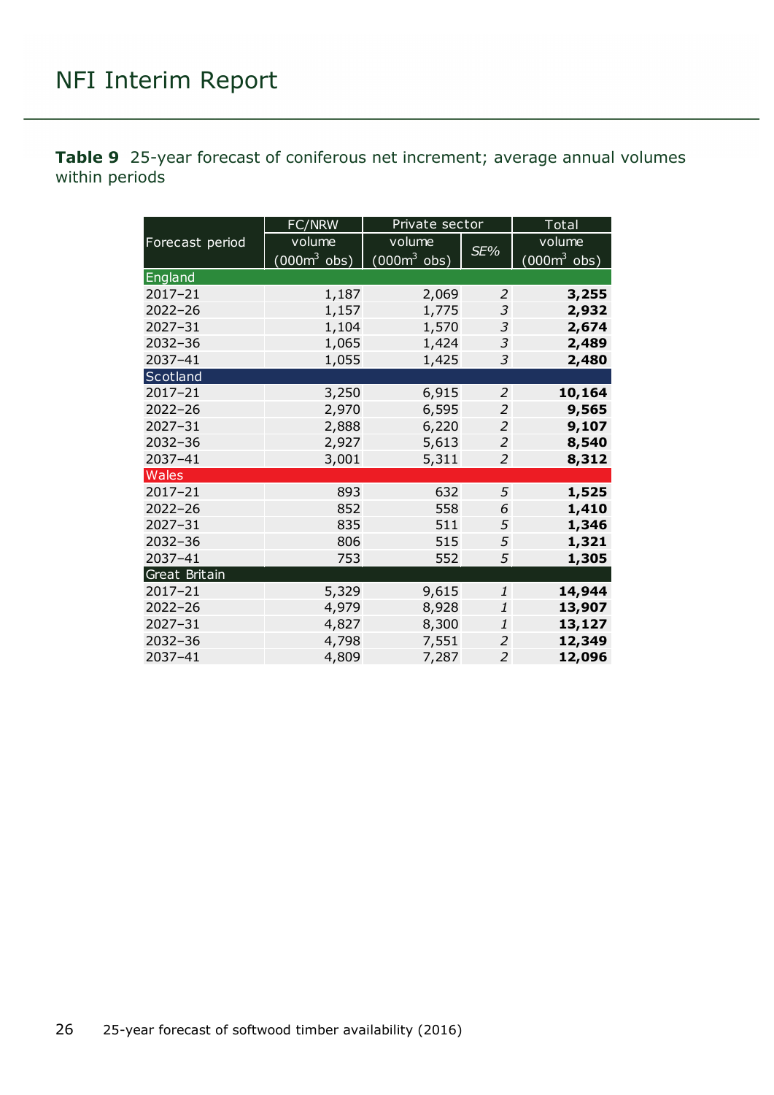<span id="page-25-0"></span>**Table 9** 25-year forecast of coniferous net increment; average annual volumes within periods

|                 | FC/NRW                         | Private sector |                | Total                          |
|-----------------|--------------------------------|----------------|----------------|--------------------------------|
| Forecast period | volume                         | volume         |                | volume                         |
|                 | $(000 \text{m}^3 \text{ obs})$ | $(0003$ obs)   | SE%            | $(000 \text{m}^3 \text{ obs})$ |
| England         |                                |                |                |                                |
| 2017-21         | 1,187                          | 2,069          | 2              | 3,255                          |
| $2022 - 26$     | 1,157                          | 1,775          | 3              | 2,932                          |
| $2027 - 31$     | 1,104                          | 1,570          | 3              | 2,674                          |
| $2032 - 36$     | 1,065                          | 1,424          | 3              | 2,489                          |
| 2037-41         | 1,055                          | 1,425          | 3              | 2,480                          |
| Scotland        |                                |                |                |                                |
| $2017 - 21$     | 3,250                          | 6,915          | $\overline{2}$ | 10,164                         |
| $2022 - 26$     | 2,970                          | 6,595          | $\overline{2}$ | 9,565                          |
| 2027-31         | 2,888                          | 6,220          | 2              | 9,107                          |
| 2032-36         | 2,927                          | 5,613          | $\overline{2}$ | 8,540                          |
| 2037-41         | 3,001                          | 5,311          | $\overline{2}$ | 8,312                          |
| Wales           |                                |                |                |                                |
| $2017 - 21$     | 893                            | 632            | 5              | 1,525                          |
| $2022 - 26$     | 852                            | 558            | 6              | 1,410                          |
| $2027 - 31$     | 835                            | 511            | 5              | 1,346                          |
| 2032-36         | 806                            | 515            | 5              | 1,321                          |
| 2037-41         | 753                            | 552            | 5              | 1,305                          |
| Great Britain   |                                |                |                |                                |
| $2017 - 21$     | 5,329                          | 9,615          | 1              | 14,944                         |
| $2022 - 26$     | 4,979                          | 8,928          | 1              | 13,907                         |
| 2027-31         | 4,827                          | 8,300          | $\mathbf{1}$   | 13,127                         |
| $2032 - 36$     | 4,798                          | 7,551          | 2              | 12,349                         |
| 2037-41         | 4,809                          | 7,287          | $\overline{2}$ | 12,096                         |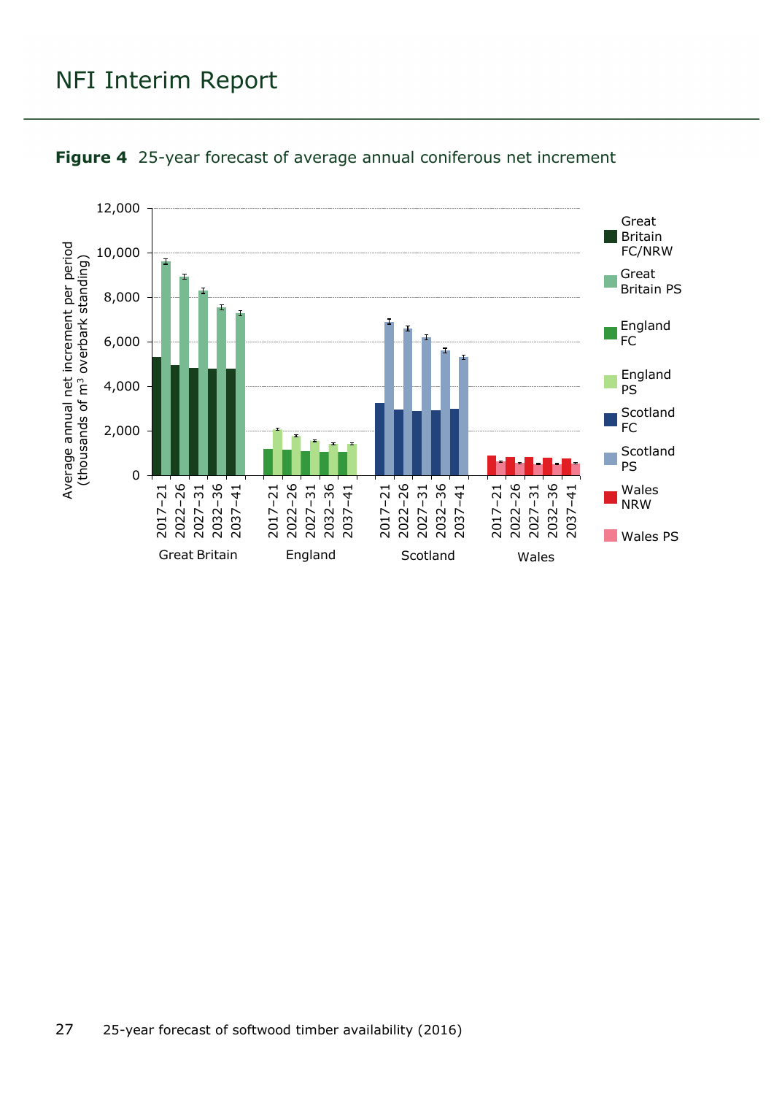

#### <span id="page-26-0"></span>**Figure 4** 25-year forecast of average annual coniferous net increment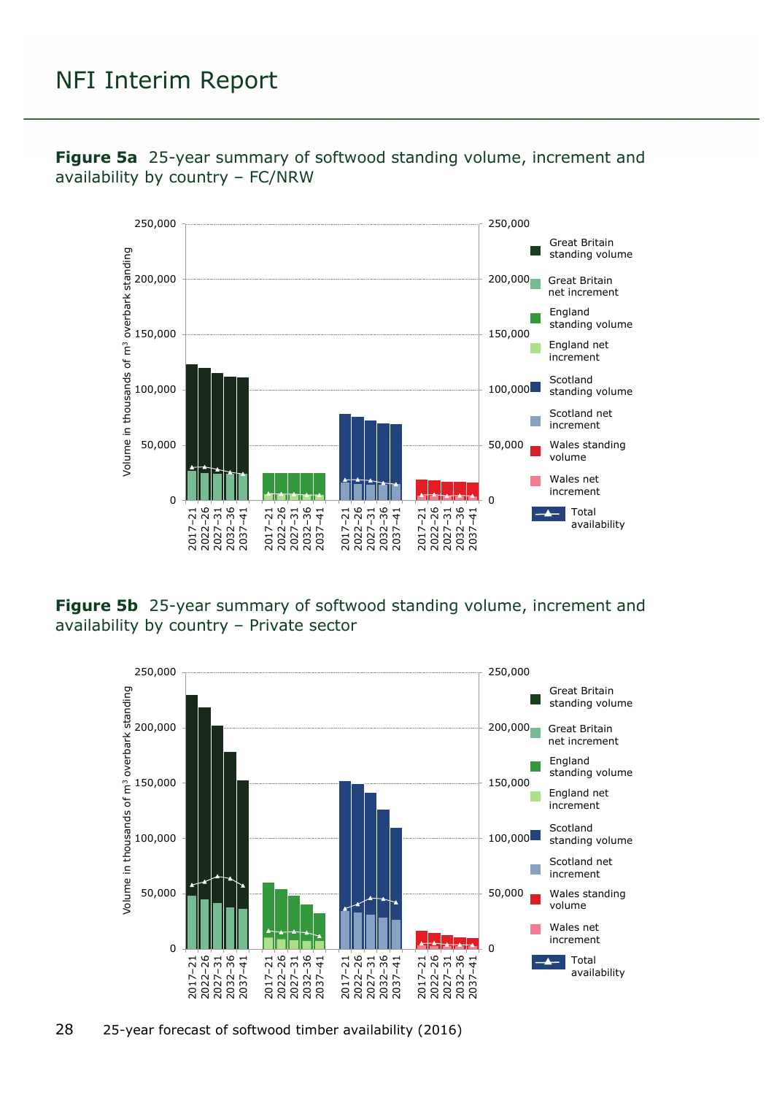

<span id="page-27-0"></span>**Figure 5a** 25-year summary of softwood standing volume, increment and availability by country – FC/NRW

<span id="page-27-1"></span>**Figure 5b** 25-year summary of softwood standing volume, increment and availability by country – Private sector

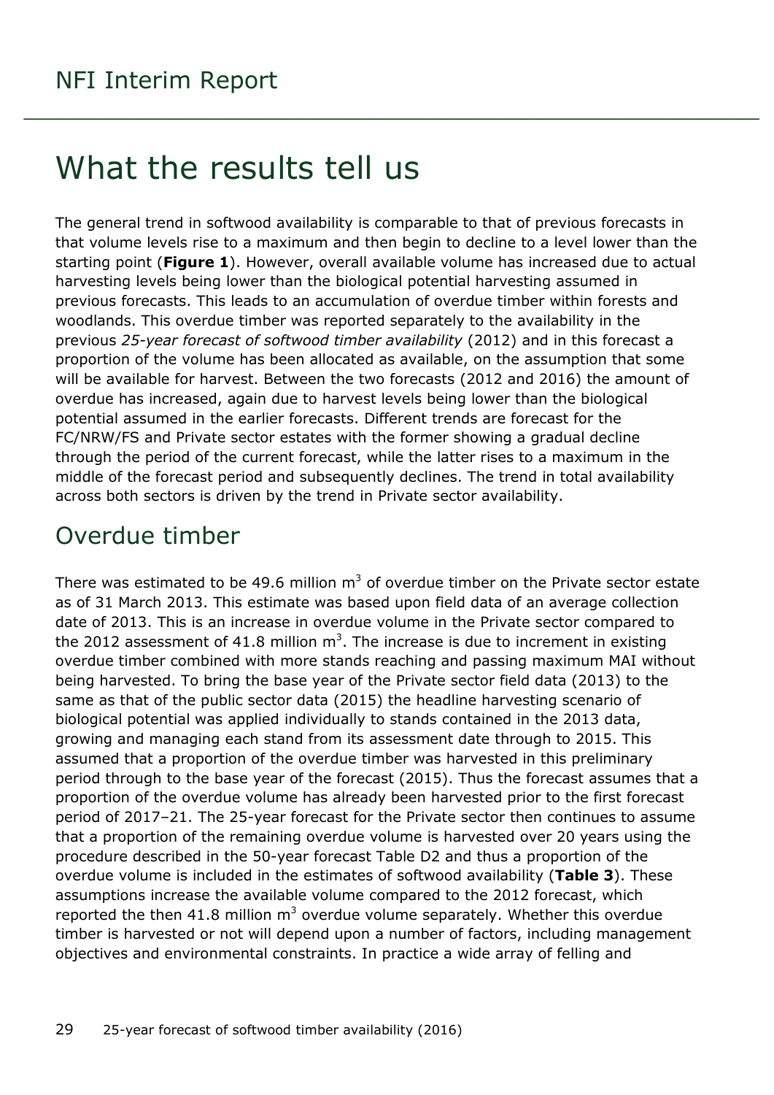## <span id="page-28-0"></span>What the results tell us

The general trend in softwood availability is comparable to that of previous forecasts in that volume levels rise to a maximum and then begin to decline to a level lower than the starting point (**Figure 1**). However, overall available volume has increased due to actual harvesting levels being lower than the biological potential harvesting assumed in previous forecasts. This leads to an accumulation of overdue timber within forests and woodlands. This overdue timber was reported separately to the availability in the previous *25-year forecast of softwood timber availability* (2012) and in this forecast a proportion of the volume has been allocated as available, on the assumption that some will be available for harvest. Between the two forecasts (2012 and 2016) the amount of overdue has increased, again due to harvest levels being lower than the biological potential assumed in the earlier forecasts. Different trends are forecast for the FC/NRW/FS and Private sector estates with the former showing a gradual decline through the period of the current forecast, while the latter rises to a maximum in the middle of the forecast period and subsequently declines. The trend in total availability across both sectors is driven by the trend in Private sector availability.

### <span id="page-28-1"></span>Overdue timber

There was estimated to be 49.6 million  $m<sup>3</sup>$  of overdue timber on the Private sector estate as of 31 March 2013. This estimate was based upon field data of an average collection date of 2013. This is an increase in overdue volume in the Private sector compared to the 2012 assessment of 41.8 million  $m^3$ . The increase is due to increment in existing overdue timber combined with more stands reaching and passing maximum MAI without being harvested. To bring the base year of the Private sector field data (2013) to the same as that of the public sector data (2015) the headline harvesting scenario of biological potential was applied individually to stands contained in the 2013 data, growing and managing each stand from its assessment date through to 2015. This assumed that a proportion of the overdue timber was harvested in this preliminary period through to the base year of the forecast (2015). Thus the forecast assumes that a proportion of the overdue volume has already been harvested prior to the first forecast period of 2017–21. The 25-year forecast for the Private sector then continues to assume that a proportion of the remaining overdue volume is harvested over 20 years using the procedure described in the 50-year forecast Table D2 and thus a proportion of the overdue volume is included in the estimates of softwood availability (**Table 3**). These assumptions increase the available volume compared to the 2012 forecast, which reported the then 41.8 million  $m<sup>3</sup>$  overdue volume separately. Whether this overdue timber is harvested or not will depend upon a number of factors, including management objectives and environmental constraints. In practice a wide array of felling and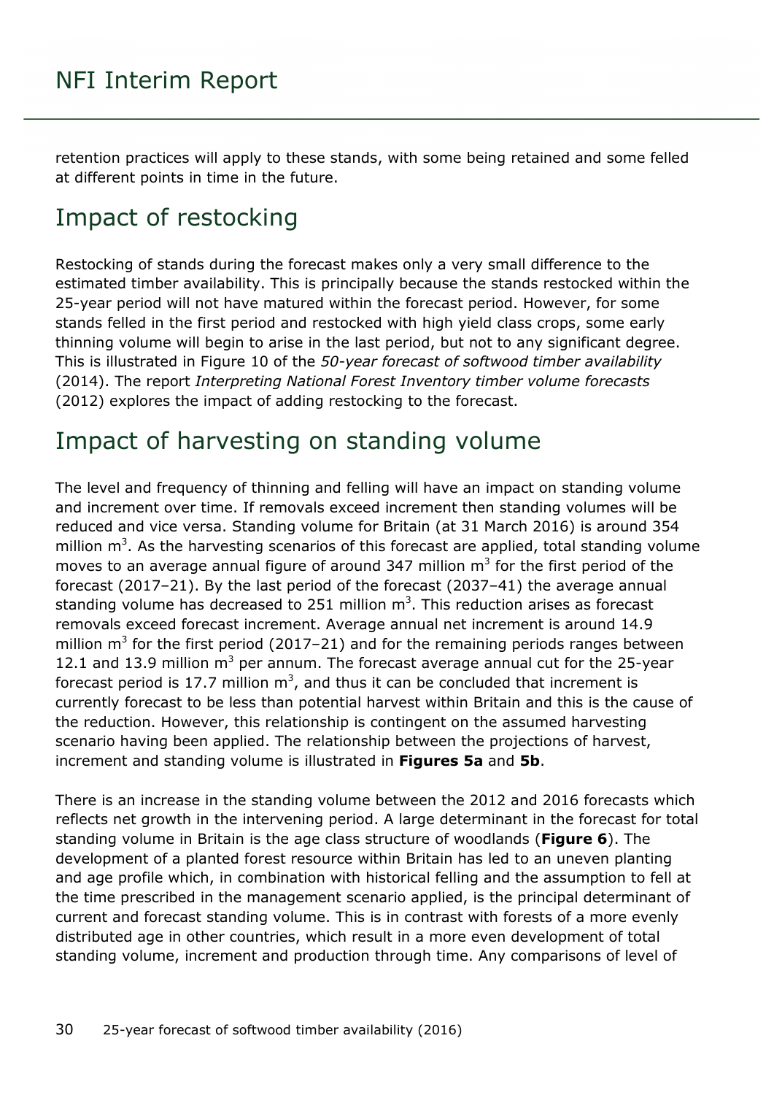retention practices will apply to these stands, with some being retained and some felled at different points in time in the future.

### <span id="page-29-0"></span>Impact of restocking

Restocking of stands during the forecast makes only a very small difference to the estimated timber availability. This is principally because the stands restocked within the 25-year period will not have matured within the forecast period. However, for some stands felled in the first period and restocked with high yield class crops, some early thinning volume will begin to arise in the last period, but not to any significant degree. This is illustrated in Figure 10 of the *50-year forecast of softwood timber availability*  (2014). The report *Interpreting National Forest Inventory timber volume forecasts* (2012) explores the impact of adding restocking to the forecast.

### <span id="page-29-1"></span>Impact of harvesting on standing volume

The level and frequency of thinning and felling will have an impact on standing volume and increment over time. If removals exceed increment then standing volumes will be reduced and vice versa. Standing volume for Britain (at 31 March 2016) is around 354 million  $m^3$ . As the harvesting scenarios of this forecast are applied, total standing volume moves to an average annual figure of around 347 million  $m<sup>3</sup>$  for the first period of the forecast (2017–21). By the last period of the forecast (2037–41) the average annual standing volume has decreased to 251 million  $m^3$ . This reduction arises as forecast removals exceed forecast increment. Average annual net increment is around 14.9 million  $m<sup>3</sup>$  for the first period (2017–21) and for the remaining periods ranges between 12.1 and 13.9 million  $m^3$  per annum. The forecast average annual cut for the 25-year forecast period is 17.7 million  $m^3$ , and thus it can be concluded that increment is currently forecast to be less than potential harvest within Britain and this is the cause of the reduction. However, this relationship is contingent on the assumed harvesting scenario having been applied. The relationship between the projections of harvest, increment and standing volume is illustrated in **Figures 5a** and **5b**.

There is an increase in the standing volume between the 2012 and 2016 forecasts which reflects net growth in the intervening period. A large determinant in the forecast for total standing volume in Britain is the age class structure of woodlands (**Figure 6**). The development of a planted forest resource within Britain has led to an uneven planting and age profile which, in combination with historical felling and the assumption to fell at the time prescribed in the management scenario applied, is the principal determinant of current and forecast standing volume. This is in contrast with forests of a more evenly distributed age in other countries, which result in a more even development of total standing volume, increment and production through time. Any comparisons of level of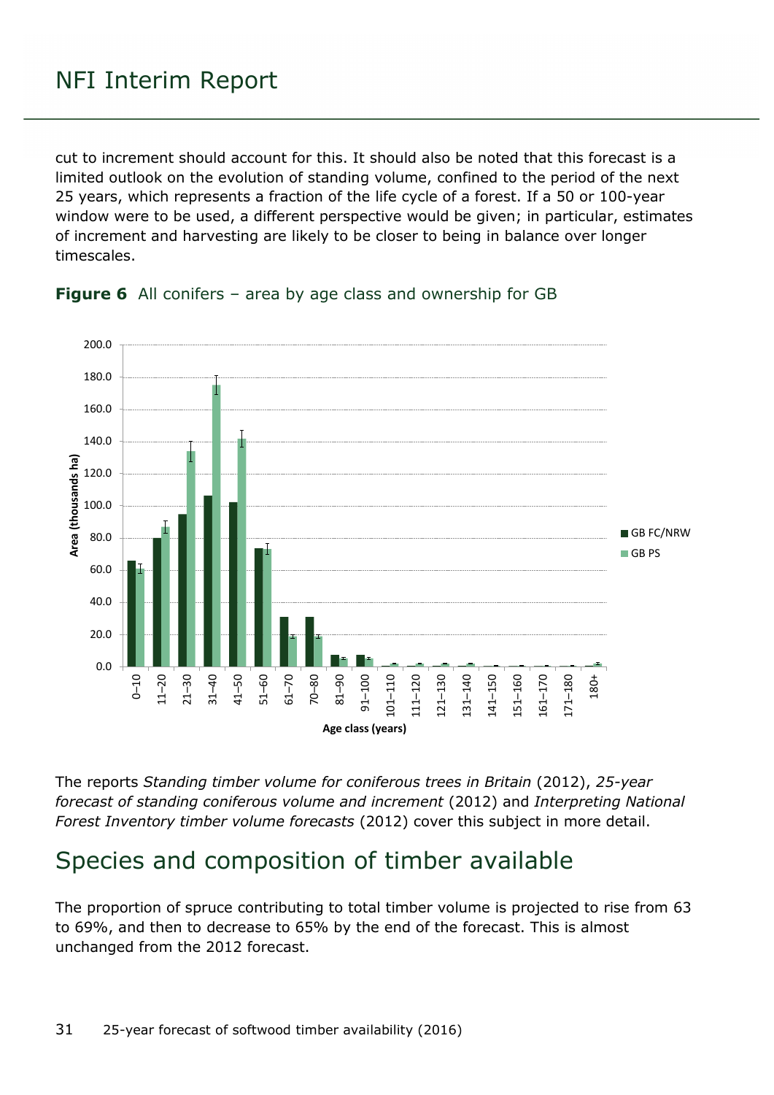cut to increment should account for this. It should also be noted that this forecast is a limited outlook on the evolution of standing volume, confined to the period of the next 25 years, which represents a fraction of the life cycle of a forest. If a 50 or 100-year window were to be used, a different perspective would be given; in particular, estimates of increment and harvesting are likely to be closer to being in balance over longer timescales.



<span id="page-30-1"></span>

The reports *Standing timber volume for coniferous trees in Britain* (2012), *25-year forecast of standing coniferous volume and increment* (2012) and *Interpreting National Forest Inventory timber volume forecasts* (2012) cover this subject in more detail.

### <span id="page-30-0"></span>Species and composition of timber available

The proportion of spruce contributing to total timber volume is projected to rise from 63 to 69%, and then to decrease to 65% by the end of the forecast. This is almost unchanged from the 2012 forecast.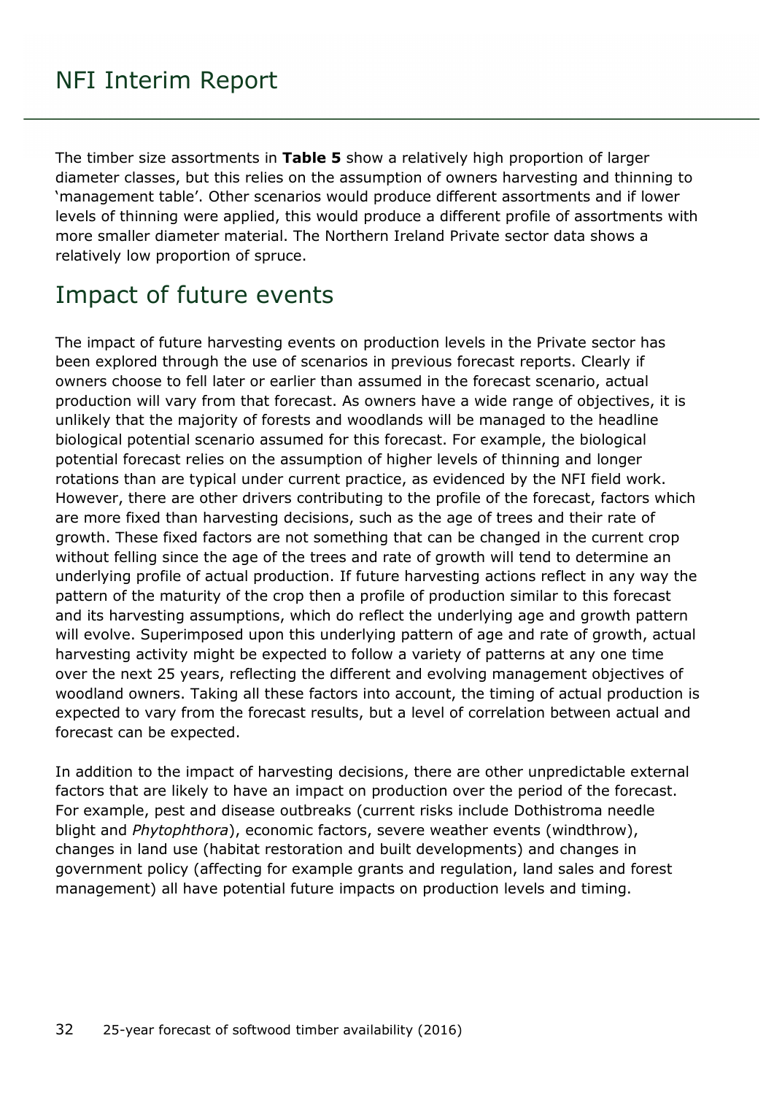The timber size assortments in **Table 5** show a relatively high proportion of larger diameter classes, but this relies on the assumption of owners harvesting and thinning to 'management table'. Other scenarios would produce different assortments and if lower levels of thinning were applied, this would produce a different profile of assortments with more smaller diameter material. The Northern Ireland Private sector data shows a relatively low proportion of spruce.

### <span id="page-31-0"></span>Impact of future events

The impact of future harvesting events on production levels in the Private sector has been explored through the use of scenarios in previous forecast reports. Clearly if owners choose to fell later or earlier than assumed in the forecast scenario, actual production will vary from that forecast. As owners have a wide range of objectives, it is unlikely that the majority of forests and woodlands will be managed to the headline biological potential scenario assumed for this forecast. For example, the biological potential forecast relies on the assumption of higher levels of thinning and longer rotations than are typical under current practice, as evidenced by the NFI field work. However, there are other drivers contributing to the profile of the forecast, factors which are more fixed than harvesting decisions, such as the age of trees and their rate of growth. These fixed factors are not something that can be changed in the current crop without felling since the age of the trees and rate of growth will tend to determine an underlying profile of actual production. If future harvesting actions reflect in any way the pattern of the maturity of the crop then a profile of production similar to this forecast and its harvesting assumptions, which do reflect the underlying age and growth pattern will evolve. Superimposed upon this underlying pattern of age and rate of growth, actual harvesting activity might be expected to follow a variety of patterns at any one time over the next 25 years, reflecting the different and evolving management objectives of woodland owners. Taking all these factors into account, the timing of actual production is expected to vary from the forecast results, but a level of correlation between actual and forecast can be expected.

In addition to the impact of harvesting decisions, there are other unpredictable external factors that are likely to have an impact on production over the period of the forecast. For example, pest and disease outbreaks (current risks include Dothistroma needle blight and *Phytophthora*), economic factors, severe weather events (windthrow), changes in land use (habitat restoration and built developments) and changes in government policy (affecting for example grants and regulation, land sales and forest management) all have potential future impacts on production levels and timing.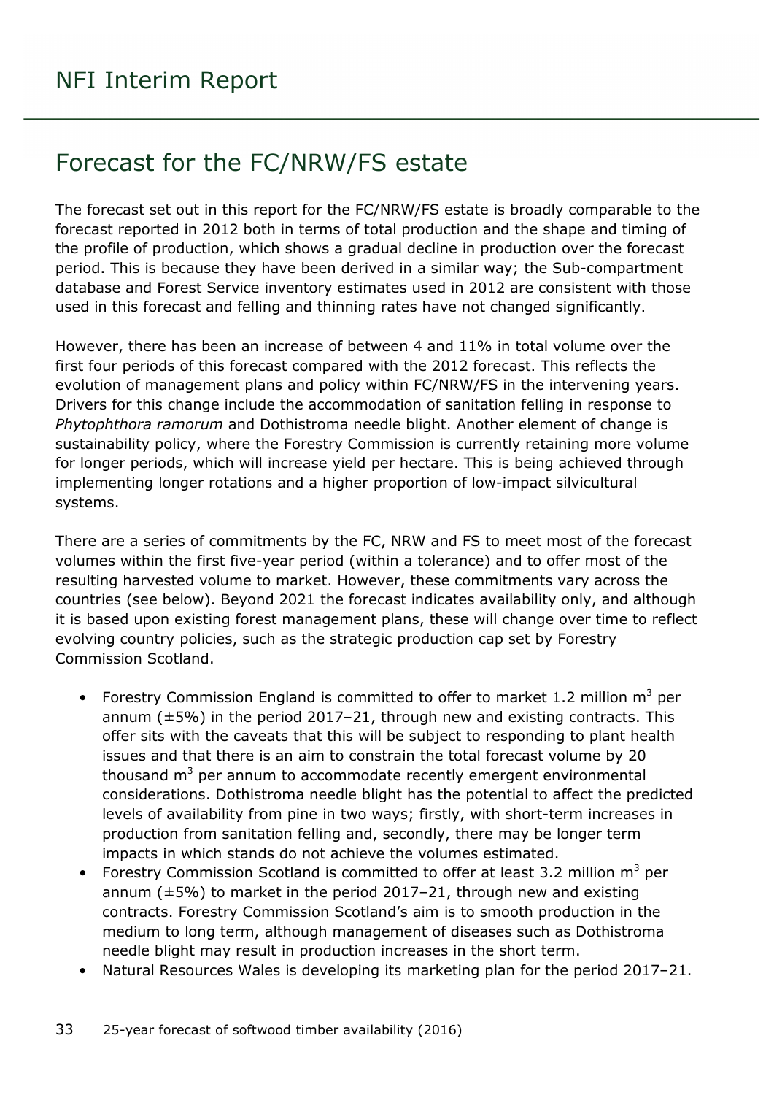### <span id="page-32-0"></span>Forecast for the FC/NRW/FS estate

The forecast set out in this report for the FC/NRW/FS estate is broadly comparable to the forecast reported in 2012 both in terms of total production and the shape and timing of the profile of production, which shows a gradual decline in production over the forecast period. This is because they have been derived in a similar way; the Sub-compartment database and Forest Service inventory estimates used in 2012 are consistent with those used in this forecast and felling and thinning rates have not changed significantly.

However, there has been an increase of between 4 and 11% in total volume over the first four periods of this forecast compared with the 2012 forecast. This reflects the evolution of management plans and policy within FC/NRW/FS in the intervening years. Drivers for this change include the accommodation of sanitation felling in response to *Phytophthora ramorum* and Dothistroma needle blight. Another element of change is sustainability policy, where the Forestry Commission is currently retaining more volume for longer periods, which will increase yield per hectare. This is being achieved through implementing longer rotations and a higher proportion of low-impact silvicultural systems.

There are a series of commitments by the FC, NRW and FS to meet most of the forecast volumes within the first five-year period (within a tolerance) and to offer most of the resulting harvested volume to market. However, these commitments vary across the countries (see below). Beyond 2021 the forecast indicates availability only, and although it is based upon existing forest management plans, these will change over time to reflect evolving country policies, such as the strategic production cap set by Forestry Commission Scotland.

- Forestry Commission England is committed to offer to market 1.2 million  $m^3$  per annum (±5%) in the period 2017–21, through new and existing contracts. This offer sits with the caveats that this will be subject to responding to plant health issues and that there is an aim to constrain the total forecast volume by 20 thousand  $m<sup>3</sup>$  per annum to accommodate recently emergent environmental considerations. Dothistroma needle blight has the potential to affect the predicted levels of availability from pine in two ways; firstly, with short-term increases in production from sanitation felling and, secondly, there may be longer term impacts in which stands do not achieve the volumes estimated.
- Forestry Commission Scotland is committed to offer at least 3.2 million  $m^3$  per annum  $(\pm 5\%)$  to market in the period 2017–21, through new and existing contracts. Forestry Commission Scotland's aim is to smooth production in the medium to long term, although management of diseases such as Dothistroma needle blight may result in production increases in the short term.
- Natural Resources Wales is developing its marketing plan for the period 2017–21.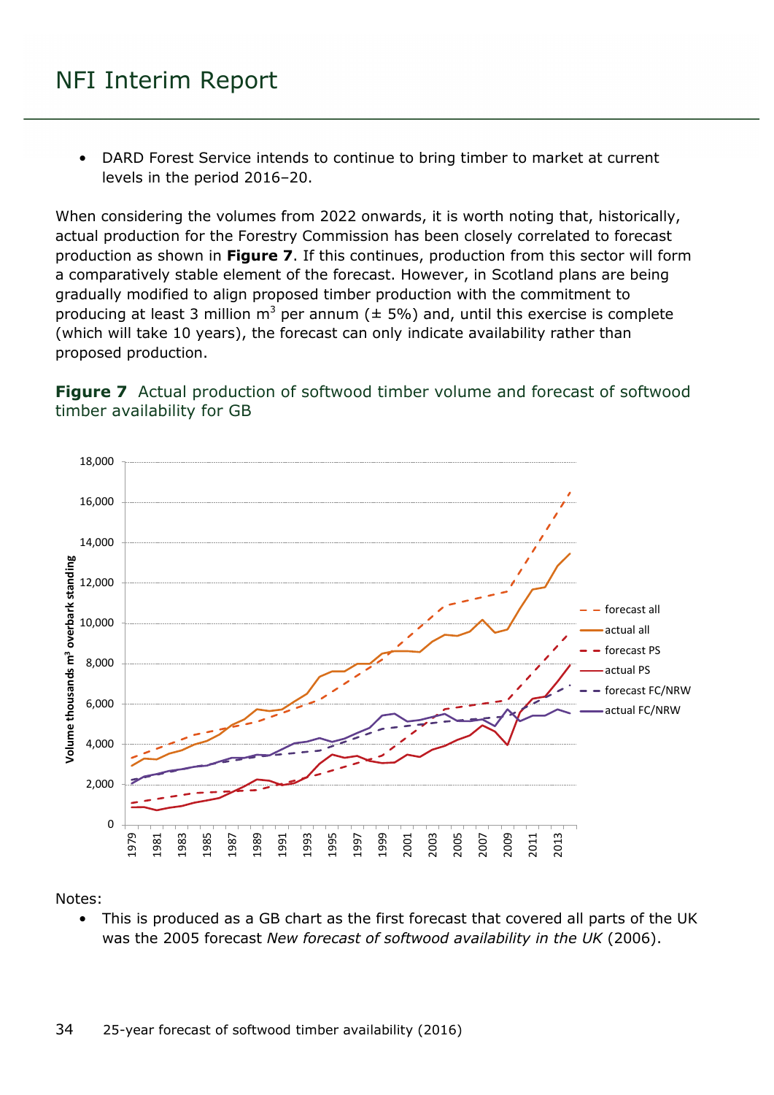• DARD Forest Service intends to continue to bring timber to market at current levels in the period 2016–20.

When considering the volumes from 2022 onwards, it is worth noting that, historically, actual production for the Forestry Commission has been closely correlated to forecast production as shown in **Figure 7**. If this continues, production from this sector will form a comparatively stable element of the forecast. However, in Scotland plans are being gradually modified to align proposed timber production with the commitment to producing at least 3 million  $m^3$  per annum ( $\pm$  5%) and, until this exercise is complete (which will take 10 years), the forecast can only indicate availability rather than proposed production.

<span id="page-33-0"></span>



#### Notes:

• This is produced as a GB chart as the first forecast that covered all parts of the UK was the 2005 forecast *New forecast of softwood availability in the UK* (2006).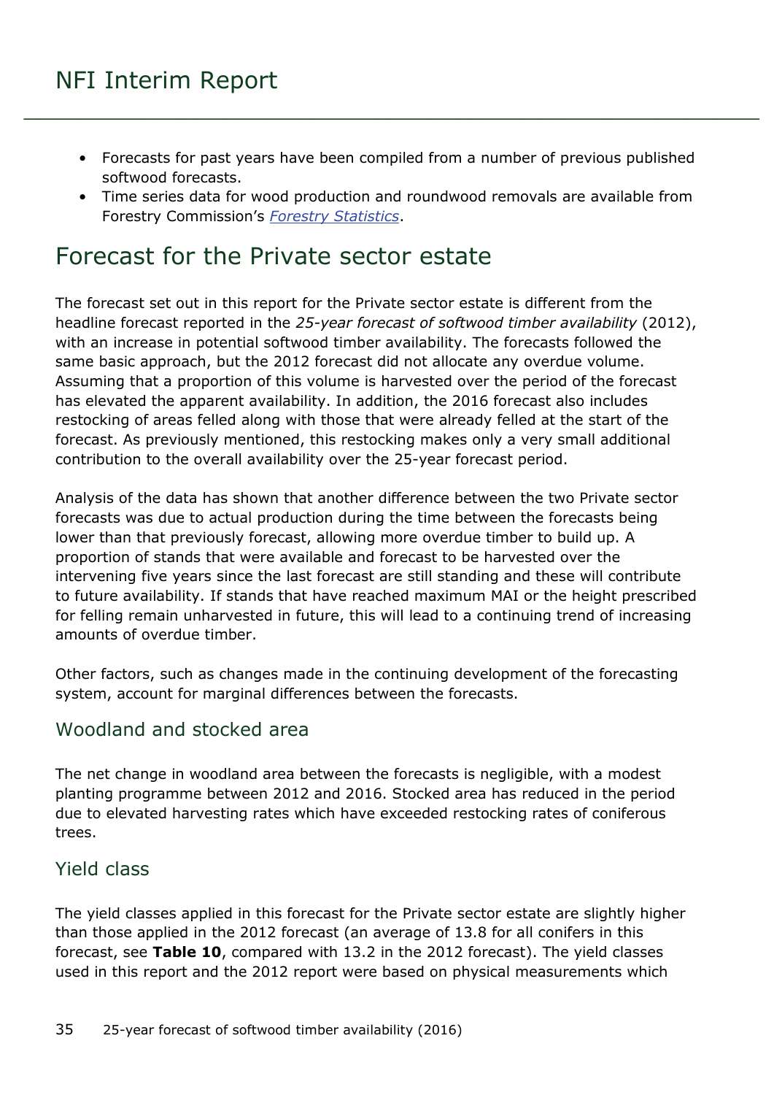- Forecasts for past years have been compiled from a number of previous published softwood forecasts.
- Time series data for wood production and roundwood removals are available from Forestry Commission's *[Forestry Statistics](http://www.forestry.gov.uk/forestry/infd-7aql5b)*.

### <span id="page-34-0"></span>Forecast for the Private sector estate

The forecast set out in this report for the Private sector estate is different from the headline forecast reported in the *25-year forecast of softwood timber availability* (2012), with an increase in potential softwood timber availability. The forecasts followed the same basic approach, but the 2012 forecast did not allocate any overdue volume. Assuming that a proportion of this volume is harvested over the period of the forecast has elevated the apparent availability. In addition, the 2016 forecast also includes restocking of areas felled along with those that were already felled at the start of the forecast. As previously mentioned, this restocking makes only a very small additional contribution to the overall availability over the 25-year forecast period.

Analysis of the data has shown that another difference between the two Private sector forecasts was due to actual production during the time between the forecasts being lower than that previously forecast, allowing more overdue timber to build up. A proportion of stands that were available and forecast to be harvested over the intervening five years since the last forecast are still standing and these will contribute to future availability. If stands that have reached maximum MAI or the height prescribed for felling remain unharvested in future, this will lead to a continuing trend of increasing amounts of overdue timber.

Other factors, such as changes made in the continuing development of the forecasting system, account for marginal differences between the forecasts.

#### <span id="page-34-1"></span>Woodland and stocked area

The net change in woodland area between the forecasts is negligible, with a modest planting programme between 2012 and 2016. Stocked area has reduced in the period due to elevated harvesting rates which have exceeded restocking rates of coniferous trees.

#### <span id="page-34-2"></span>Yield class

The yield classes applied in this forecast for the Private sector estate are slightly higher than those applied in the 2012 forecast (an average of 13.8 for all conifers in this forecast, see **Table 10**, compared with 13.2 in the 2012 forecast). The yield classes used in this report and the 2012 report were based on physical measurements which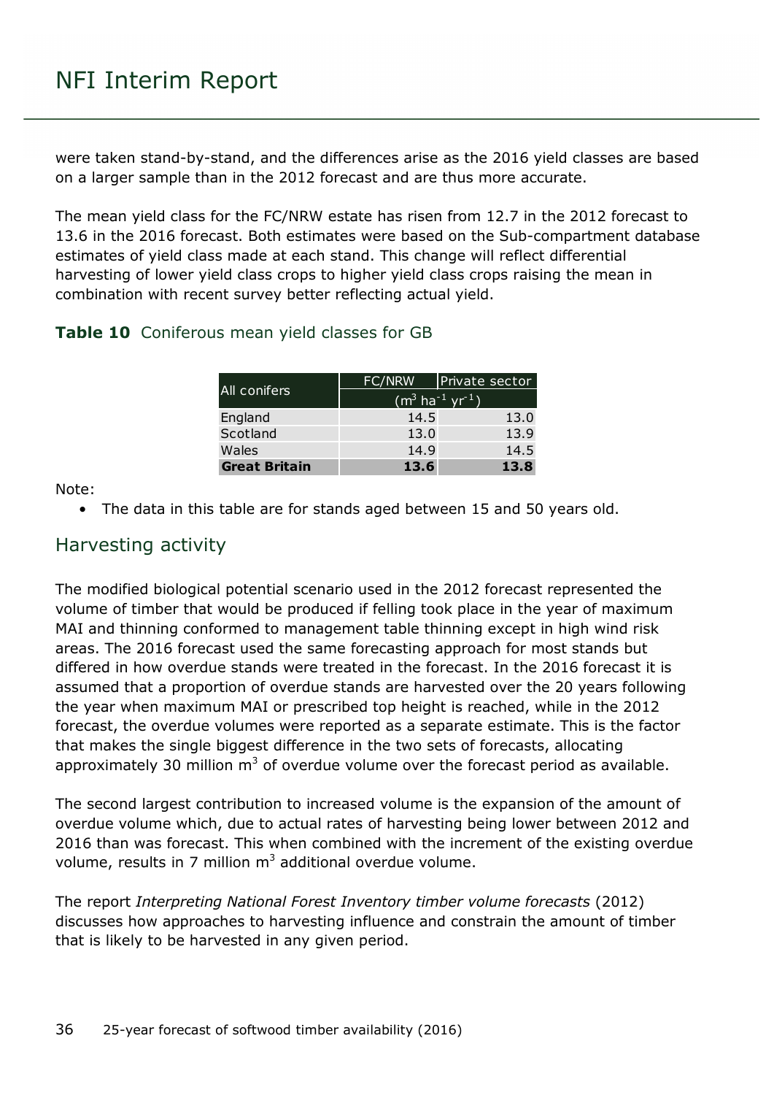were taken stand-by-stand, and the differences arise as the 2016 yield classes are based on a larger sample than in the 2012 forecast and are thus more accurate.

The mean yield class for the FC/NRW estate has risen from 12.7 in the 2012 forecast to 13.6 in the 2016 forecast. Both estimates were based on the Sub-compartment database estimates of yield class made at each stand. This change will reflect differential harvesting of lower yield class crops to higher yield class crops raising the mean in combination with recent survey better reflecting actual yield.

#### <span id="page-35-1"></span>**Table 10** Coniferous mean yield classes for GB

|                      | FC/NRW                                  | Private sector |  |  |  |
|----------------------|-----------------------------------------|----------------|--|--|--|
| All conifers         | $(m^3 \text{ ha}^{-1} \text{ yr}^{-1})$ |                |  |  |  |
| England              | 14.5                                    | 13.0           |  |  |  |
| Scotland             | 13.0                                    | 13.9           |  |  |  |
| Wales                | 14.9                                    | 14.5           |  |  |  |
| <b>Great Britain</b> | 13.6                                    | 13.8           |  |  |  |

Note:

• The data in this table are for stands aged between 15 and 50 years old.

#### <span id="page-35-0"></span>Harvesting activity

The modified biological potential scenario used in the 2012 forecast represented the volume of timber that would be produced if felling took place in the year of maximum MAI and thinning conformed to management table thinning except in high wind risk areas. The 2016 forecast used the same forecasting approach for most stands but differed in how overdue stands were treated in the forecast. In the 2016 forecast it is assumed that a proportion of overdue stands are harvested over the 20 years following the year when maximum MAI or prescribed top height is reached, while in the 2012 forecast, the overdue volumes were reported as a separate estimate. This is the factor that makes the single biggest difference in the two sets of forecasts, allocating approximately 30 million  $m^3$  of overdue volume over the forecast period as available.

The second largest contribution to increased volume is the expansion of the amount of overdue volume which, due to actual rates of harvesting being lower between 2012 and 2016 than was forecast. This when combined with the increment of the existing overdue volume, results in 7 million  $m<sup>3</sup>$  additional overdue volume.

The report *Interpreting National Forest Inventory timber volume forecasts* (2012) discusses how approaches to harvesting influence and constrain the amount of timber that is likely to be harvested in any given period.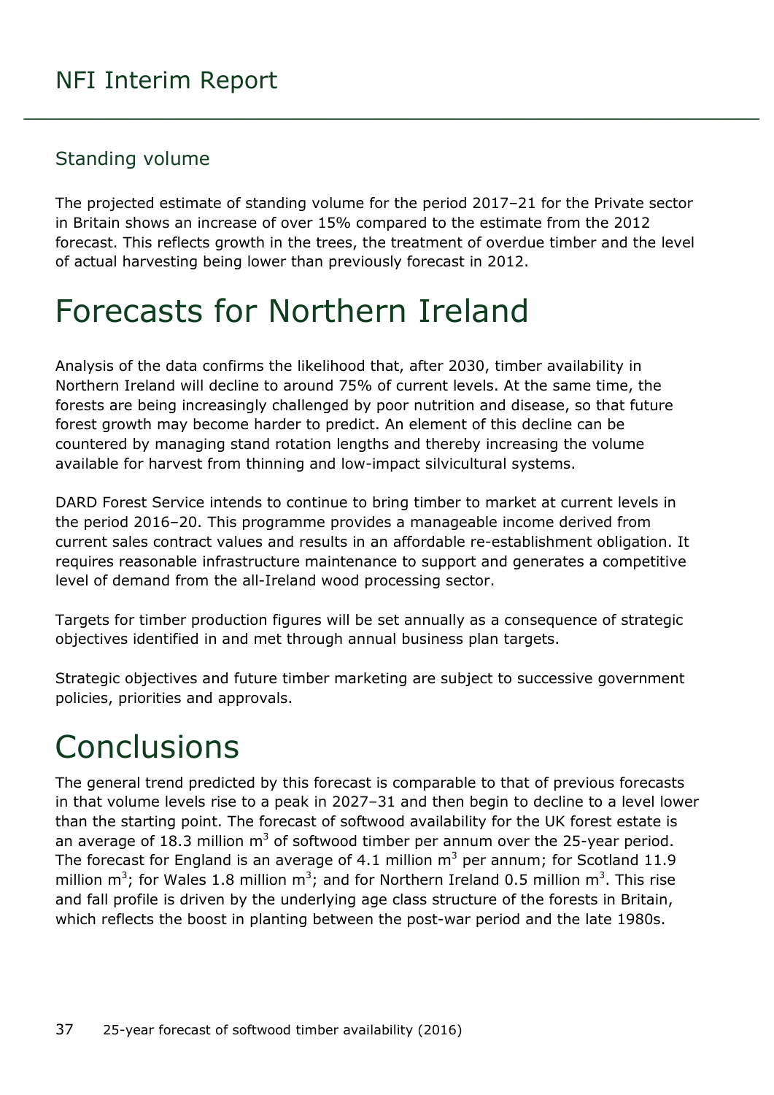#### <span id="page-36-0"></span>Standing volume

The projected estimate of standing volume for the period 2017–21 for the Private sector in Britain shows an increase of over 15% compared to the estimate from the 2012 forecast. This reflects growth in the trees, the treatment of overdue timber and the level of actual harvesting being lower than previously forecast in 2012.

## <span id="page-36-1"></span>Forecasts for Northern Ireland

Analysis of the data confirms the likelihood that, after 2030, timber availability in Northern Ireland will decline to around 75% of current levels. At the same time, the forests are being increasingly challenged by poor nutrition and disease, so that future forest growth may become harder to predict. An element of this decline can be countered by managing stand rotation lengths and thereby increasing the volume available for harvest from thinning and low-impact silvicultural systems.

DARD Forest Service intends to continue to bring timber to market at current levels in the period 2016–20. This programme provides a manageable income derived from current sales contract values and results in an affordable re-establishment obligation. It requires reasonable infrastructure maintenance to support and generates a competitive level of demand from the all-Ireland wood processing sector.

Targets for timber production figures will be set annually as a consequence of strategic objectives identified in and met through annual business plan targets.

Strategic objectives and future timber marketing are subject to successive government policies, priorities and approvals.

## <span id="page-36-2"></span>**Conclusions**

The general trend predicted by this forecast is comparable to that of previous forecasts in that volume levels rise to a peak in 2027–31 and then begin to decline to a level lower than the starting point. The forecast of softwood availability for the UK forest estate is an average of 18.3 million  $m<sup>3</sup>$  of softwood timber per annum over the 25-year period. The forecast for England is an average of 4.1 million  $m<sup>3</sup>$  per annum; for Scotland 11.9 million m<sup>3</sup>; for Wales 1.8 million m<sup>3</sup>; and for Northern Ireland 0.5 million m<sup>3</sup>. This rise and fall profile is driven by the underlying age class structure of the forests in Britain, which reflects the boost in planting between the post-war period and the late 1980s.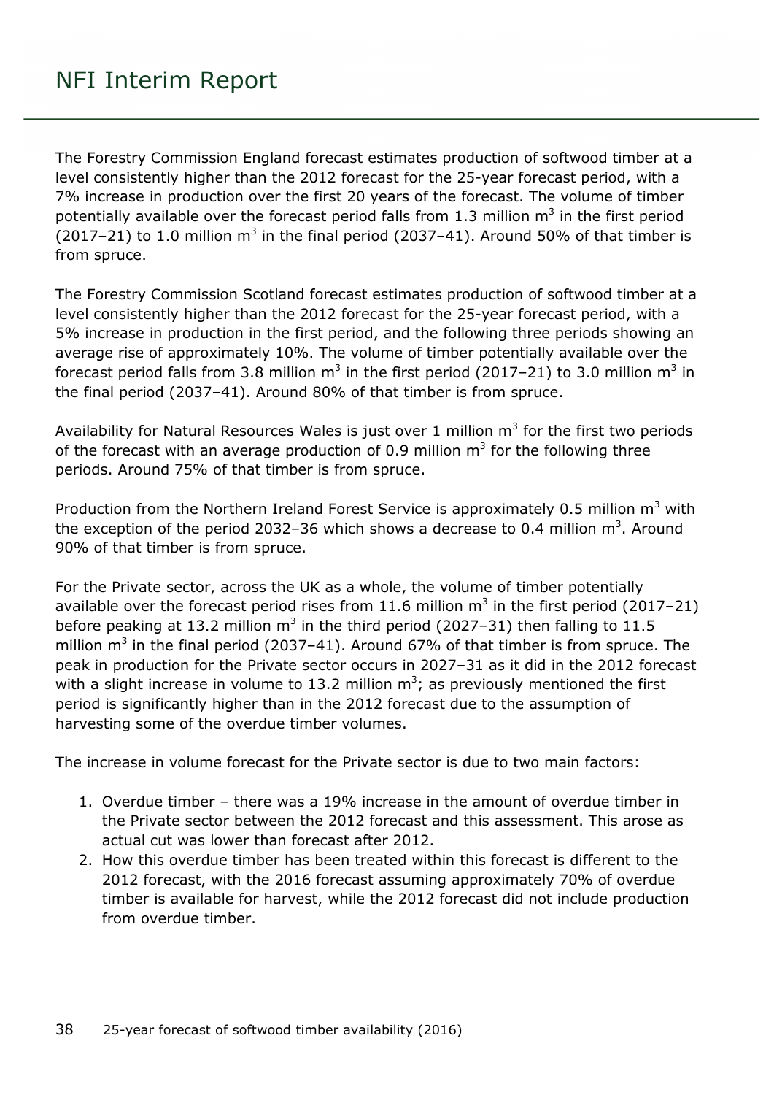The Forestry Commission England forecast estimates production of softwood timber at a level consistently higher than the 2012 forecast for the 25-year forecast period, with a 7% increase in production over the first 20 years of the forecast. The volume of timber potentially available over the forecast period falls from 1.3 million  $m<sup>3</sup>$  in the first period (2017–21) to 1.0 million  $m^3$  in the final period (2037–41). Around 50% of that timber is from spruce.

The Forestry Commission Scotland forecast estimates production of softwood timber at a level consistently higher than the 2012 forecast for the 25-year forecast period, with a 5% increase in production in the first period, and the following three periods showing an average rise of approximately 10%. The volume of timber potentially available over the forecast period falls from 3.8 million  $m^3$  in the first period (2017–21) to 3.0 million  $m^3$  in the final period (2037–41). Around 80% of that timber is from spruce.

Availability for Natural Resources Wales is just over 1 million  $m<sup>3</sup>$  for the first two periods of the forecast with an average production of 0.9 million  $m<sup>3</sup>$  for the following three periods. Around 75% of that timber is from spruce.

Production from the Northern Ireland Forest Service is approximately 0.5 million  $m<sup>3</sup>$  with the exception of the period 2032-36 which shows a decrease to 0.4 million  $m^3$ . Around 90% of that timber is from spruce.

For the Private sector, across the UK as a whole, the volume of timber potentially available over the forecast period rises from 11.6 million  $m<sup>3</sup>$  in the first period (2017–21) before peaking at 13.2 million  $m^3$  in the third period (2027–31) then falling to 11.5 million  $m^3$  in the final period (2037–41). Around 67% of that timber is from spruce. The peak in production for the Private sector occurs in 2027–31 as it did in the 2012 forecast with a slight increase in volume to 13.2 million  $m^3$ ; as previously mentioned the first period is significantly higher than in the 2012 forecast due to the assumption of harvesting some of the overdue timber volumes.

The increase in volume forecast for the Private sector is due to two main factors:

- 1. Overdue timber there was a 19% increase in the amount of overdue timber in the Private sector between the 2012 forecast and this assessment. This arose as actual cut was lower than forecast after 2012.
- 2. How this overdue timber has been treated within this forecast is different to the 2012 forecast, with the 2016 forecast assuming approximately 70% of overdue timber is available for harvest, while the 2012 forecast did not include production from overdue timber.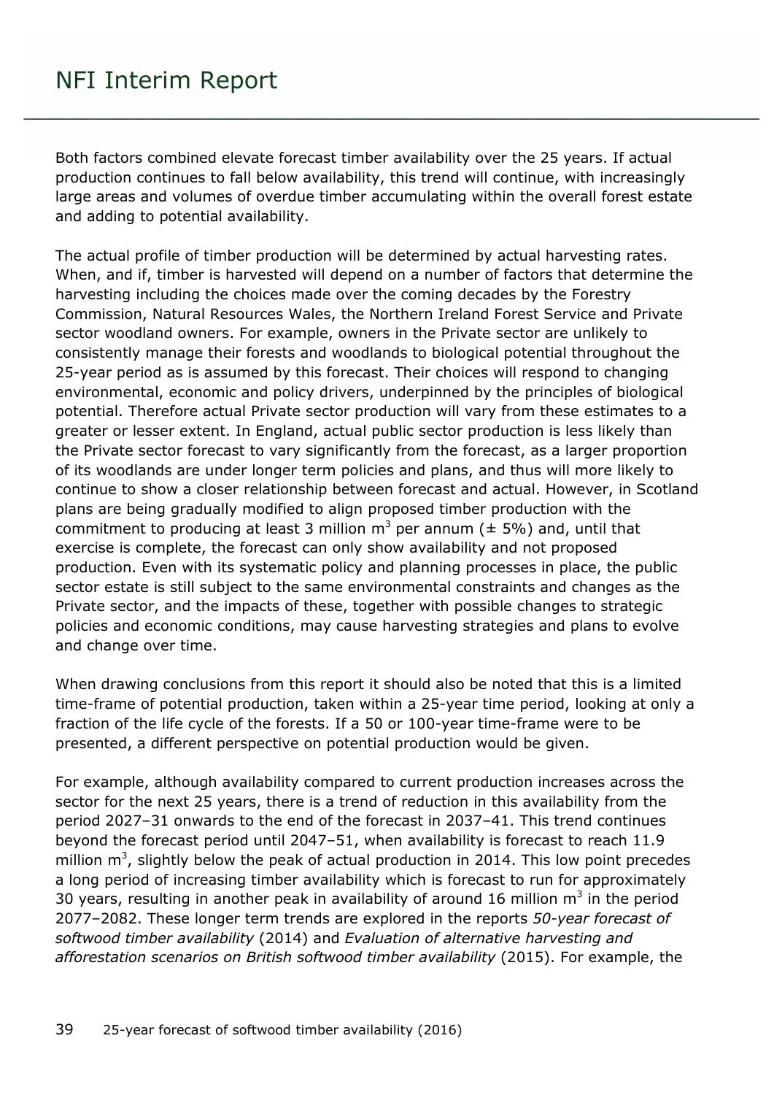Both factors combined elevate forecast timber availability over the 25 years. If actual production continues to fall below availability, this trend will continue, with increasingly large areas and volumes of overdue timber accumulating within the overall forest estate and adding to potential availability.

The actual profile of timber production will be determined by actual harvesting rates. When, and if, timber is harvested will depend on a number of factors that determine the harvesting including the choices made over the coming decades by the Forestry Commission, Natural Resources Wales, the Northern Ireland Forest Service and Private sector woodland owners. For example, owners in the Private sector are unlikely to consistently manage their forests and woodlands to biological potential throughout the 25-year period as is assumed by this forecast. Their choices will respond to changing environmental, economic and policy drivers, underpinned by the principles of biological potential. Therefore actual Private sector production will vary from these estimates to a greater or lesser extent. In England, actual public sector production is less likely than the Private sector forecast to vary significantly from the forecast, as a larger proportion of its woodlands are under longer term policies and plans, and thus will more likely to continue to show a closer relationship between forecast and actual. However, in Scotland plans are being gradually modified to align proposed timber production with the commitment to producing at least 3 million  $m^3$  per annum ( $\pm$  5%) and, until that exercise is complete, the forecast can only show availability and not proposed production. Even with its systematic policy and planning processes in place, the public sector estate is still subject to the same environmental constraints and changes as the Private sector, and the impacts of these, together with possible changes to strategic policies and economic conditions, may cause harvesting strategies and plans to evolve and change over time.

When drawing conclusions from this report it should also be noted that this is a limited time-frame of potential production, taken within a 25-year time period, looking at only a fraction of the life cycle of the forests. If a 50 or 100-year time-frame were to be presented, a different perspective on potential production would be given.

For example, although availability compared to current production increases across the sector for the next 25 years, there is a trend of reduction in this availability from the period 2027–31 onwards to the end of the forecast in 2037–41. This trend continues beyond the forecast period until 2047–51, when availability is forecast to reach 11.9 million  $m^3$ , slightly below the peak of actual production in 2014. This low point precedes a long period of increasing timber availability which is forecast to run for approximately 30 years, resulting in another peak in availability of around 16 million  $m<sup>3</sup>$  in the period 2077–2082. These longer term trends are explored in the reports *50-year forecast of softwood timber availability* (2014) and *Evaluation of alternative harvesting and afforestation scenarios on British softwood timber availability* (2015). For example, the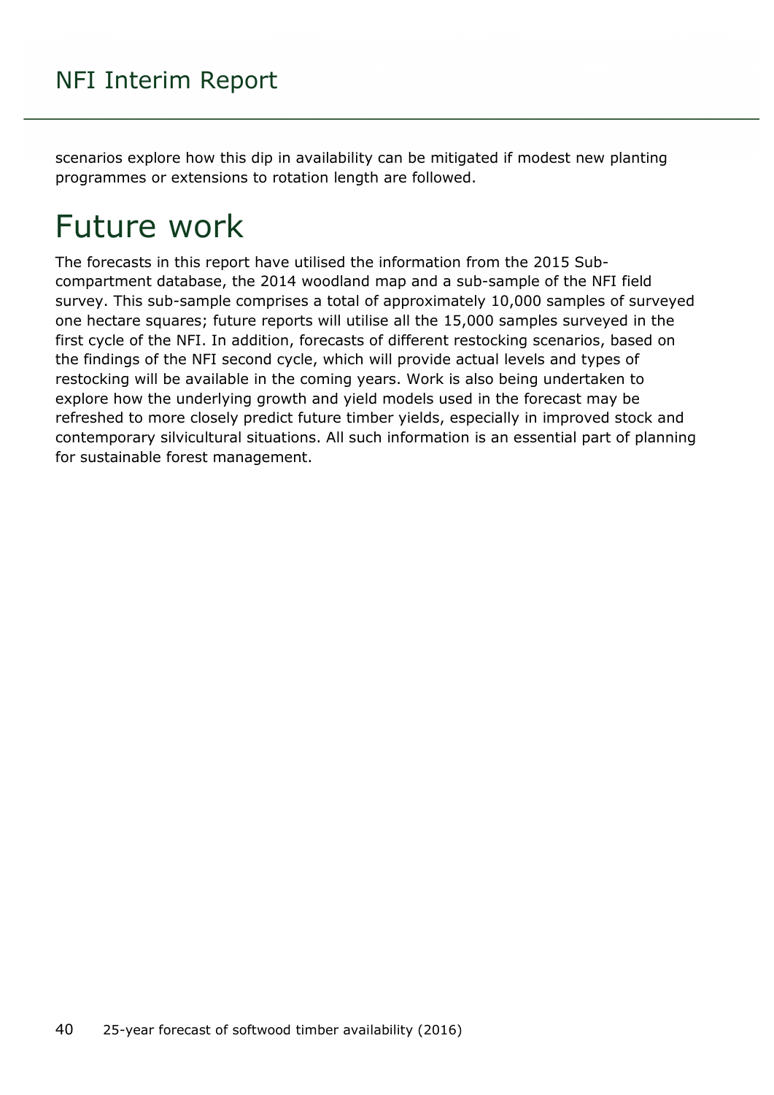scenarios explore how this dip in availability can be mitigated if modest new planting programmes or extensions to rotation length are followed.

## <span id="page-39-0"></span>Future work

The forecasts in this report have utilised the information from the 2015 Subcompartment database, the 2014 woodland map and a sub-sample of the NFI field survey. This sub-sample comprises a total of approximately 10,000 samples of surveyed one hectare squares; future reports will utilise all the 15,000 samples surveyed in the first cycle of the NFI. In addition, forecasts of different restocking scenarios, based on the findings of the NFI second cycle, which will provide actual levels and types of restocking will be available in the coming years. Work is also being undertaken to explore how the underlying growth and yield models used in the forecast may be refreshed to more closely predict future timber yields, especially in improved stock and contemporary silvicultural situations. All such information is an essential part of planning for sustainable forest management.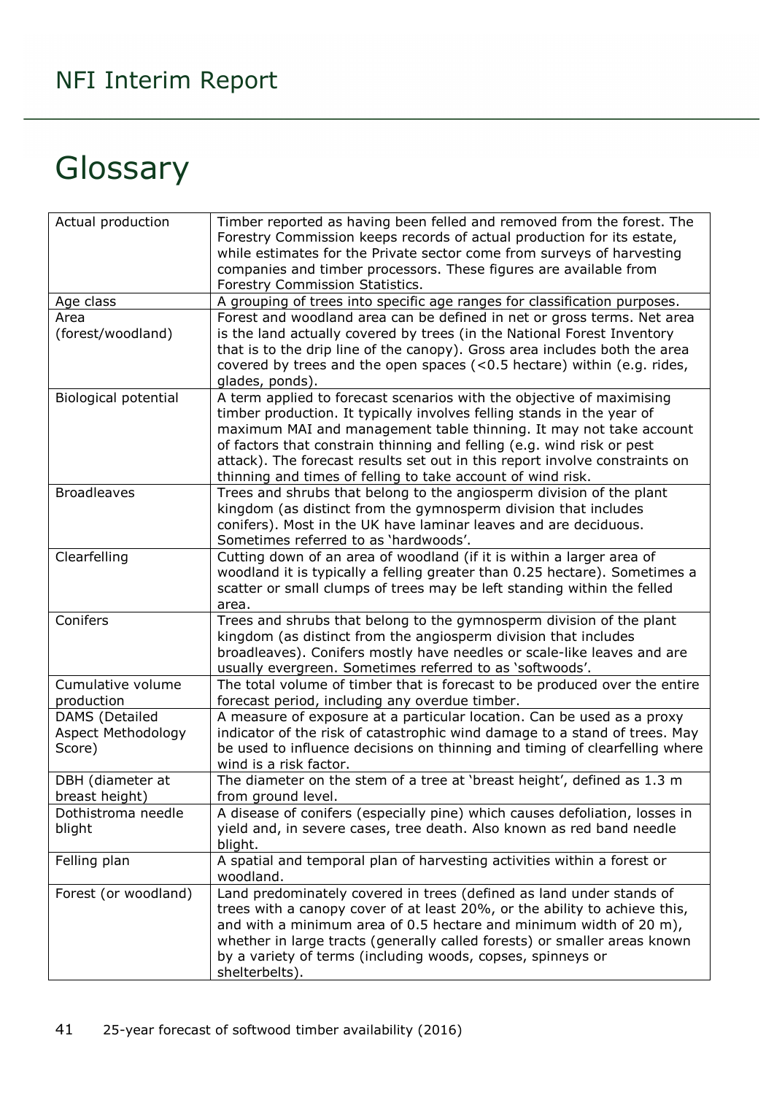## <span id="page-40-0"></span>Glossary

| Actual production    | Timber reported as having been felled and removed from the forest. The      |
|----------------------|-----------------------------------------------------------------------------|
|                      | Forestry Commission keeps records of actual production for its estate,      |
|                      | while estimates for the Private sector come from surveys of harvesting      |
|                      | companies and timber processors. These figures are available from           |
|                      | Forestry Commission Statistics.                                             |
| Age class            | A grouping of trees into specific age ranges for classification purposes.   |
| Area                 | Forest and woodland area can be defined in net or gross terms. Net area     |
| (forest/woodland)    | is the land actually covered by trees (in the National Forest Inventory     |
|                      |                                                                             |
|                      | that is to the drip line of the canopy). Gross area includes both the area  |
|                      | covered by trees and the open spaces (<0.5 hectare) within (e.g. rides,     |
|                      | glades, ponds).                                                             |
| Biological potential | A term applied to forecast scenarios with the objective of maximising       |
|                      | timber production. It typically involves felling stands in the year of      |
|                      | maximum MAI and management table thinning. It may not take account          |
|                      | of factors that constrain thinning and felling (e.g. wind risk or pest      |
|                      | attack). The forecast results set out in this report involve constraints on |
|                      | thinning and times of felling to take account of wind risk.                 |
| <b>Broadleaves</b>   | Trees and shrubs that belong to the angiosperm division of the plant        |
|                      | kingdom (as distinct from the gymnosperm division that includes             |
|                      | conifers). Most in the UK have laminar leaves and are deciduous.            |
|                      | Sometimes referred to as 'hardwoods'.                                       |
| Clearfelling         | Cutting down of an area of woodland (if it is within a larger area of       |
|                      | woodland it is typically a felling greater than 0.25 hectare). Sometimes a  |
|                      | scatter or small clumps of trees may be left standing within the felled     |
|                      | area.                                                                       |
| Conifers             | Trees and shrubs that belong to the gymnosperm division of the plant        |
|                      | kingdom (as distinct from the angiosperm division that includes             |
|                      | broadleaves). Conifers mostly have needles or scale-like leaves and are     |
|                      | usually evergreen. Sometimes referred to as 'softwoods'.                    |
| Cumulative volume    | The total volume of timber that is forecast to be produced over the entire  |
| production           | forecast period, including any overdue timber.                              |
| DAMS (Detailed       | A measure of exposure at a particular location. Can be used as a proxy      |
| Aspect Methodology   | indicator of the risk of catastrophic wind damage to a stand of trees. May  |
| Score)               | be used to influence decisions on thinning and timing of clearfelling where |
|                      | wind is a risk factor.                                                      |
| DBH (diameter at     | The diameter on the stem of a tree at 'breast height', defined as 1.3 m     |
| breast height)       | from ground level.                                                          |
| Dothistroma needle   | A disease of conifers (especially pine) which causes defoliation, losses in |
| blight               | yield and, in severe cases, tree death. Also known as red band needle       |
|                      | blight.                                                                     |
| Felling plan         | A spatial and temporal plan of harvesting activities within a forest or     |
|                      | woodland.                                                                   |
| Forest (or woodland) | Land predominately covered in trees (defined as land under stands of        |
|                      | trees with a canopy cover of at least 20%, or the ability to achieve this,  |
|                      | and with a minimum area of 0.5 hectare and minimum width of 20 m),          |
|                      | whether in large tracts (generally called forests) or smaller areas known   |
|                      | by a variety of terms (including woods, copses, spinneys or                 |
|                      | shelterbelts).                                                              |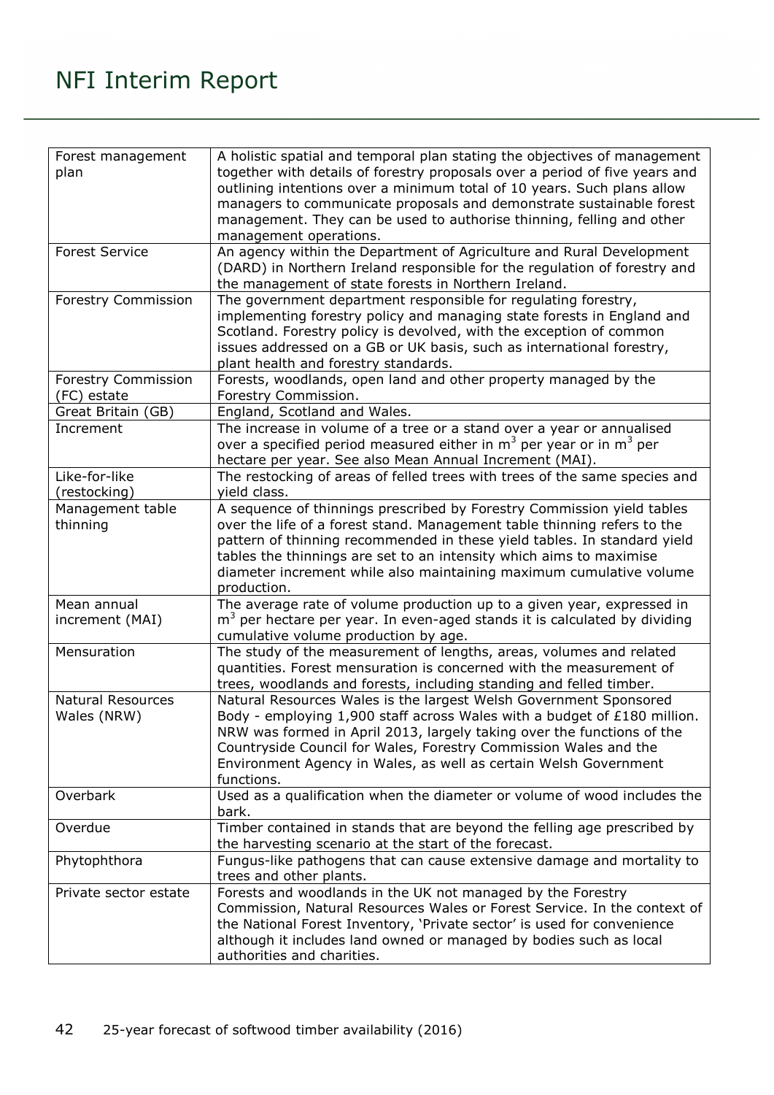| Forest management          | A holistic spatial and temporal plan stating the objectives of management   |
|----------------------------|-----------------------------------------------------------------------------|
| plan                       | together with details of forestry proposals over a period of five years and |
|                            | outlining intentions over a minimum total of 10 years. Such plans allow     |
|                            | managers to communicate proposals and demonstrate sustainable forest        |
|                            | management. They can be used to authorise thinning, felling and other       |
|                            | management operations.                                                      |
| <b>Forest Service</b>      | An agency within the Department of Agriculture and Rural Development        |
|                            | (DARD) in Northern Ireland responsible for the regulation of forestry and   |
|                            | the management of state forests in Northern Ireland.                        |
| <b>Forestry Commission</b> | The government department responsible for regulating forestry,              |
|                            | implementing forestry policy and managing state forests in England and      |
|                            | Scotland. Forestry policy is devolved, with the exception of common         |
|                            | issues addressed on a GB or UK basis, such as international forestry,       |
|                            | plant health and forestry standards.                                        |
| Forestry Commission        | Forests, woodlands, open land and other property managed by the             |
| (FC) estate                | Forestry Commission.                                                        |
| Great Britain (GB)         | England, Scotland and Wales.                                                |
| Increment                  | The increase in volume of a tree or a stand over a year or annualised       |
|                            | over a specified period measured either in $m3$ per year or in $m3$ per     |
|                            | hectare per year. See also Mean Annual Increment (MAI).                     |
| Like-for-like              | The restocking of areas of felled trees with trees of the same species and  |
| (restocking)               | yield class.                                                                |
| Management table           | A sequence of thinnings prescribed by Forestry Commission yield tables      |
| thinning                   | over the life of a forest stand. Management table thinning refers to the    |
|                            | pattern of thinning recommended in these yield tables. In standard yield    |
|                            | tables the thinnings are set to an intensity which aims to maximise         |
|                            | diameter increment while also maintaining maximum cumulative volume         |
|                            | production.                                                                 |
| Mean annual                | The average rate of volume production up to a given year, expressed in      |
| increment (MAI)            | $m3$ per hectare per year. In even-aged stands it is calculated by dividing |
|                            | cumulative volume production by age.                                        |
| Mensuration                | The study of the measurement of lengths, areas, volumes and related         |
|                            | quantities. Forest mensuration is concerned with the measurement of         |
|                            | trees, woodlands and forests, including standing and felled timber.         |
| <b>Natural Resources</b>   | Natural Resources Wales is the largest Welsh Government Sponsored           |
| Wales (NRW)                | Body - employing 1,900 staff across Wales with a budget of £180 million.    |
|                            | NRW was formed in April 2013, largely taking over the functions of the      |
|                            | Countryside Council for Wales, Forestry Commission Wales and the            |
|                            | Environment Agency in Wales, as well as certain Welsh Government            |
|                            | functions.                                                                  |
| Overbark                   | Used as a qualification when the diameter or volume of wood includes the    |
|                            | bark.                                                                       |
| Overdue                    | Timber contained in stands that are beyond the felling age prescribed by    |
|                            | the harvesting scenario at the start of the forecast.                       |
| Phytophthora               | Fungus-like pathogens that can cause extensive damage and mortality to      |
|                            | trees and other plants.                                                     |
| Private sector estate      | Forests and woodlands in the UK not managed by the Forestry                 |
|                            | Commission, Natural Resources Wales or Forest Service. In the context of    |
|                            | the National Forest Inventory, 'Private sector' is used for convenience     |
|                            | although it includes land owned or managed by bodies such as local          |
|                            | authorities and charities.                                                  |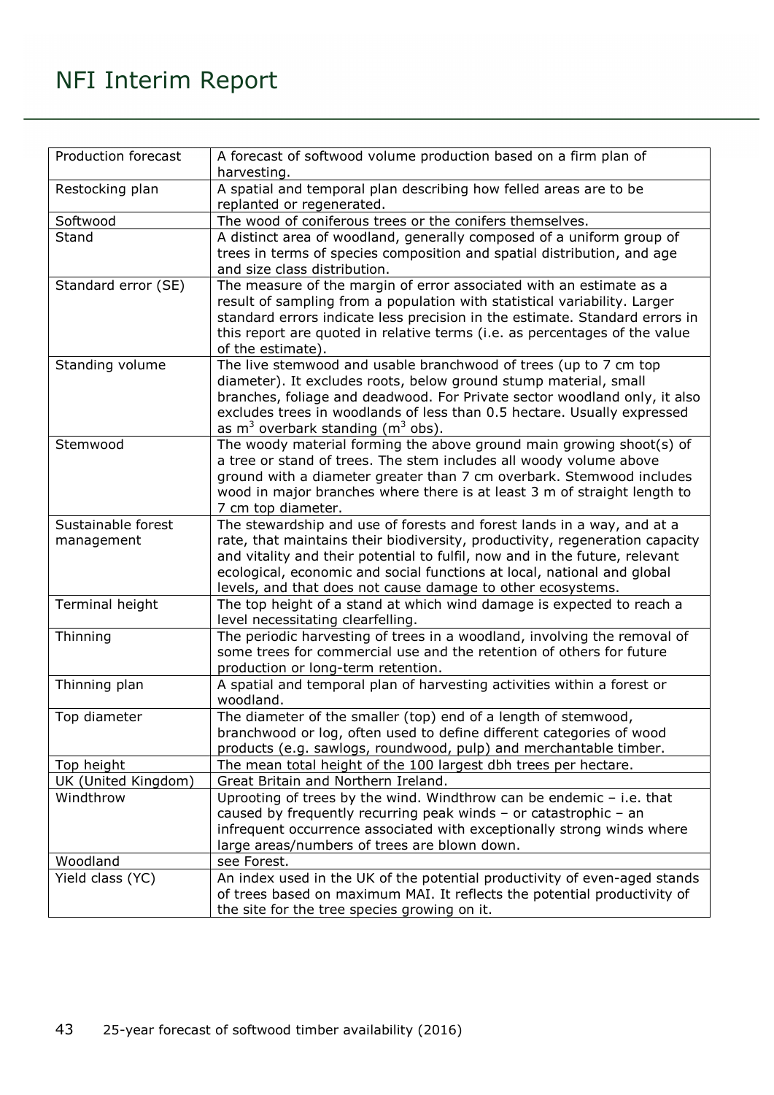| Production forecast              | A forecast of softwood volume production based on a firm plan of<br>harvesting.                                                                                                                                                                                                                                                                                                 |
|----------------------------------|---------------------------------------------------------------------------------------------------------------------------------------------------------------------------------------------------------------------------------------------------------------------------------------------------------------------------------------------------------------------------------|
| Restocking plan                  | A spatial and temporal plan describing how felled areas are to be<br>replanted or regenerated.                                                                                                                                                                                                                                                                                  |
| Softwood                         | The wood of coniferous trees or the conifers themselves.                                                                                                                                                                                                                                                                                                                        |
| Stand                            | A distinct area of woodland, generally composed of a uniform group of<br>trees in terms of species composition and spatial distribution, and age<br>and size class distribution.                                                                                                                                                                                                |
| Standard error (SE)              | The measure of the margin of error associated with an estimate as a<br>result of sampling from a population with statistical variability. Larger<br>standard errors indicate less precision in the estimate. Standard errors in<br>this report are quoted in relative terms (i.e. as percentages of the value<br>of the estimate).                                              |
| Standing volume                  | The live stemwood and usable branchwood of trees (up to 7 cm top<br>diameter). It excludes roots, below ground stump material, small<br>branches, foliage and deadwood. For Private sector woodland only, it also<br>excludes trees in woodlands of less than 0.5 hectare. Usually expressed<br>as $m^3$ overbark standing ( $m^3$ obs).                                        |
| Stemwood                         | The woody material forming the above ground main growing shoot(s) of<br>a tree or stand of trees. The stem includes all woody volume above<br>ground with a diameter greater than 7 cm overbark. Stemwood includes<br>wood in major branches where there is at least 3 m of straight length to<br>7 cm top diameter.                                                            |
| Sustainable forest<br>management | The stewardship and use of forests and forest lands in a way, and at a<br>rate, that maintains their biodiversity, productivity, regeneration capacity<br>and vitality and their potential to fulfil, now and in the future, relevant<br>ecological, economic and social functions at local, national and global<br>levels, and that does not cause damage to other ecosystems. |
| Terminal height                  | The top height of a stand at which wind damage is expected to reach a<br>level necessitating clearfelling.                                                                                                                                                                                                                                                                      |
| Thinning                         | The periodic harvesting of trees in a woodland, involving the removal of<br>some trees for commercial use and the retention of others for future<br>production or long-term retention.                                                                                                                                                                                          |
| Thinning plan                    | A spatial and temporal plan of harvesting activities within a forest or<br>woodland.                                                                                                                                                                                                                                                                                            |
| Top diameter                     | The diameter of the smaller (top) end of a length of stemwood,<br>branchwood or log, often used to define different categories of wood<br>products (e.g. sawlogs, roundwood, pulp) and merchantable timber.                                                                                                                                                                     |
| Top height                       | The mean total height of the 100 largest dbh trees per hectare.                                                                                                                                                                                                                                                                                                                 |
| UK (United Kingdom)              | Great Britain and Northern Ireland.                                                                                                                                                                                                                                                                                                                                             |
| Windthrow                        | Uprooting of trees by the wind. Windthrow can be endemic $-$ i.e. that<br>caused by frequently recurring peak winds - or catastrophic - an<br>infrequent occurrence associated with exceptionally strong winds where<br>large areas/numbers of trees are blown down.                                                                                                            |
| Woodland                         | see Forest.                                                                                                                                                                                                                                                                                                                                                                     |
| Yield class (YC)                 | An index used in the UK of the potential productivity of even-aged stands<br>of trees based on maximum MAI. It reflects the potential productivity of<br>the site for the tree species growing on it.                                                                                                                                                                           |